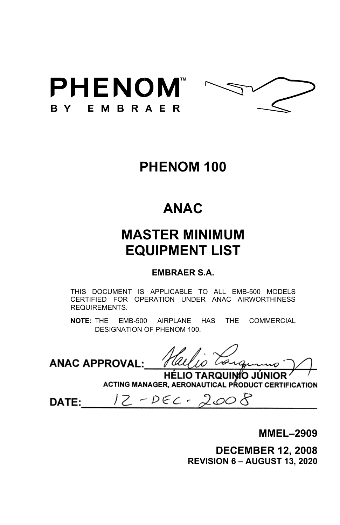



# **PHENOM 100**

# **ANAC**

# **MASTER MINIMUM EQUIPMENT LIST**

## **EMBRAER S.A.**

THIS DOCUMENT IS APPLICABLE TO ALL EMB-500 MODELS CERTIFIED FOR OPERATION UNDER ANAC AIRWORTHINESS REQUIREMENTS.

**NOTE:** THE EMB-500 AIRPLANE HAS THE COMMERCIAL DESIGNATION OF PHENOM 100.

**ANAC APPROVAL:** 

HÉLIO TARQUINÍO JÚNIOR ACTING MANAGER, AERONAUTICAL PRODUCT CERTIFICATION

 $12 - DEC - 2008$ **DATE:** 

**MMEL–2909** 

**DECEMBER 12, 2008 REVISION 6 – AUGUST 13, 2020**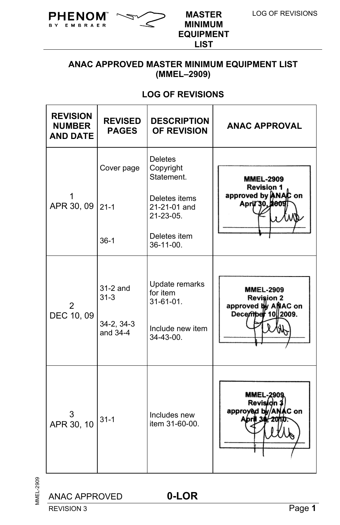

**MINIMUM EQUIPMENT LIST**

## **ANAC APPROVED MASTER MINIMUM EQUIPMENT LIST (MMEL–2909)**

## **LOG OF REVISIONS**

| <b>REVISION</b><br><b>NUMBER</b><br><b>AND DATE</b> | <b>REVISED</b><br><b>PAGES</b>                   | <b>DESCRIPTION</b><br>OF REVISION                                           | <b>ANAC APPROVAL</b>                                                              |
|-----------------------------------------------------|--------------------------------------------------|-----------------------------------------------------------------------------|-----------------------------------------------------------------------------------|
|                                                     | Cover page                                       | <b>Deletes</b><br>Copyright<br>Statement.                                   | <b>MMEL-2909</b><br><b>Revision 1</b>                                             |
| APR 30, 09                                          | $21 - 1$                                         | Deletes items<br>21-21-01 and<br>$21 - 23 - 05$ .                           | approved by ANAC on<br>April 30, 2009                                             |
|                                                     | $36-1$                                           | Deletes item<br>$36-11-00$ .                                                |                                                                                   |
| DEC 10, 09                                          | $31-2$ and<br>$31 - 3$<br>34-2, 34-3<br>and 34-4 | Update remarks<br>for item<br>$31-61-01$ .<br>Include new item<br>34-43-00. | <b>MMEL-2909</b><br><b>Revision 2</b><br>approved by ANAC on<br>December 10 2009. |
| APR 30, 10                                          | $31 - 1$                                         | Includes new<br>item 31-60-00.                                              | <b>MMEL-290</b><br>Revisi<br>approyed by<br><b>Con</b>                            |

MMEL-2909 MMEL-2909

REVISION 3 Page 1

ANAC APPROVED **0-LOR**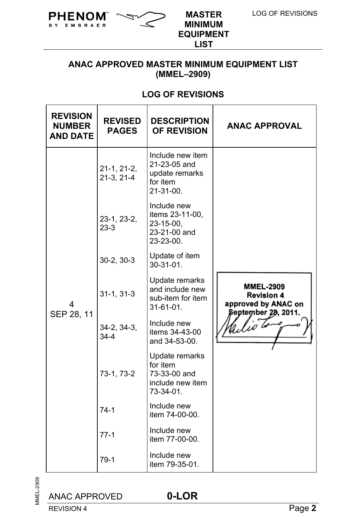

**MINIMUM EQUIPMENT LIST**

## **ANAC APPROVED MASTER MINIMUM EQUIPMENT LIST (MMEL–2909)**

## **LOG OF REVISIONS**

| <b>REVISION</b><br><b>NUMBER</b><br><b>AND DATE</b> | <b>REVISED</b><br><b>PAGES</b> | <b>DESCRIPTION</b><br><b>OF REVISION</b>                                           | <b>ANAC APPROVAL</b>                                                                |
|-----------------------------------------------------|--------------------------------|------------------------------------------------------------------------------------|-------------------------------------------------------------------------------------|
|                                                     | $21-1, 21-2,$<br>$21-3, 21-4$  | Include new item<br>21-23-05 and<br>update remarks<br>for item<br>$21 - 31 - 00$ . |                                                                                     |
|                                                     | 23-1, 23-2,<br>$23-3$          | Include new<br>items 23-11-00,<br>23-15-00,<br>23-21-00 and<br>23-23-00.           |                                                                                     |
|                                                     | $30-2, 30-3$                   | Update of item<br>$30-31-01$ .                                                     |                                                                                     |
| 4<br>SEP 28, 11                                     | $31-1, 31-3$                   | Update remarks<br>and include new<br>sub-item for item<br>$31 - 61 - 01$ .         | <b>MMEL-2909</b><br><b>Revision 4</b><br>approved by ANAC on<br>September 28, 2011. |
|                                                     | 34-2, 34-3,<br>$34-4$          | Include new<br>items 34-43-00<br>and 34-53-00.                                     |                                                                                     |
|                                                     | 73-1, 73-2                     | Update remarks<br>for item<br>73-33-00 and<br>include new item<br>$73-34-01$ .     |                                                                                     |
|                                                     | $74-1$                         | Include new<br>item 74-00-00.                                                      |                                                                                     |
|                                                     | $77-1$                         | Include new<br>item 77-00-00.                                                      |                                                                                     |
|                                                     | $79-1$                         | Include new<br>item 79-35-01.                                                      |                                                                                     |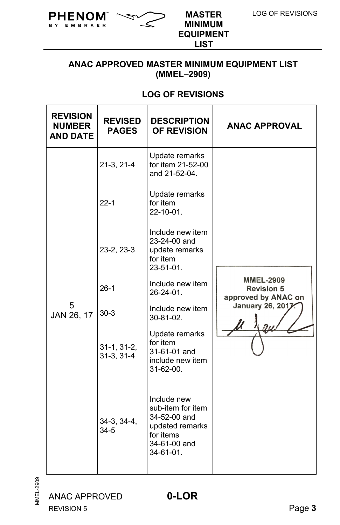

**MINIMUM EQUIPMENT LIST**

## **ANAC APPROVED MASTER MINIMUM EQUIPMENT LIST (MMEL–2909)**

## **LOG OF REVISIONS**

| <b>REVISION</b><br><b>NUMBER</b><br><b>AND DATE</b> | <b>REVISED</b><br><b>PAGES</b> | <b>DESCRIPTION</b><br><b>OF REVISION</b>                                                                      | <b>ANAC APPROVAL</b>                                         |
|-----------------------------------------------------|--------------------------------|---------------------------------------------------------------------------------------------------------------|--------------------------------------------------------------|
|                                                     | $21-3, 21-4$                   | Update remarks<br>for item 21-52-00<br>and 21-52-04.                                                          |                                                              |
|                                                     | $22 - 1$                       | Update remarks<br>for item<br>22-10-01.                                                                       |                                                              |
|                                                     | 23-2, 23-3                     | Include new item<br>23-24-00 and<br>update remarks<br>for item<br>$23 - 51 - 01$ .                            |                                                              |
| 5<br>JAN 26, 17                                     | $26-1$                         | Include new item<br>$26 - 24 - 01$ .                                                                          | <b>MMEL-2909</b><br><b>Revision 5</b><br>approved by ANAC on |
|                                                     | $30-3$                         | Include new item<br>$30 - 81 - 02$ .                                                                          | January 26, 2017                                             |
|                                                     | $31-1, 31-2,$<br>$31-3, 31-4$  | Update remarks<br>for item<br>31-61-01 and<br>include new item<br>$31-62-00$ .                                |                                                              |
|                                                     | 34-3, 34-4,<br>$34 - 5$        | Include new<br>sub-item for item<br>34-52-00 and<br>updated remarks<br>for items<br>34-61-00 and<br>34-61-01. |                                                              |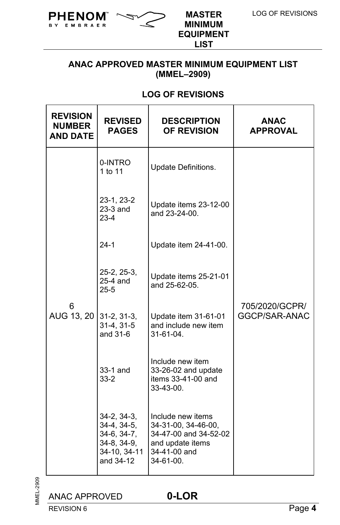

**MINIMUM EQUIPMENT LIST**

## **ANAC APPROVED MASTER MINIMUM EQUIPMENT LIST (MMEL–2909)**

## **LOG OF REVISIONS**

| <b>REVISION</b><br><b>NUMBER</b><br><b>AND DATE</b> | <b>REVISED</b><br><b>PAGES</b>                                                        | <b>DESCRIPTION</b><br><b>OF REVISION</b>                                                                           | <b>ANAC</b><br><b>APPROVAL</b>  |
|-----------------------------------------------------|---------------------------------------------------------------------------------------|--------------------------------------------------------------------------------------------------------------------|---------------------------------|
|                                                     | 0-INTRO<br>1 to 11                                                                    | Update Definitions.                                                                                                |                                 |
|                                                     | 23-1, 23-2<br>$23-3$ and<br>$23-4$                                                    | Update items 23-12-00<br>and 23-24-00.                                                                             |                                 |
|                                                     | $24-1$                                                                                | Update item 24-41-00.                                                                                              |                                 |
|                                                     | 25-2, 25-3,<br>25-4 and<br>$25 - 5$<br>$31-2, 31-3,$<br>$31-4, 31-5$<br>and 31-6      | Update items 25-21-01<br>and 25-62-05.                                                                             |                                 |
| 6<br>AUG 13, 20                                     |                                                                                       | Update item 31-61-01<br>and include new item<br>31-61-04.                                                          | 705/2020/GCPR/<br>GGCP/SAR-ANAC |
|                                                     | 33-1 and<br>$33 - 2$                                                                  | Include new item<br>33-26-02 and update<br>items 33-41-00 and<br>33-43-00.                                         |                                 |
|                                                     | 34-2, 34-3,<br>34-4, 34-5,<br>34-6, 34-7,<br>34-8, 34-9,<br>34-10, 34-11<br>and 34-12 | Include new items<br>34-31-00, 34-46-00,<br>34-47-00 and 34-52-02<br>and update items<br>34-41-00 and<br>34-61-00. |                                 |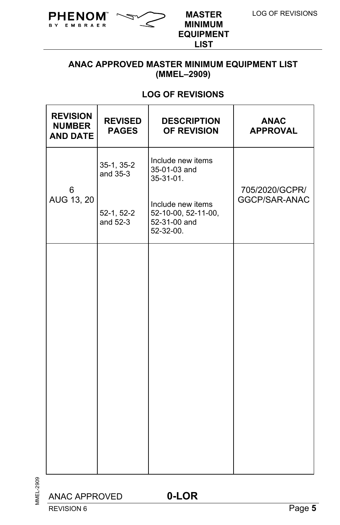

**MINIMUM EQUIPMENT LIST**

## **ANAC APPROVED MASTER MINIMUM EQUIPMENT LIST (MMEL–2909)**

## **LOG OF REVISIONS**

| <b>REVISION</b><br><b>NUMBER</b><br><b>AND DATE</b> | <b>REVISED</b><br><b>PAGES</b> | <b>DESCRIPTION</b><br><b>OF REVISION</b>                              | <b>ANAC</b><br><b>APPROVAL</b> |
|-----------------------------------------------------|--------------------------------|-----------------------------------------------------------------------|--------------------------------|
| 6                                                   | $35-1, 35-2$<br>and 35-3       | Include new items<br>35-01-03 and<br>35-31-01.                        | 705/2020/GCPR/                 |
| AUG 13, 20                                          | 52-1, 52-2<br>and 52-3         | Include new items<br>52-10-00, 52-11-00,<br>52-31-00 and<br>52-32-00. | GGCP/SAR-ANAC                  |
|                                                     |                                |                                                                       |                                |
|                                                     |                                |                                                                       |                                |
|                                                     |                                |                                                                       |                                |
|                                                     |                                |                                                                       |                                |
|                                                     |                                |                                                                       |                                |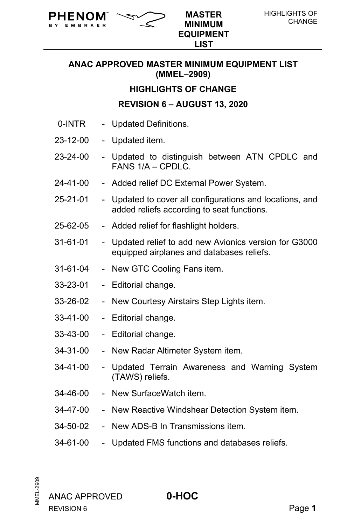

**MINIMUM EQUIPMENT LIST**

#### **HIGHLIGHTS OF CHANGE**

#### **REVISION 6 – AUGUST 13, 2020**

0-INTR - Updated Definitions.

**PHENOM**  $\sim$  MASTER

- 23-12-00 Updated item.
- 23-24-00 Updated to distinguish between ATN CPDLC and FANS 1/A – CPDLC.
- 24-41-00 Added relief DC External Power System.
- 25-21-01 Updated to cover all configurations and locations, and added reliefs according to seat functions.
- 25-62-05 Added relief for flashlight holders.
- 31-61-01 Updated relief to add new Avionics version for G3000 equipped airplanes and databases reliefs.
- 31-61-04 New GTC Cooling Fans item.
- 33-23-01 Editorial change.
- 33-26-02 New Courtesy Airstairs Step Lights item.
- 33-41-00 Editorial change.
- 33-43-00 Editorial change.
- 34-31-00 New Radar Altimeter System item.
- 34-41-00 Updated Terrain Awareness and Warning System (TAWS) reliefs.
- 34-46-00 New SurfaceWatch item.
- 34-47-00 New Reactive Windshear Detection System item.
- 34-50-02 New ADS-B In Transmissions item.
- 34-61-00 Updated FMS functions and databases reliefs.

MMEL-2909 **INEL-2909**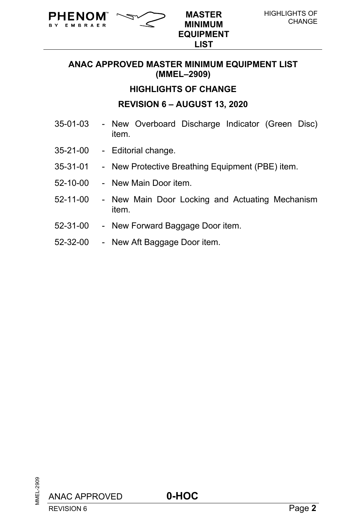

**TM MASTER MINIMUM EQUIPMENT LIST**

#### **HIGHLIGHTS OF CHANGE**

#### **REVISION 6 – AUGUST 13, 2020**

- 35-01-03 New Overboard Discharge Indicator (Green Disc) item.
- 35-21-00 Editorial change.

PHENOM EMBRAER

- 35-31-01 New Protective Breathing Equipment (PBE) item.
- 52-10-00 New Main Door item.
- 52-11-00 New Main Door Locking and Actuating Mechanism item.
- 52-31-00 New Forward Baggage Door item.
- 52-32-00 New Aft Baggage Door item.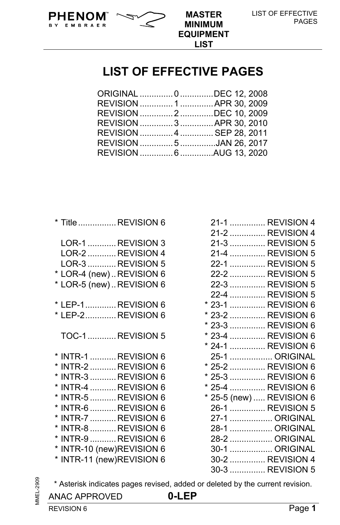



**LIST**

## **LIST OF EFFECTIVE PAGES**

| ORIGINAL  0 DEC 12, 2008  |  |
|---------------------------|--|
| REVISION  1  APR 30, 2009 |  |
| REVISION 2 DEC 10, 2009   |  |
| REVISION 3  APR 30, 2010  |  |
| REVISION 4  SEP 28, 2011  |  |
| REVISION 5 JAN 26, 2017   |  |
| REVISION 6 AUG 13, 2020   |  |
|                           |  |

| INTR-9 REVISION 6                                  |  |                                                                                                                                                                                                                                                                                                                                                                                |
|----------------------------------------------------|--|--------------------------------------------------------------------------------------------------------------------------------------------------------------------------------------------------------------------------------------------------------------------------------------------------------------------------------------------------------------------------------|
| INTR-10 (new)REVISION 6<br>INTR-11 (new)REVISION 6 |  |                                                                                                                                                                                                                                                                                                                                                                                |
|                                                    |  | * Title REVISION 6<br>LOR-1 REVISION 3<br>LOR-2 REVISION 4<br>LOR-3 REVISION 5<br>* LOR-4 (new)REVISION 6<br>* LOR-5 (new)REVISION 6<br>* LEP-1REVISION 6<br>* LEP-2 REVISION 6<br>TOC-1  REVISION 5<br>INTR-1 REVISION 6<br>INTR-2 REVISION 6<br>INTR-3 REVISION 6<br>INTR-4 REVISION 6<br>INTR-5  REVISION 6<br>INTR-6 REVISION 6<br>INTR-7 REVISION 6<br>INTR-8  REVISION 6 |

|   |                          | 21-1  REVISION 4 |
|---|--------------------------|------------------|
|   |                          | 21-2  REVISION 4 |
|   |                          | 21-3  REVISION 5 |
|   |                          | 21-4  REVISION 5 |
|   |                          | 22-1  REVISION 5 |
|   |                          | 22-2  REVISION 5 |
|   |                          | 22-3  REVISION 5 |
|   |                          | 22-4  REVISION 5 |
|   |                          | 23-1  REVISION 6 |
|   |                          | 23-2  REVISION 6 |
| * |                          | 23-3  REVISION 6 |
|   |                          | 23-4  REVISION 6 |
|   |                          | 24-1  REVISION 6 |
|   |                          | 25-1  ORIGINAL   |
|   |                          | 25-2  REVISION 6 |
|   |                          | 25-3  REVISION 6 |
|   |                          | 25-4  REVISION 6 |
|   | * 25-5 (new)  REVISION 6 |                  |
|   |                          | 26-1  REVISION 5 |
|   |                          | 27-1  ORIGINAL   |
|   |                          | 28-1  ORIGINAL   |
|   |                          | 28-2  ORIGINAL   |
|   |                          | 30-1  ORIGINAL   |
|   |                          | 30-2  REVISION 4 |
|   |                          | 30-3  REVISION 5 |

\* Asterisk indicates pages revised, added or deleted by the current revision.

## ANAC APPROVED **0-LEP**

MMEL-2909

**MMEL-2909**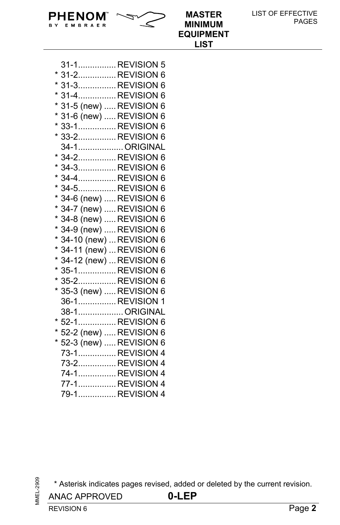| LIST OF EFFECTIVE |  |
|-------------------|--|
| <b>PAGES</b>      |  |

|                           | <b>EQUIPMENT</b><br><b>LIST</b> |
|---------------------------|---------------------------------|
|                           |                                 |
| 31-1REVISION 5            |                                 |
| * 31-2REVISION 6          |                                 |
| * 31-3REVISION 6          |                                 |
| * 31-4REVISION 6          |                                 |
| * 31-5 (new)  REVISION 6  |                                 |
| * 31-6 (new)  REVISION 6  |                                 |
| * 33-1REVISION 6          |                                 |
| * 33-2REVISION 6          |                                 |
| 34-1ORIGINAL              |                                 |
| * 34-2REVISION 6          |                                 |
| * 34-3REVISION 6          |                                 |
| * 34-4REVISION 6          |                                 |
| * 34-5REVISION 6          |                                 |
| * 34-6 (new)  REVISION 6  |                                 |
| * 34-7 (new)  REVISION 6  |                                 |
| * 34-8 (new)  REVISION 6  |                                 |
| * 34-9 (new)  REVISION 6  |                                 |
| * 34-10 (new)  REVISION 6 |                                 |
| * 34-11 (new)  REVISION 6 |                                 |
| * 34-12 (new)  REVISION 6 |                                 |
| * 35-1REVISION 6          |                                 |
| * 35-2REVISION 6          |                                 |
| * 35-3 (new)  REVISION 6  |                                 |
| 36-1REVISION 1            |                                 |
| 38-1 ORIGINAL             |                                 |
| * 52-1REVISION 6          |                                 |
| * 52-2 (new)  REVISION 6  |                                 |
| * 52-3 (new)  REVISION 6  |                                 |
| 73-1 REVISION 4           |                                 |
| 73-2REVISION 4            |                                 |
| 74-1 REVISION 4           |                                 |
| 77-1REVISION 4            |                                 |
| 79-1REVISION 4            |                                 |

**MINIMUM** 

**PHENOM**  $\sim$  **MASTER** 

**B** Y

Ē,

EMBRAER

\* Asterisk indicates pages revised, added or deleted by the current revision.

ANAC APPROVED **0-LEP**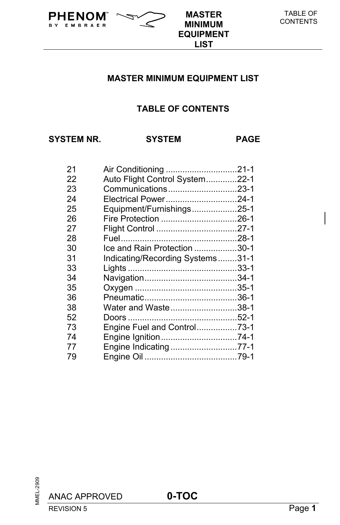## **MASTER MINIMUM EQUIPMENT LIST**

**MINIMUM EQUIPMENT LIST**

## **TABLE OF CONTENTS**

**SYSTEM NR. SYSTEM PAGE** 

B Y

EMBRAER

**PHENOM**  $\sim$  **MASTER** 

| 21 |                                  |  |
|----|----------------------------------|--|
| 22 | Auto Flight Control System22-1   |  |
| 23 | Communications23-1               |  |
| 24 | Electrical Power24-1             |  |
| 25 | Equipment/Furnishings25-1        |  |
| 26 |                                  |  |
| 27 |                                  |  |
| 28 |                                  |  |
| 30 | Ice and Rain Protection 30-1     |  |
| 31 | Indicating/Recording Systems31-1 |  |
| 33 |                                  |  |
| 34 |                                  |  |
| 35 |                                  |  |
| 36 |                                  |  |
| 38 | Water and Waste38-1              |  |
| 52 |                                  |  |
| 73 | Engine Fuel and Control73-1      |  |
| 74 | Engine Ignition74-1              |  |
| 77 | Engine Indicating 77-1           |  |
| 79 |                                  |  |
|    |                                  |  |

ANAC APPROVED **0-TOC**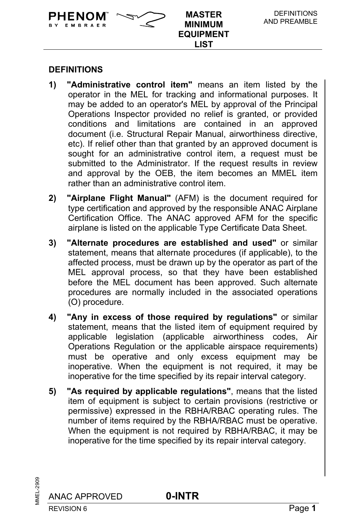

**PHENOM**  $\sim$  MASTER

**1) "Administrative control item"** means an item listed by the operator in the MEL for tracking and informational purposes. It may be added to an operator's MEL by approval of the Principal Operations Inspector provided no relief is granted, or provided conditions and limitations are contained in an approved document (i.e. Structural Repair Manual, airworthiness directive, etc). If relief other than that granted by an approved document is sought for an administrative control item, a request must be submitted to the Administrator. If the request results in review and approval by the OEB, the item becomes an MMEL item rather than an administrative control item.

**MINIMUM EQUIPMENT LIST**

- **2) "Airplane Flight Manual"** (AFM) is the document required for type certification and approved by the responsible ANAC Airplane Certification Office. The ANAC approved AFM for the specific airplane is listed on the applicable Type Certificate Data Sheet.
- **3) "Alternate procedures are established and used"** or similar statement, means that alternate procedures (if applicable), to the affected process, must be drawn up by the operator as part of the MEL approval process, so that they have been established before the MEL document has been approved. Such alternate procedures are normally included in the associated operations (O) procedure.
- **4) "Any in excess of those required by regulations"** or similar statement, means that the listed item of equipment required by applicable legislation (applicable airworthiness codes, Air Operations Regulation or the applicable airspace requirements) must be operative and only excess equipment may be inoperative. When the equipment is not required, it may be inoperative for the time specified by its repair interval category.
- **5) "As required by applicable regulations"**, means that the listed item of equipment is subject to certain provisions (restrictive or permissive) expressed in the RBHA/RBAC operating rules. The number of items required by the RBHA/RBAC must be operative. When the equipment is not required by RBHA/RBAC, it may be inoperative for the time specified by its repair interval category.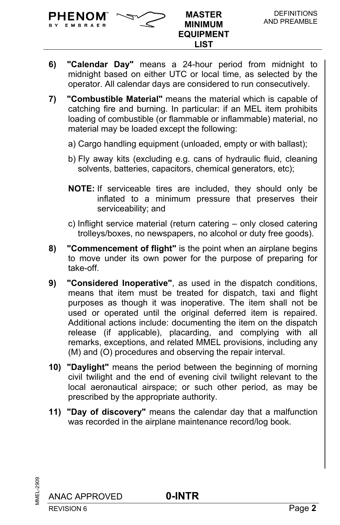

EMBRAER

- **6) "Calendar Day"** means a 24-hour period from midnight to midnight based on either UTC or local time, as selected by the operator. All calendar days are considered to run consecutively.
- **7) "Combustible Material"** means the material which is capable of catching fire and burning. In particular: if an MEL item prohibits loading of combustible (or flammable or inflammable) material, no material may be loaded except the following:
	- a) Cargo handling equipment (unloaded, empty or with ballast);
	- b) Fly away kits (excluding e.g. cans of hydraulic fluid, cleaning solvents, batteries, capacitors, chemical generators, etc);
	- **NOTE:** If serviceable tires are included, they should only be inflated to a minimum pressure that preserves their serviceability; and
	- c) Inflight service material (return catering only closed catering trolleys/boxes, no newspapers, no alcohol or duty free goods).
- **8) "Commencement of flight"** is the point when an airplane begins to move under its own power for the purpose of preparing for take-off.
- **9) "Considered Inoperative"**, as used in the dispatch conditions, means that item must be treated for dispatch, taxi and flight purposes as though it was inoperative. The item shall not be used or operated until the original deferred item is repaired. Additional actions include: documenting the item on the dispatch release (if applicable), placarding, and complying with all remarks, exceptions, and related MMEL provisions, including any (M) and (O) procedures and observing the repair interval.
- **10) "Daylight"** means the period between the beginning of morning civil twilight and the end of evening civil twilight relevant to the local aeronautical airspace; or such other period, as may be prescribed by the appropriate authority.
- **11) "Day of discovery"** means the calendar day that a malfunction was recorded in the airplane maintenance record/log book.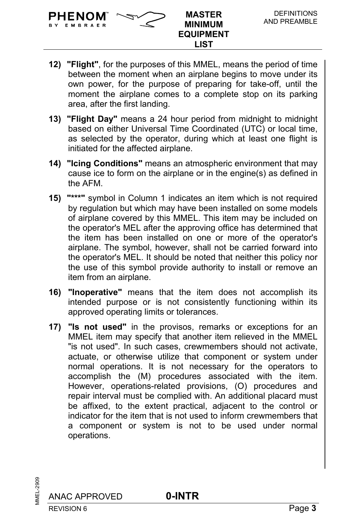EMBRAER

- **12) "Flight"**, for the purposes of this MMEL, means the period of time between the moment when an airplane begins to move under its own power, for the purpose of preparing for take-off, until the moment the airplane comes to a complete stop on its parking area, after the first landing.
- **13) "Flight Day"** means a 24 hour period from midnight to midnight based on either Universal Time Coordinated (UTC) or local time, as selected by the operator, during which at least one flight is initiated for the affected airplane.
- **14) "Icing Conditions"** means an atmospheric environment that may cause ice to form on the airplane or in the engine(s) as defined in the AFM.
- **15) "\*\*\*"** symbol in Column 1 indicates an item which is not required by regulation but which may have been installed on some models of airplane covered by this MMEL. This item may be included on the operator's MEL after the approving office has determined that the item has been installed on one or more of the operator's airplane. The symbol, however, shall not be carried forward into the operator's MEL. It should be noted that neither this policy nor the use of this symbol provide authority to install or remove an item from an airplane.
- **16) "Inoperative"** means that the item does not accomplish its intended purpose or is not consistently functioning within its approved operating limits or tolerances.
- **17) "Is not used"** in the provisos, remarks or exceptions for an MMEL item may specify that another item relieved in the MMEL "is not used". In such cases, crewmembers should not activate, actuate, or otherwise utilize that component or system under normal operations. It is not necessary for the operators to accomplish the (M) procedures associated with the item. However, operations-related provisions, (O) procedures and repair interval must be complied with. An additional placard must be affixed, to the extent practical, adjacent to the control or indicator for the item that is not used to inform crewmembers that a component or system is not to be used under normal operations.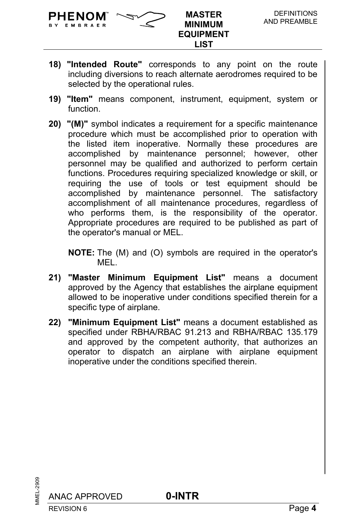

**MINIMUM EQUIPMENT LIST**

- **18) "Intended Route"** corresponds to any point on the route including diversions to reach alternate aerodromes required to be selected by the operational rules.
- **19) "Item"** means component, instrument, equipment, system or function.
- **20) "(M)"** symbol indicates a requirement for a specific maintenance procedure which must be accomplished prior to operation with the listed item inoperative. Normally these procedures are accomplished by maintenance personnel; however, other personnel may be qualified and authorized to perform certain functions. Procedures requiring specialized knowledge or skill, or requiring the use of tools or test equipment should be accomplished by maintenance personnel. The satisfactory accomplishment of all maintenance procedures, regardless of who performs them, is the responsibility of the operator. Appropriate procedures are required to be published as part of the operator's manual or MEL.

**NOTE:** The (M) and (O) symbols are required in the operator's MEL.

- **21) "Master Minimum Equipment List"** means a document approved by the Agency that establishes the airplane equipment allowed to be inoperative under conditions specified therein for a specific type of airplane.
- **22) "Minimum Equipment List"** means a document established as specified under RBHA/RBAC 91.213 and RBHA/RBAC 135.179 and approved by the competent authority, that authorizes an operator to dispatch an airplane with airplane equipment inoperative under the conditions specified therein.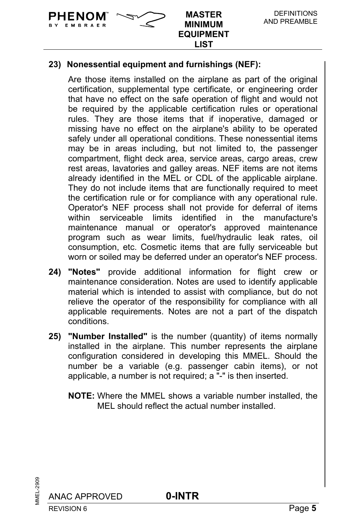PHENOM EMBRAER

> Are those items installed on the airplane as part of the original certification, supplemental type certificate, or engineering order that have no effect on the safe operation of flight and would not be required by the applicable certification rules or operational rules. They are those items that if inoperative, damaged or missing have no effect on the airplane's ability to be operated safely under all operational conditions. These nonessential items may be in areas including, but not limited to, the passenger compartment, flight deck area, service areas, cargo areas, crew rest areas, lavatories and galley areas. NEF items are not items already identified in the MEL or CDL of the applicable airplane. They do not include items that are functionally required to meet the certification rule or for compliance with any operational rule. Operator's NEF process shall not provide for deferral of items within serviceable limits identified in the manufacture's maintenance manual or operator's approved maintenance program such as wear limits, fuel/hydraulic leak rates, oil consumption, etc. Cosmetic items that are fully serviceable but worn or soiled may be deferred under an operator's NEF process.

**TM MASTER MINIMUM EQUIPMENT LIST**

- **24) "Notes"** provide additional information for flight crew or maintenance consideration. Notes are used to identify applicable material which is intended to assist with compliance, but do not relieve the operator of the responsibility for compliance with all applicable requirements. Notes are not a part of the dispatch conditions.
- **25) "Number Installed"** is the number (quantity) of items normally installed in the airplane. This number represents the airplane configuration considered in developing this MMEL. Should the number be a variable (e.g. passenger cabin items), or not applicable, a number is not required; a "-" is then inserted.
	- **NOTE:** Where the MMEL shows a variable number installed, the MEL should reflect the actual number installed.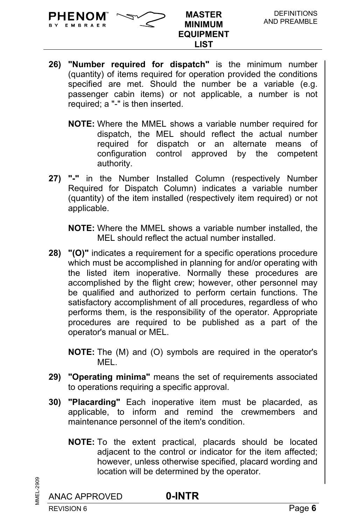

- **26) "Number required for dispatch"** is the minimum number (quantity) of items required for operation provided the conditions specified are met. Should the number be a variable (e.g. passenger cabin items) or not applicable, a number is not required; a "-" is then inserted.
	- **NOTE:** Where the MMEL shows a variable number required for dispatch, the MEL should reflect the actual number required for dispatch or an alternate means of configuration control approved by the competent authority.
- **27) "-"** in the Number Installed Column (respectively Number Required for Dispatch Column) indicates a variable number (quantity) of the item installed (respectively item required) or not applicable.

**NOTE:** Where the MMEL shows a variable number installed, the MEL should reflect the actual number installed.

**28) "(O)"** indicates a requirement for a specific operations procedure which must be accomplished in planning for and/or operating with the listed item inoperative. Normally these procedures are accomplished by the flight crew; however, other personnel may be qualified and authorized to perform certain functions. The satisfactory accomplishment of all procedures, regardless of who performs them, is the responsibility of the operator. Appropriate procedures are required to be published as a part of the operator's manual or MEL.

**NOTE:** The (M) and (O) symbols are required in the operator's **MFL.** 

- **29) "Operating minima"** means the set of requirements associated to operations requiring a specific approval.
- **30) "Placarding"** Each inoperative item must be placarded, as applicable, to inform and remind the crewmembers and maintenance personnel of the item's condition.
	- **NOTE:** To the extent practical, placards should be located adjacent to the control or indicator for the item affected; however, unless otherwise specified, placard wording and location will be determined by the operator.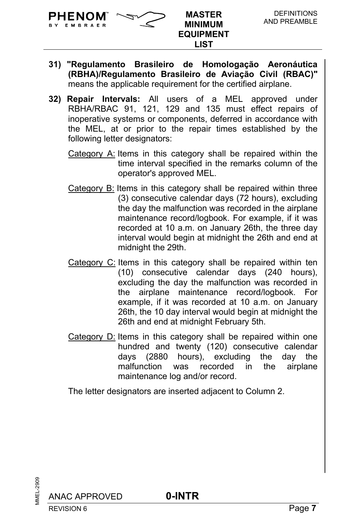EMBRAER

- **31) "Regulamento Brasileiro de Homologação Aeronáutica (RBHA)/Regulamento Brasileiro de Aviação Civil (RBAC)"** means the applicable requirement for the certified airplane.
- **32) Repair Intervals:** All users of a MEL approved under RBHA/RBAC 91, 121, 129 and 135 must effect repairs of inoperative systems or components, deferred in accordance with the MEL, at or prior to the repair times established by the following letter designators:
	- Category A: Items in this category shall be repaired within the time interval specified in the remarks column of the operator's approved MEL.
	- Category B: Items in this category shall be repaired within three (3) consecutive calendar days (72 hours), excluding the day the malfunction was recorded in the airplane maintenance record/logbook. For example, if it was recorded at 10 a.m. on January 26th, the three day interval would begin at midnight the 26th and end at midnight the 29th.
	- Category C: Items in this category shall be repaired within ten (10) consecutive calendar days (240 hours), excluding the day the malfunction was recorded in the airplane maintenance record/logbook. For example, if it was recorded at 10 a.m. on January 26th, the 10 day interval would begin at midnight the 26th and end at midnight February 5th.
	- Category D: Items in this category shall be repaired within one hundred and twenty (120) consecutive calendar days (2880 hours), excluding the day the malfunction was recorded in the airplane maintenance log and/or record.

The letter designators are inserted adjacent to Column 2.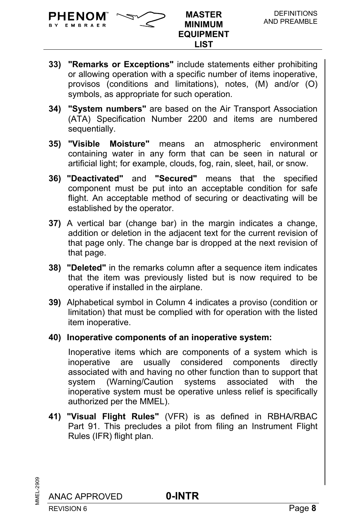

- **33) "Remarks or Exceptions"** include statements either prohibiting or allowing operation with a specific number of items inoperative, provisos (conditions and limitations), notes, (M) and/or (O) symbols, as appropriate for such operation.
- **34) "System numbers"** are based on the Air Transport Association (ATA) Specification Number 2200 and items are numbered sequentially.
- **35) "Visible Moisture"** means an atmospheric environment containing water in any form that can be seen in natural or artificial light; for example, clouds, fog, rain, sleet, hail, or snow.
- **36) "Deactivated"** and **"Secured"** means that the specified component must be put into an acceptable condition for safe flight. An acceptable method of securing or deactivating will be established by the operator.
- **37)** A vertical bar (change bar) in the margin indicates a change, addition or deletion in the adjacent text for the current revision of that page only. The change bar is dropped at the next revision of that page.
- **38) "Deleted"** in the remarks column after a sequence item indicates that the item was previously listed but is now required to be operative if installed in the airplane.
- **39)** Alphabetical symbol in Column 4 indicates a proviso (condition or limitation) that must be complied with for operation with the listed item inoperative.
- **40) Inoperative components of an inoperative system:**

Inoperative items which are components of a system which is inoperative are usually considered components directly associated with and having no other function than to support that system (Warning/Caution systems associated with the inoperative system must be operative unless relief is specifically authorized per the MMEL).

**41) "Visual Flight Rules"** (VFR) is as defined in RBHA/RBAC Part 91. This precludes a pilot from filing an Instrument Flight Rules (IFR) flight plan.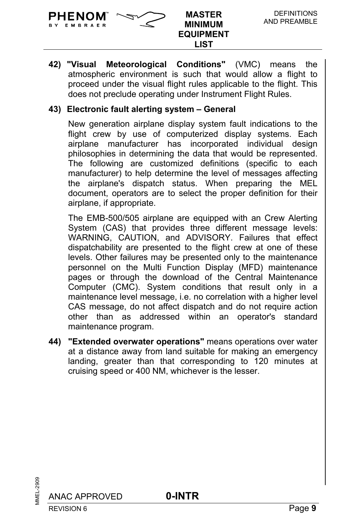

**42) "Visual Meteorological Conditions"** (VMC) means the atmospheric environment is such that would allow a flight to proceed under the visual flight rules applicable to the flight. This does not preclude operating under Instrument Flight Rules.

## **43) Electronic fault alerting system – General**

New generation airplane display system fault indications to the flight crew by use of computerized display systems. Each airplane manufacturer has incorporated individual design philosophies in determining the data that would be represented. The following are customized definitions (specific to each manufacturer) to help determine the level of messages affecting the airplane's dispatch status. When preparing the MEL document, operators are to select the proper definition for their airplane, if appropriate.

The EMB-500/505 airplane are equipped with an Crew Alerting System (CAS) that provides three different message levels: WARNING, CAUTION, and ADVISORY. Failures that effect dispatchability are presented to the flight crew at one of these levels. Other failures may be presented only to the maintenance personnel on the Multi Function Display (MFD) maintenance pages or through the download of the Central Maintenance Computer (CMC). System conditions that result only in a maintenance level message, i.e. no correlation with a higher level CAS message, do not affect dispatch and do not require action other than as addressed within an operator's standard maintenance program.

**44) "Extended overwater operations"** means operations over water at a distance away from land suitable for making an emergency landing, greater than that corresponding to 120 minutes at cruising speed or 400 NM, whichever is the lesser.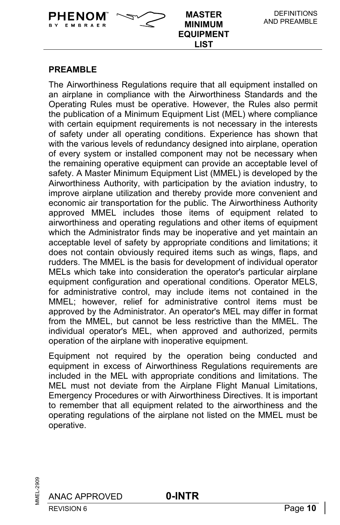

## **PREAMBLE**

The Airworthiness Regulations require that all equipment installed on an airplane in compliance with the Airworthiness Standards and the Operating Rules must be operative. However, the Rules also permit the publication of a Minimum Equipment List (MEL) where compliance with certain equipment requirements is not necessary in the interests of safety under all operating conditions. Experience has shown that with the various levels of redundancy designed into airplane, operation of every system or installed component may not be necessary when the remaining operative equipment can provide an acceptable level of safety. A Master Minimum Equipment List (MMEL) is developed by the Airworthiness Authority, with participation by the aviation industry, to improve airplane utilization and thereby provide more convenient and economic air transportation for the public. The Airworthiness Authority approved MMEL includes those items of equipment related to airworthiness and operating regulations and other items of equipment which the Administrator finds may be inoperative and yet maintain an acceptable level of safety by appropriate conditions and limitations; it does not contain obviously required items such as wings, flaps, and rudders. The MMEL is the basis for development of individual operator MELs which take into consideration the operator's particular airplane equipment configuration and operational conditions. Operator MELS, for administrative control, may include items not contained in the MMEL; however, relief for administrative control items must be approved by the Administrator. An operator's MEL may differ in format from the MMEL, but cannot be less restrictive than the MMEL. The individual operator's MEL, when approved and authorized, permits operation of the airplane with inoperative equipment.

Equipment not required by the operation being conducted and equipment in excess of Airworthiness Regulations requirements are included in the MEL with appropriate conditions and limitations. The MEL must not deviate from the Airplane Flight Manual Limitations, Emergency Procedures or with Airworthiness Directives. It is important to remember that all equipment related to the airworthiness and the operating regulations of the airplane not listed on the MMEL must be operative.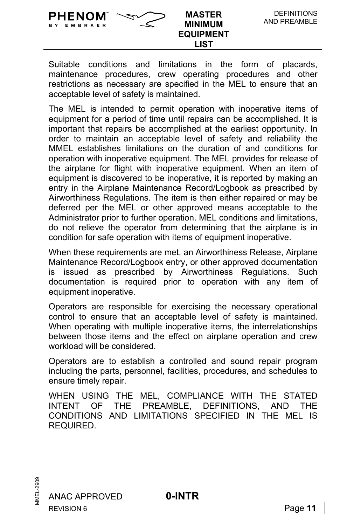Suitable conditions and limitations in the form of placards, maintenance procedures, crew operating procedures and other restrictions as necessary are specified in the MEL to ensure that an acceptable level of safety is maintained.

**MINIMUM EQUIPMENT LIST**

**PHENOM**  $\sim$  MASTER

BY EMBRAER

The MEL is intended to permit operation with inoperative items of equipment for a period of time until repairs can be accomplished. It is important that repairs be accomplished at the earliest opportunity. In order to maintain an acceptable level of safety and reliability the MMEL establishes limitations on the duration of and conditions for operation with inoperative equipment. The MEL provides for release of the airplane for flight with inoperative equipment. When an item of equipment is discovered to be inoperative, it is reported by making an entry in the Airplane Maintenance Record/Logbook as prescribed by Airworthiness Regulations. The item is then either repaired or may be deferred per the MEL or other approved means acceptable to the Administrator prior to further operation. MEL conditions and limitations, do not relieve the operator from determining that the airplane is in condition for safe operation with items of equipment inoperative.

When these requirements are met, an Airworthiness Release, Airplane Maintenance Record/Logbook entry, or other approved documentation is issued as prescribed by Airworthiness Regulations. Such documentation is required prior to operation with any item of equipment inoperative.

Operators are responsible for exercising the necessary operational control to ensure that an acceptable level of safety is maintained. When operating with multiple inoperative items, the interrelationships between those items and the effect on airplane operation and crew workload will be considered.

Operators are to establish a controlled and sound repair program including the parts, personnel, facilities, procedures, and schedules to ensure timely repair.

WHEN USING THE MEL, COMPLIANCE WITH THE STATED INTENT OF THE PREAMBLE, DEFINITIONS, AND THE CONDITIONS AND LIMITATIONS SPECIFIED IN THE MEL IS REQUIRED.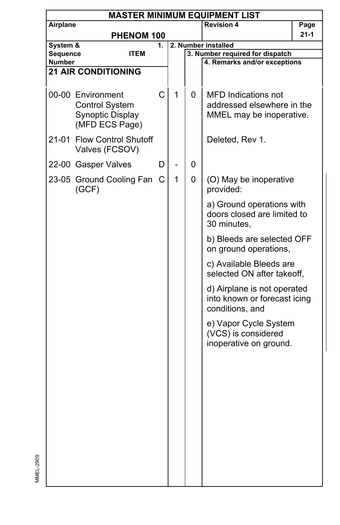| Airplane<br><b>Revision 4</b><br>Page<br>$21 - 1$<br>PHENOM 100<br>System &<br>2. Number installed<br>1.<br>Sequence<br>3. Number required for dispatch<br><b>ITEM</b><br>4. Remarks and/or exceptions<br><b>Number</b><br><b>21 AIR CONDITIONING</b><br>C<br>1<br>00-00 Environment<br>0<br><b>MFD</b> Indications not<br><b>Control System</b><br>addressed elsewhere in the<br>Synoptic Display<br>MMEL may be inoperative.<br>(MFD ECS Page)<br>21-01 Flow Control Shutoff<br>Deleted, Rev 1.<br>Valves (FCSOV)<br>0<br>22-00 Gasper Valves<br>D<br>$\mathbf{1}$<br>23-05 Ground Cooling Fan C<br>0<br>(O) May be inoperative<br>(GCF)<br>provided:<br>a) Ground operations with<br>doors closed are limited to<br>30 minutes,<br>b) Bleeds are selected OFF<br>on ground operations,<br>c) Available Bleeds are<br>selected ON after takeoff,<br>d) Airplane is not operated<br>into known or forecast icing<br>conditions, and<br>e) Vapor Cycle System<br>(VCS) is considered<br>inoperative on ground. | <b>MASTER MINIMUM EQUIPMENT LIST</b> |  |  |  |  |  |
|----------------------------------------------------------------------------------------------------------------------------------------------------------------------------------------------------------------------------------------------------------------------------------------------------------------------------------------------------------------------------------------------------------------------------------------------------------------------------------------------------------------------------------------------------------------------------------------------------------------------------------------------------------------------------------------------------------------------------------------------------------------------------------------------------------------------------------------------------------------------------------------------------------------------------------------------------------------------------------------------------------------|--------------------------------------|--|--|--|--|--|
|                                                                                                                                                                                                                                                                                                                                                                                                                                                                                                                                                                                                                                                                                                                                                                                                                                                                                                                                                                                                                |                                      |  |  |  |  |  |
|                                                                                                                                                                                                                                                                                                                                                                                                                                                                                                                                                                                                                                                                                                                                                                                                                                                                                                                                                                                                                |                                      |  |  |  |  |  |
|                                                                                                                                                                                                                                                                                                                                                                                                                                                                                                                                                                                                                                                                                                                                                                                                                                                                                                                                                                                                                |                                      |  |  |  |  |  |
|                                                                                                                                                                                                                                                                                                                                                                                                                                                                                                                                                                                                                                                                                                                                                                                                                                                                                                                                                                                                                |                                      |  |  |  |  |  |
|                                                                                                                                                                                                                                                                                                                                                                                                                                                                                                                                                                                                                                                                                                                                                                                                                                                                                                                                                                                                                |                                      |  |  |  |  |  |
|                                                                                                                                                                                                                                                                                                                                                                                                                                                                                                                                                                                                                                                                                                                                                                                                                                                                                                                                                                                                                |                                      |  |  |  |  |  |
|                                                                                                                                                                                                                                                                                                                                                                                                                                                                                                                                                                                                                                                                                                                                                                                                                                                                                                                                                                                                                |                                      |  |  |  |  |  |
|                                                                                                                                                                                                                                                                                                                                                                                                                                                                                                                                                                                                                                                                                                                                                                                                                                                                                                                                                                                                                |                                      |  |  |  |  |  |
|                                                                                                                                                                                                                                                                                                                                                                                                                                                                                                                                                                                                                                                                                                                                                                                                                                                                                                                                                                                                                |                                      |  |  |  |  |  |
|                                                                                                                                                                                                                                                                                                                                                                                                                                                                                                                                                                                                                                                                                                                                                                                                                                                                                                                                                                                                                |                                      |  |  |  |  |  |
|                                                                                                                                                                                                                                                                                                                                                                                                                                                                                                                                                                                                                                                                                                                                                                                                                                                                                                                                                                                                                |                                      |  |  |  |  |  |
|                                                                                                                                                                                                                                                                                                                                                                                                                                                                                                                                                                                                                                                                                                                                                                                                                                                                                                                                                                                                                |                                      |  |  |  |  |  |
|                                                                                                                                                                                                                                                                                                                                                                                                                                                                                                                                                                                                                                                                                                                                                                                                                                                                                                                                                                                                                |                                      |  |  |  |  |  |
|                                                                                                                                                                                                                                                                                                                                                                                                                                                                                                                                                                                                                                                                                                                                                                                                                                                                                                                                                                                                                |                                      |  |  |  |  |  |
|                                                                                                                                                                                                                                                                                                                                                                                                                                                                                                                                                                                                                                                                                                                                                                                                                                                                                                                                                                                                                |                                      |  |  |  |  |  |
|                                                                                                                                                                                                                                                                                                                                                                                                                                                                                                                                                                                                                                                                                                                                                                                                                                                                                                                                                                                                                |                                      |  |  |  |  |  |
|                                                                                                                                                                                                                                                                                                                                                                                                                                                                                                                                                                                                                                                                                                                                                                                                                                                                                                                                                                                                                |                                      |  |  |  |  |  |
|                                                                                                                                                                                                                                                                                                                                                                                                                                                                                                                                                                                                                                                                                                                                                                                                                                                                                                                                                                                                                |                                      |  |  |  |  |  |
|                                                                                                                                                                                                                                                                                                                                                                                                                                                                                                                                                                                                                                                                                                                                                                                                                                                                                                                                                                                                                |                                      |  |  |  |  |  |
|                                                                                                                                                                                                                                                                                                                                                                                                                                                                                                                                                                                                                                                                                                                                                                                                                                                                                                                                                                                                                |                                      |  |  |  |  |  |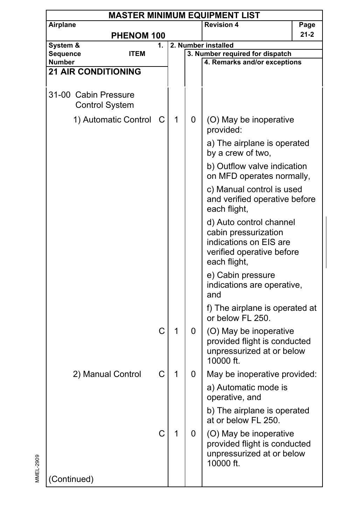| <b>MASTER MINIMUM EQUIPMENT LIST</b> |                                               |             |   |   |                                                                                                                        |          |  |  |  |
|--------------------------------------|-----------------------------------------------|-------------|---|---|------------------------------------------------------------------------------------------------------------------------|----------|--|--|--|
| Airplane                             |                                               |             |   |   | <b>Revision 4</b>                                                                                                      | Page     |  |  |  |
|                                      | PHENOM 100                                    |             |   |   |                                                                                                                        | $21 - 2$ |  |  |  |
| System &                             |                                               | 1.          |   |   | 2. Number installed                                                                                                    |          |  |  |  |
| Sequence                             | <b>ITEM</b>                                   |             |   |   | 3. Number required for dispatch                                                                                        |          |  |  |  |
| Number                               |                                               |             |   |   | 4. Remarks and/or exceptions                                                                                           |          |  |  |  |
|                                      | <b>21 AIR CONDITIONING</b>                    |             |   |   |                                                                                                                        |          |  |  |  |
|                                      | 31-00 Cabin Pressure<br><b>Control System</b> |             |   |   |                                                                                                                        |          |  |  |  |
|                                      | 1) Automatic Control                          | С           | 1 | 0 | (O) May be inoperative<br>provided:                                                                                    |          |  |  |  |
|                                      |                                               |             |   |   | a) The airplane is operated<br>by a crew of two,                                                                       |          |  |  |  |
|                                      |                                               |             |   |   | b) Outflow valve indication<br>on MFD operates normally,                                                               |          |  |  |  |
|                                      |                                               |             |   |   | c) Manual control is used<br>and verified operative before<br>each flight,                                             |          |  |  |  |
|                                      |                                               |             |   |   | d) Auto control channel<br>cabin pressurization<br>indications on EIS are<br>verified operative before<br>each flight, |          |  |  |  |
|                                      |                                               |             |   |   | e) Cabin pressure<br>indications are operative,<br>and                                                                 |          |  |  |  |
|                                      |                                               |             |   |   | f) The airplane is operated at<br>or below FL 250.                                                                     |          |  |  |  |
|                                      |                                               | C           | 1 | 0 | (O) May be inoperative<br>provided flight is conducted<br>unpressurized at or below<br>10000 ft.                       |          |  |  |  |
|                                      | 2) Manual Control                             | C           | 1 | 0 | May be inoperative provided:                                                                                           |          |  |  |  |
|                                      |                                               |             |   |   | a) Automatic mode is<br>operative, and                                                                                 |          |  |  |  |
|                                      |                                               |             |   |   | b) The airplane is operated<br>at or below FL 250.                                                                     |          |  |  |  |
|                                      |                                               | $\mathsf C$ | 1 | 0 | (O) May be inoperative<br>provided flight is conducted<br>unpressurized at or below<br>10000 ft.                       |          |  |  |  |
| (Continued)                          |                                               |             |   |   |                                                                                                                        |          |  |  |  |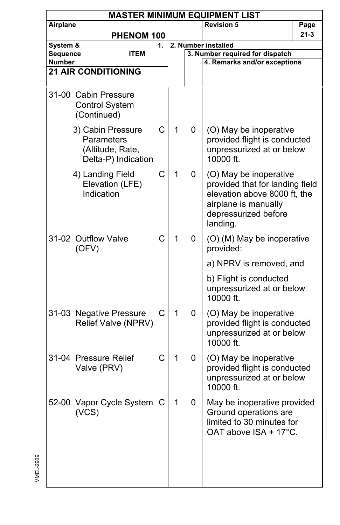|                           | <b>MASTER MINIMUM EQUIPMENT LIST</b>                                       |    |   |   |                                                                                                                                                       |          |  |  |  |  |
|---------------------------|----------------------------------------------------------------------------|----|---|---|-------------------------------------------------------------------------------------------------------------------------------------------------------|----------|--|--|--|--|
| Airplane                  |                                                                            |    |   |   | <b>Revision 5</b>                                                                                                                                     | Page     |  |  |  |  |
|                           | PHENOM 100                                                                 |    |   |   |                                                                                                                                                       | $21 - 3$ |  |  |  |  |
| System &                  |                                                                            | 1. |   |   | 2. Number installed                                                                                                                                   |          |  |  |  |  |
| Sequence<br><b>Number</b> | ITEM                                                                       |    |   |   | 3. Number required for dispatch<br>4. Remarks and/or exceptions                                                                                       |          |  |  |  |  |
|                           | <b>21 AIR CONDITIONING</b>                                                 |    |   |   |                                                                                                                                                       |          |  |  |  |  |
|                           |                                                                            |    |   |   |                                                                                                                                                       |          |  |  |  |  |
|                           | 31-00 Cabin Pressure<br><b>Control System</b><br>(Continued)               |    |   |   |                                                                                                                                                       |          |  |  |  |  |
|                           | 3) Cabin Pressure<br>Parameters<br>(Altitude, Rate,<br>Delta-P) Indication | C  | 1 | 0 | (O) May be inoperative<br>provided flight is conducted<br>unpressurized at or below<br>10000 ft.                                                      |          |  |  |  |  |
|                           | 4) Landing Field<br>Elevation (LFE)<br>Indication                          | C  | 1 | 0 | (O) May be inoperative<br>provided that for landing field<br>elevation above 8000 ft, the<br>airplane is manually<br>depressurized before<br>landing. |          |  |  |  |  |
|                           | 31-02 Outflow Valve<br>(OFV)                                               | C  | 1 | 0 | (O) (M) May be inoperative<br>provided:                                                                                                               |          |  |  |  |  |
|                           |                                                                            |    |   |   | a) NPRV is removed, and                                                                                                                               |          |  |  |  |  |
|                           |                                                                            |    |   |   | b) Flight is conducted<br>unpressurized at or below<br>10000 ft.                                                                                      |          |  |  |  |  |
|                           | 31-03 Negative Pressure<br>Relief Valve (NPRV)                             | C  | 1 | 0 | (O) May be inoperative<br>provided flight is conducted<br>unpressurized at or below<br>10000 ft.                                                      |          |  |  |  |  |
|                           | 31-04 Pressure Relief<br>Valve (PRV)                                       | C  | 1 | 0 | (O) May be inoperative<br>provided flight is conducted<br>unpressurized at or below<br>10000 ft.                                                      |          |  |  |  |  |
|                           | 52-00 Vapor Cycle System C<br>(VCS)                                        |    | 1 | 0 | May be inoperative provided<br>Ground operations are<br>limited to 30 minutes for<br>OAT above ISA + 17°C.                                            |          |  |  |  |  |
|                           |                                                                            |    |   |   |                                                                                                                                                       |          |  |  |  |  |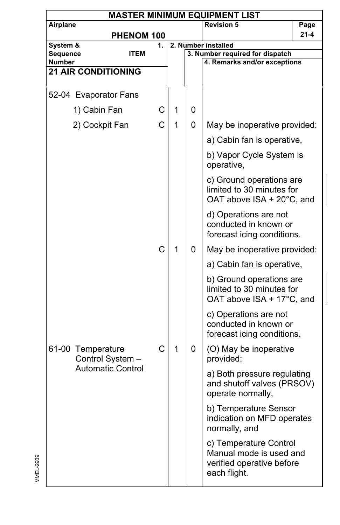| <b>MASTER MINIMUM EQUIPMENT LIST</b> |                                       |    |   |   |                                                                                                |          |  |  |  |
|--------------------------------------|---------------------------------------|----|---|---|------------------------------------------------------------------------------------------------|----------|--|--|--|
| Airplane                             |                                       |    |   |   | <b>Revision 5</b>                                                                              | Page     |  |  |  |
|                                      | <b>PHENOM 100</b>                     |    |   |   |                                                                                                | $21 - 4$ |  |  |  |
| System &                             |                                       | 1. |   |   | 2. Number installed                                                                            |          |  |  |  |
| Sequence<br>Number                   | <b>ITEM</b>                           |    |   |   | 3. Number required for dispatch<br>4. Remarks and/or exceptions                                |          |  |  |  |
|                                      | <b>21 AIR CONDITIONING</b>            |    |   |   |                                                                                                |          |  |  |  |
|                                      |                                       |    |   |   |                                                                                                |          |  |  |  |
|                                      | 52-04 Evaporator Fans                 |    |   |   |                                                                                                |          |  |  |  |
|                                      | 1) Cabin Fan                          | С  | 1 | 0 |                                                                                                |          |  |  |  |
|                                      | 2) Cockpit Fan                        | C  | 1 | 0 | May be inoperative provided:                                                                   |          |  |  |  |
|                                      |                                       |    |   |   | a) Cabin fan is operative,                                                                     |          |  |  |  |
|                                      |                                       |    |   |   | b) Vapor Cycle System is<br>operative,                                                         |          |  |  |  |
|                                      |                                       |    |   |   | c) Ground operations are<br>limited to 30 minutes for<br>OAT above ISA + 20°C, and             |          |  |  |  |
|                                      |                                       |    |   |   | d) Operations are not<br>conducted in known or<br>forecast icing conditions.                   |          |  |  |  |
|                                      |                                       | C  | 1 | 0 | May be inoperative provided:                                                                   |          |  |  |  |
|                                      |                                       |    |   |   | a) Cabin fan is operative,                                                                     |          |  |  |  |
|                                      |                                       |    |   |   | b) Ground operations are<br>limited to 30 minutes for<br>OAT above ISA + 17°C, and             |          |  |  |  |
|                                      |                                       |    |   |   | c) Operations are not<br>conducted in known or<br>forecast icing conditions.                   |          |  |  |  |
|                                      | 61-00 Temperature<br>Control System - | С  | 1 | 0 | (O) May be inoperative<br>provided:                                                            |          |  |  |  |
|                                      | <b>Automatic Control</b>              |    |   |   | a) Both pressure regulating<br>and shutoff valves (PRSOV)<br>operate normally,                 |          |  |  |  |
|                                      |                                       |    |   |   | b) Temperature Sensor<br>indication on MFD operates<br>normally, and                           |          |  |  |  |
|                                      |                                       |    |   |   | c) Temperature Control<br>Manual mode is used and<br>verified operative before<br>each flight. |          |  |  |  |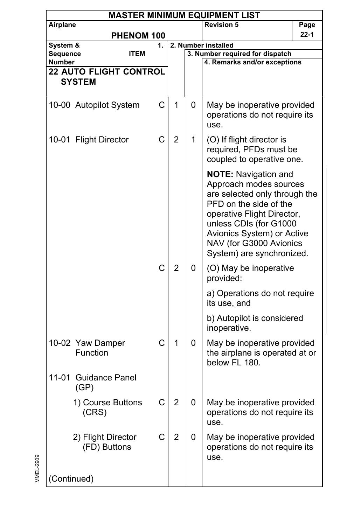|                    | <b>MASTER MINIMUM EQUIPMENT LIST</b> |    |                |   |                                                                                                                                                                                                                                                                |          |  |  |  |  |  |
|--------------------|--------------------------------------|----|----------------|---|----------------------------------------------------------------------------------------------------------------------------------------------------------------------------------------------------------------------------------------------------------------|----------|--|--|--|--|--|
| Airplane           |                                      |    |                |   | <b>Revision 5</b>                                                                                                                                                                                                                                              | Page     |  |  |  |  |  |
|                    | <b>PHENOM 100</b>                    |    |                |   |                                                                                                                                                                                                                                                                | $22 - 1$ |  |  |  |  |  |
| System &           |                                      | 1. |                |   | 2. Number installed                                                                                                                                                                                                                                            |          |  |  |  |  |  |
| Sequence<br>Number | <b>ITEM</b>                          |    |                |   | 3. Number required for dispatch<br>4. Remarks and/or exceptions                                                                                                                                                                                                |          |  |  |  |  |  |
|                    | <b>22 AUTO FLIGHT CONTROL</b>        |    |                |   |                                                                                                                                                                                                                                                                |          |  |  |  |  |  |
|                    | <b>SYSTEM</b>                        |    |                |   |                                                                                                                                                                                                                                                                |          |  |  |  |  |  |
|                    |                                      |    |                |   |                                                                                                                                                                                                                                                                |          |  |  |  |  |  |
|                    | 10-00 Autopilot System               | С  | 1              | 0 | May be inoperative provided<br>operations do not require its<br>use.                                                                                                                                                                                           |          |  |  |  |  |  |
|                    | 10-01 Flight Director                | C  | $\overline{2}$ | 1 | (O) If flight director is<br>required, PFDs must be<br>coupled to operative one.                                                                                                                                                                               |          |  |  |  |  |  |
|                    |                                      |    |                |   | <b>NOTE:</b> Navigation and<br>Approach modes sources<br>are selected only through the<br>PFD on the side of the<br>operative Flight Director,<br>unless CDIs (for G1000<br>Avionics System) or Active<br>NAV (for G3000 Avionics<br>System) are synchronized. |          |  |  |  |  |  |
|                    |                                      | C  | 2              | 0 | (O) May be inoperative<br>provided:                                                                                                                                                                                                                            |          |  |  |  |  |  |
|                    |                                      |    |                |   | a) Operations do not require<br>its use, and                                                                                                                                                                                                                   |          |  |  |  |  |  |
|                    |                                      |    |                |   | b) Autopilot is considered<br>inoperative.                                                                                                                                                                                                                     |          |  |  |  |  |  |
|                    | 10-02 Yaw Damper<br>Function         | C  | 1              | 0 | May be inoperative provided<br>the airplane is operated at or<br>below FL 180.                                                                                                                                                                                 |          |  |  |  |  |  |
| 11-01              | <b>Guidance Panel</b><br>(GP)        |    |                |   |                                                                                                                                                                                                                                                                |          |  |  |  |  |  |
|                    | 1) Course Buttons<br>(CRS)           | С  | $\overline{2}$ | 0 | May be inoperative provided<br>operations do not require its<br>use.                                                                                                                                                                                           |          |  |  |  |  |  |
|                    | 2) Flight Director<br>(FD) Buttons   | C  | $\overline{2}$ | 0 | May be inoperative provided<br>operations do not require its<br>use.                                                                                                                                                                                           |          |  |  |  |  |  |
|                    | (Continued)                          |    |                |   |                                                                                                                                                                                                                                                                |          |  |  |  |  |  |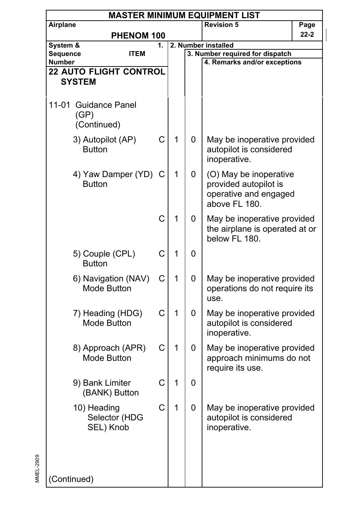|                    | <b>MASTER MINIMUM EQUIPMENT LIST</b>        |    |   |   |                                                                                           |          |  |  |  |  |
|--------------------|---------------------------------------------|----|---|---|-------------------------------------------------------------------------------------------|----------|--|--|--|--|
| Airplane           |                                             |    |   |   | <b>Revision 5</b>                                                                         | Page     |  |  |  |  |
| PHENOM 100         |                                             |    |   |   |                                                                                           | $22 - 2$ |  |  |  |  |
| System &           |                                             | 1. |   |   | 2. Number installed                                                                       |          |  |  |  |  |
| Sequence<br>Number | <b>ITEM</b>                                 |    |   |   | 3. Number required for dispatch<br>4. Remarks and/or exceptions                           |          |  |  |  |  |
|                    | <b>22 AUTO FLIGHT CONTROL</b>               |    |   |   |                                                                                           |          |  |  |  |  |
|                    | <b>SYSTEM</b>                               |    |   |   |                                                                                           |          |  |  |  |  |
|                    |                                             |    |   |   |                                                                                           |          |  |  |  |  |
|                    | 11-01 Guidance Panel<br>(GP)<br>(Continued) |    |   |   |                                                                                           |          |  |  |  |  |
|                    | 3) Autopilot (AP)<br><b>Button</b>          | C  | 1 | 0 | May be inoperative provided<br>autopilot is considered<br>inoperative.                    |          |  |  |  |  |
|                    | 4) Yaw Damper (YD)<br><b>Button</b>         | C  | 1 | 0 | (O) May be inoperative<br>provided autopilot is<br>operative and engaged<br>above FL 180. |          |  |  |  |  |
|                    |                                             | C  | 1 | 0 | May be inoperative provided<br>the airplane is operated at or<br>below FL 180.            |          |  |  |  |  |
|                    | 5) Couple (CPL)<br><b>Button</b>            | C  | 1 | 0 |                                                                                           |          |  |  |  |  |
|                    | 6) Navigation (NAV)<br>Mode Button          | C  | 1 | 0 | May be inoperative provided<br>operations do not require its<br>use.                      |          |  |  |  |  |
|                    | 7) Heading (HDG)<br><b>Mode Button</b>      | C  | 1 | 0 | May be inoperative provided<br>autopilot is considered<br>inoperative.                    |          |  |  |  |  |
|                    | 8) Approach (APR)<br>Mode Button            | C  | 1 | 0 | May be inoperative provided<br>approach minimums do not<br>require its use.               |          |  |  |  |  |
|                    | 9) Bank Limiter<br>(BANK) Button            | C  | 1 | 0 |                                                                                           |          |  |  |  |  |
|                    | 10) Heading<br>Selector (HDG<br>SEL) Knob   | C  | 1 | 0 | May be inoperative provided<br>autopilot is considered<br>inoperative.                    |          |  |  |  |  |
|                    | (Continued)                                 |    |   |   |                                                                                           |          |  |  |  |  |

 $\overline{\phantom{a}}$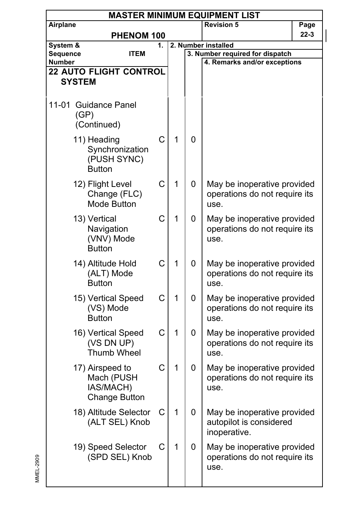|                           | <b>MASTER MINIMUM EQUIPMENT LIST</b>                               |    |   |   |                                                                        |          |  |  |  |
|---------------------------|--------------------------------------------------------------------|----|---|---|------------------------------------------------------------------------|----------|--|--|--|
| Airplane                  |                                                                    |    |   |   | <b>Revision 5</b>                                                      | Page     |  |  |  |
|                           | PHENOM 100                                                         |    |   |   |                                                                        | $22 - 3$ |  |  |  |
| System &                  |                                                                    | 1. |   |   | 2. Number installed                                                    |          |  |  |  |
| Sequence<br><b>Number</b> | <b>ITEM</b>                                                        |    |   |   | 3. Number required for dispatch<br>4. Remarks and/or exceptions        |          |  |  |  |
|                           | <b>22 AUTO FLIGHT CONTROL</b>                                      |    |   |   |                                                                        |          |  |  |  |
|                           | <b>SYSTEM</b>                                                      |    |   |   |                                                                        |          |  |  |  |
|                           |                                                                    |    |   |   |                                                                        |          |  |  |  |
| 11-01                     | <b>Guidance Panel</b><br>(GP)<br>(Continued)                       |    |   |   |                                                                        |          |  |  |  |
|                           | 11) Heading<br>Synchronization<br>(PUSH SYNC)<br><b>Button</b>     | C  | 1 | 0 |                                                                        |          |  |  |  |
|                           | 12) Flight Level<br>Change (FLC)<br>Mode Button                    | C  | 1 | 0 | May be inoperative provided<br>operations do not require its<br>use.   |          |  |  |  |
|                           | 13) Vertical<br>Navigation<br>(VNV) Mode<br><b>Button</b>          | C  | 1 | 0 | May be inoperative provided<br>operations do not require its<br>use.   |          |  |  |  |
|                           | 14) Altitude Hold<br>(ALT) Mode<br><b>Button</b>                   | C  | 1 | 0 | May be inoperative provided<br>operations do not require its<br>use.   |          |  |  |  |
|                           | 15) Vertical Speed<br>(VS) Mode<br><b>Button</b>                   | C  | 1 | 0 | May be inoperative provided<br>operations do not require its<br>use.   |          |  |  |  |
|                           | 16) Vertical Speed<br>(VS DN UP)<br>Thumb Wheel                    | C  | 1 | 0 | May be inoperative provided<br>operations do not require its<br>use.   |          |  |  |  |
|                           | 17) Airspeed to<br>Mach (PUSH<br>IAS/MACH)<br><b>Change Button</b> | C  | 1 | 0 | May be inoperative provided<br>operations do not require its<br>use.   |          |  |  |  |
|                           | 18) Altitude Selector<br>(ALT SEL) Knob                            | С  | 1 | 0 | May be inoperative provided<br>autopilot is considered<br>inoperative. |          |  |  |  |
|                           | 19) Speed Selector<br>(SPD SEL) Knob                               | С  | 1 | 0 | May be inoperative provided<br>operations do not require its<br>use.   |          |  |  |  |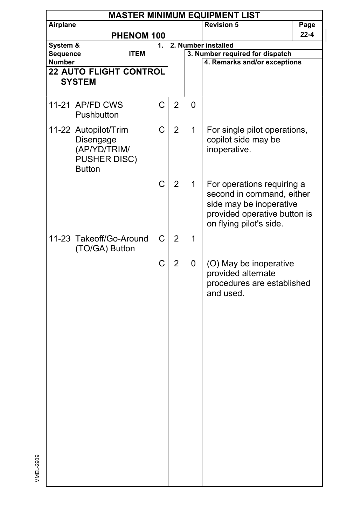|               | <b>MASTER MINIMUM EQUIPMENT LIST</b>                                               |    |                |   |                                                                                                                                               |      |  |  |  |
|---------------|------------------------------------------------------------------------------------|----|----------------|---|-----------------------------------------------------------------------------------------------------------------------------------------------|------|--|--|--|
| Airplane      |                                                                                    |    |                |   | <b>Revision 5</b>                                                                                                                             | Page |  |  |  |
|               | PHENOM 100                                                                         |    |                |   |                                                                                                                                               | 22-4 |  |  |  |
| System &      |                                                                                    | 1. |                |   | 2. Number installed                                                                                                                           |      |  |  |  |
| Sequence      | <b>ITEM</b>                                                                        |    |                |   | 3. Number required for dispatch                                                                                                               |      |  |  |  |
| <b>Number</b> |                                                                                    |    |                |   | 4. Remarks and/or exceptions                                                                                                                  |      |  |  |  |
|               | <b>22 AUTO FLIGHT CONTROL</b>                                                      |    |                |   |                                                                                                                                               |      |  |  |  |
|               | <b>SYSTEM</b>                                                                      |    |                |   |                                                                                                                                               |      |  |  |  |
|               |                                                                                    |    |                |   |                                                                                                                                               |      |  |  |  |
|               | 11-21 AP/FD CWS<br>Pushbutton                                                      | C  | $\overline{2}$ | 0 |                                                                                                                                               |      |  |  |  |
|               | 11-22 Autopilot/Trim<br>Disengage<br>(AP/YD/TRIM/<br>PUSHER DISC)<br><b>Button</b> | C  | $\overline{2}$ | 1 | For single pilot operations,<br>copilot side may be<br>inoperative.                                                                           |      |  |  |  |
|               |                                                                                    | C  | $\overline{2}$ | 1 | For operations requiring a<br>second in command, either<br>side may be inoperative<br>provided operative button is<br>on flying pilot's side. |      |  |  |  |
|               | 11-23 Takeoff/Go-Around<br>(TO/GA) Button                                          | C  | $\overline{2}$ | 1 |                                                                                                                                               |      |  |  |  |
|               |                                                                                    | C  | $\overline{2}$ | 0 | (O) May be inoperative<br>provided alternate<br>procedures are established<br>and used.                                                       |      |  |  |  |

MMEL-2909

MMEL-2909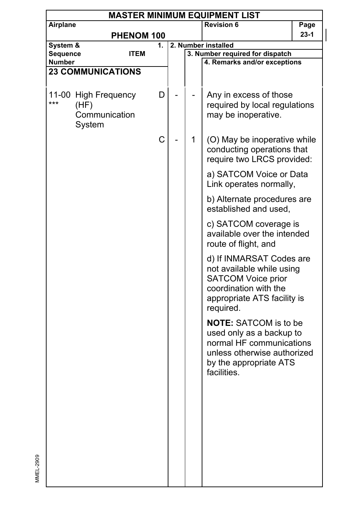| <b>MASTER MINIMUM EQUIPMENT LIST</b> |                       |             |  |                              |                                                    |        |  |  |
|--------------------------------------|-----------------------|-------------|--|------------------------------|----------------------------------------------------|--------|--|--|
| Airplane                             |                       |             |  | <b>Revision 6</b>            | Page                                               |        |  |  |
|                                      |                       | PHENOM 100  |  |                              |                                                    | $23-1$ |  |  |
| System &                             |                       | 1.          |  | 2. Number installed          |                                                    |        |  |  |
| Sequence                             |                       | <b>ITEM</b> |  |                              | 3. Number required for dispatch                    |        |  |  |
| Number                               |                       |             |  | 4. Remarks and/or exceptions |                                                    |        |  |  |
| <b>23 COMMUNICATIONS</b>             |                       |             |  |                              |                                                    |        |  |  |
|                                      |                       |             |  |                              |                                                    |        |  |  |
|                                      | 11-00 High Frequency  |             |  |                              | Any in excess of those                             |        |  |  |
| ***                                  | (HF)<br>Communication | D           |  |                              | required by local regulations                      |        |  |  |
|                                      |                       |             |  |                              | may be inoperative.                                |        |  |  |
|                                      | System                |             |  |                              |                                                    |        |  |  |
|                                      |                       |             |  |                              |                                                    |        |  |  |
|                                      |                       | C           |  | 1                            | (O) May be inoperative while                       |        |  |  |
|                                      |                       |             |  |                              | conducting operations that                         |        |  |  |
|                                      |                       |             |  |                              | require two LRCS provided:                         |        |  |  |
|                                      |                       |             |  |                              | a) SATCOM Voice or Data                            |        |  |  |
|                                      |                       |             |  |                              | Link operates normally,                            |        |  |  |
|                                      |                       |             |  |                              |                                                    |        |  |  |
|                                      |                       |             |  |                              | b) Alternate procedures are                        |        |  |  |
|                                      |                       |             |  |                              | established and used,                              |        |  |  |
|                                      |                       |             |  |                              | c) SATCOM coverage is                              |        |  |  |
|                                      |                       |             |  |                              | available over the intended                        |        |  |  |
|                                      |                       |             |  |                              | route of flight, and                               |        |  |  |
|                                      |                       |             |  |                              |                                                    |        |  |  |
|                                      |                       |             |  |                              | d) If INMARSAT Codes are                           |        |  |  |
|                                      |                       |             |  |                              | not available while using                          |        |  |  |
|                                      |                       |             |  |                              | <b>SATCOM Voice prior</b><br>coordination with the |        |  |  |
|                                      |                       |             |  |                              |                                                    |        |  |  |
|                                      |                       |             |  |                              | appropriate ATS facility is<br>required.           |        |  |  |
|                                      |                       |             |  |                              |                                                    |        |  |  |
|                                      |                       |             |  |                              | <b>NOTE:</b> SATCOM is to be                       |        |  |  |
|                                      |                       |             |  |                              | used only as a backup to                           |        |  |  |
|                                      |                       |             |  |                              | normal HF communications                           |        |  |  |
|                                      |                       |             |  |                              | unless otherwise authorized                        |        |  |  |
|                                      |                       |             |  |                              | by the appropriate ATS                             |        |  |  |
|                                      |                       |             |  |                              | facilities.                                        |        |  |  |
|                                      |                       |             |  |                              |                                                    |        |  |  |
|                                      |                       |             |  |                              |                                                    |        |  |  |
|                                      |                       |             |  |                              |                                                    |        |  |  |
|                                      |                       |             |  |                              |                                                    |        |  |  |
|                                      |                       |             |  |                              |                                                    |        |  |  |
|                                      |                       |             |  |                              |                                                    |        |  |  |
|                                      |                       |             |  |                              |                                                    |        |  |  |
|                                      |                       |             |  |                              |                                                    |        |  |  |
|                                      |                       |             |  |                              |                                                    |        |  |  |
|                                      |                       |             |  |                              |                                                    |        |  |  |
|                                      |                       |             |  |                              |                                                    |        |  |  |

 $\overline{\phantom{a}}$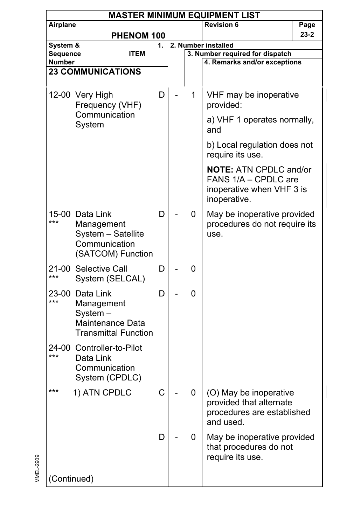|                           | <b>MASTER MINIMUM EQUIPMENT LIST</b>                                                      |    |  |   |                                                                                                    |      |  |  |  |  |
|---------------------------|-------------------------------------------------------------------------------------------|----|--|---|----------------------------------------------------------------------------------------------------|------|--|--|--|--|
| Airplane                  |                                                                                           |    |  |   | <b>Revision 6</b>                                                                                  | Page |  |  |  |  |
|                           | PHENOM 100                                                                                |    |  |   |                                                                                                    | 23-2 |  |  |  |  |
| System &                  |                                                                                           | 1. |  |   | 2. Number installed                                                                                |      |  |  |  |  |
| Sequence<br><b>Number</b> | <b>ITEM</b>                                                                               |    |  |   | 3. Number required for dispatch<br>4. Remarks and/or exceptions                                    |      |  |  |  |  |
|                           | <b>23 COMMUNICATIONS</b>                                                                  |    |  |   |                                                                                                    |      |  |  |  |  |
|                           |                                                                                           |    |  |   |                                                                                                    |      |  |  |  |  |
|                           | 12-00 Very High<br>Frequency (VHF)<br>Communication                                       | D  |  | 1 | VHF may be inoperative<br>provided:                                                                |      |  |  |  |  |
|                           | System                                                                                    |    |  |   | a) VHF 1 operates normally,<br>and                                                                 |      |  |  |  |  |
|                           |                                                                                           |    |  |   | b) Local regulation does not<br>require its use.                                                   |      |  |  |  |  |
|                           |                                                                                           |    |  |   | <b>NOTE: ATN CPDLC and/or</b><br>FANS 1/A - CPDLC are<br>inoperative when VHF 3 is<br>inoperative. |      |  |  |  |  |
| ***                       | 15-00 Data Link<br>Management<br>System - Satellite<br>Communication<br>(SATCOM) Function | D  |  | 0 | May be inoperative provided<br>procedures do not require its<br>use.                               |      |  |  |  |  |
| ***                       | 21-00 Selective Call<br>System (SELCAL)                                                   | D  |  | 0 |                                                                                                    |      |  |  |  |  |
| 23-00<br>***              | Data Link<br>Management<br>System-<br>Maintenance Data<br><b>Transmittal Function</b>     | D  |  | 0 |                                                                                                    |      |  |  |  |  |
| 24-00<br>***              | Controller-to-Pilot<br>Data Link<br>Communication<br>System (CPDLC)                       |    |  |   |                                                                                                    |      |  |  |  |  |
| ***                       | 1) ATN CPDLC                                                                              | C  |  | 0 | (O) May be inoperative<br>provided that alternate<br>procedures are established<br>and used.       |      |  |  |  |  |
|                           |                                                                                           | D. |  | 0 | May be inoperative provided<br>that procedures do not<br>require its use.                          |      |  |  |  |  |
| (Continued)               |                                                                                           |    |  |   |                                                                                                    |      |  |  |  |  |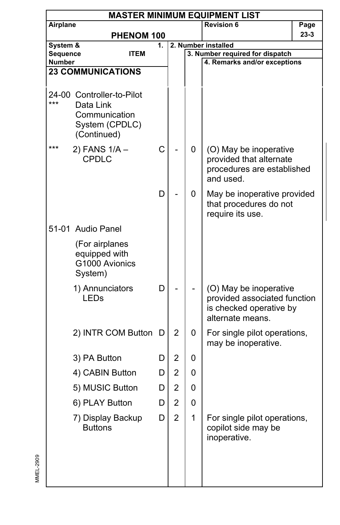|                    | <b>MASTER MINIMUM EQUIPMENT LIST</b>                                                     |    |                |              |                                                                                                       |        |  |  |  |  |
|--------------------|------------------------------------------------------------------------------------------|----|----------------|--------------|-------------------------------------------------------------------------------------------------------|--------|--|--|--|--|
| Airplane           |                                                                                          |    |                |              | <b>Revision 6</b>                                                                                     | Page   |  |  |  |  |
|                    | PHENOM 100                                                                               |    |                |              |                                                                                                       | $23-3$ |  |  |  |  |
| System &           |                                                                                          | 1. |                |              | 2. Number installed                                                                                   |        |  |  |  |  |
| Sequence<br>Number | ITEM                                                                                     |    |                |              | 3. Number required for dispatch<br>4. Remarks and/or exceptions                                       |        |  |  |  |  |
|                    | <b>23 COMMUNICATIONS</b>                                                                 |    |                |              |                                                                                                       |        |  |  |  |  |
|                    |                                                                                          |    |                |              |                                                                                                       |        |  |  |  |  |
| ***                | 24-00 Controller-to-Pilot<br>Data Link<br>Communication<br>System (CPDLC)<br>(Continued) |    |                |              |                                                                                                       |        |  |  |  |  |
| ***                | 2) FANS 1/A -<br>CPDLC                                                                   | C  |                | 0            | (O) May be inoperative<br>provided that alternate<br>procedures are established<br>and used.          |        |  |  |  |  |
|                    |                                                                                          | D  |                | 0            | May be inoperative provided<br>that procedures do not<br>require its use.                             |        |  |  |  |  |
|                    | 51-01 Audio Panel                                                                        |    |                |              |                                                                                                       |        |  |  |  |  |
|                    | (For airplanes<br>equipped with<br>G1000 Avionics<br>System)                             |    |                |              |                                                                                                       |        |  |  |  |  |
|                    | 1) Annunciators<br><b>LEDs</b>                                                           | D  |                |              | (O) May be inoperative<br>provided associated function<br>is checked operative by<br>alternate means. |        |  |  |  |  |
|                    | 2) INTR COM Button                                                                       | D  | 2              | 0            | For single pilot operations,<br>may be inoperative.                                                   |        |  |  |  |  |
|                    | 3) PA Button                                                                             | D  | 2              | 0            |                                                                                                       |        |  |  |  |  |
|                    | 4) CABIN Button                                                                          | D  | 2              | 0            |                                                                                                       |        |  |  |  |  |
|                    | 5) MUSIC Button                                                                          | D  | 2              | 0            |                                                                                                       |        |  |  |  |  |
|                    | 6) PLAY Button                                                                           | D  | 2              | 0            |                                                                                                       |        |  |  |  |  |
|                    | 7) Display Backup<br><b>Buttons</b>                                                      | D  | $\overline{2}$ | $\mathbf{1}$ | For single pilot operations,<br>copilot side may be<br>inoperative.                                   |        |  |  |  |  |
|                    |                                                                                          |    |                |              |                                                                                                       |        |  |  |  |  |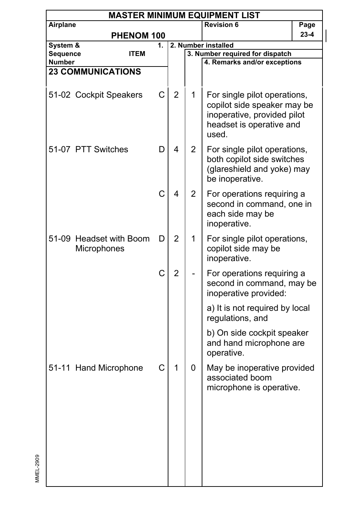| <b>MASTER MINIMUM EQUIPMENT LIST</b>   |                                |                                                                                                                  |                |                |                                     |                                                                                                                                                                                                                                                                                                                                                                                                                                                                                                                                                                                                                          |  |  |  |
|----------------------------------------|--------------------------------|------------------------------------------------------------------------------------------------------------------|----------------|----------------|-------------------------------------|--------------------------------------------------------------------------------------------------------------------------------------------------------------------------------------------------------------------------------------------------------------------------------------------------------------------------------------------------------------------------------------------------------------------------------------------------------------------------------------------------------------------------------------------------------------------------------------------------------------------------|--|--|--|
| Airplane                               |                                |                                                                                                                  |                |                | <b>Revision 6</b>                   | Page                                                                                                                                                                                                                                                                                                                                                                                                                                                                                                                                                                                                                     |  |  |  |
|                                        |                                |                                                                                                                  |                |                |                                     | $23 - 4$                                                                                                                                                                                                                                                                                                                                                                                                                                                                                                                                                                                                                 |  |  |  |
|                                        |                                | 1.                                                                                                               |                |                |                                     |                                                                                                                                                                                                                                                                                                                                                                                                                                                                                                                                                                                                                          |  |  |  |
|                                        |                                |                                                                                                                  |                |                |                                     |                                                                                                                                                                                                                                                                                                                                                                                                                                                                                                                                                                                                                          |  |  |  |
|                                        |                                |                                                                                                                  |                |                |                                     |                                                                                                                                                                                                                                                                                                                                                                                                                                                                                                                                                                                                                          |  |  |  |
|                                        |                                |                                                                                                                  |                |                |                                     |                                                                                                                                                                                                                                                                                                                                                                                                                                                                                                                                                                                                                          |  |  |  |
|                                        |                                | C                                                                                                                | $\overline{2}$ | 1              | used.                               |                                                                                                                                                                                                                                                                                                                                                                                                                                                                                                                                                                                                                          |  |  |  |
|                                        |                                | D                                                                                                                | 4              | $\overline{2}$ | be inoperative.                     |                                                                                                                                                                                                                                                                                                                                                                                                                                                                                                                                                                                                                          |  |  |  |
|                                        |                                | C                                                                                                                | 4              | $\overline{2}$ | each side may be<br>inoperative.    |                                                                                                                                                                                                                                                                                                                                                                                                                                                                                                                                                                                                                          |  |  |  |
| 51-09 Headset with Boom<br>Microphones |                                | D                                                                                                                | $\overline{2}$ | 1              | copilot side may be<br>inoperative. |                                                                                                                                                                                                                                                                                                                                                                                                                                                                                                                                                                                                                          |  |  |  |
|                                        |                                | C                                                                                                                | $\overline{2}$ |                | inoperative provided:               |                                                                                                                                                                                                                                                                                                                                                                                                                                                                                                                                                                                                                          |  |  |  |
|                                        |                                |                                                                                                                  |                |                | regulations, and                    |                                                                                                                                                                                                                                                                                                                                                                                                                                                                                                                                                                                                                          |  |  |  |
|                                        |                                |                                                                                                                  |                |                | operative.                          |                                                                                                                                                                                                                                                                                                                                                                                                                                                                                                                                                                                                                          |  |  |  |
|                                        |                                | C                                                                                                                | 1              | 0              | associated boom                     |                                                                                                                                                                                                                                                                                                                                                                                                                                                                                                                                                                                                                          |  |  |  |
|                                        | System &<br>Sequence<br>Number | <b>ITEM</b><br><b>23 COMMUNICATIONS</b><br>51-02 Cockpit Speakers<br>51-07 PTT Switches<br>51-11 Hand Microphone | PHENOM 100     |                |                                     | 2. Number installed<br>3. Number required for dispatch<br>4. Remarks and/or exceptions<br>For single pilot operations,<br>copilot side speaker may be<br>inoperative, provided pilot<br>headset is operative and<br>For single pilot operations,<br>both copilot side switches<br>(glareshield and yoke) may<br>For operations requiring a<br>second in command, one in<br>For single pilot operations,<br>For operations requiring a<br>second in command, may be<br>a) It is not required by local<br>b) On side cockpit speaker<br>and hand microphone are<br>May be inoperative provided<br>microphone is operative. |  |  |  |

MMEL-2909

MMEL-2909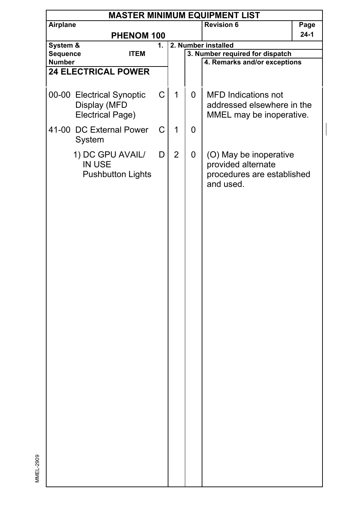|               | <b>MASTER MINIMUM EQUIPMENT LIST</b> |             |    |                |   |                                 |      |  |  |  |
|---------------|--------------------------------------|-------------|----|----------------|---|---------------------------------|------|--|--|--|
| Airplane      |                                      |             |    |                |   | <b>Revision 6</b>               | Page |  |  |  |
|               |                                      | PHENOM 100  |    |                |   |                                 | 24-1 |  |  |  |
| System &      |                                      |             | 1. |                |   | 2. Number installed             |      |  |  |  |
| Sequence      |                                      | <b>ITEM</b> |    |                |   | 3. Number required for dispatch |      |  |  |  |
| <b>Number</b> |                                      |             |    |                |   | 4. Remarks and/or exceptions    |      |  |  |  |
|               | <b>24 ELECTRICAL POWER</b>           |             |    |                |   |                                 |      |  |  |  |
|               |                                      |             |    |                |   |                                 |      |  |  |  |
|               | 00-00 Electrical Synoptic            |             | C  | $\mathbf{1}$   | 0 | <b>MFD Indications not</b>      |      |  |  |  |
|               | Display (MFD                         |             |    |                |   | addressed elsewhere in the      |      |  |  |  |
|               | Electrical Page)                     |             |    |                |   | MMEL may be inoperative.        |      |  |  |  |
|               | 41-00 DC External Power              |             | C  | 1              | 0 |                                 |      |  |  |  |
|               | System                               |             |    |                |   |                                 |      |  |  |  |
|               |                                      |             |    |                |   |                                 |      |  |  |  |
|               | 1) DC GPU AVAIL/                     |             | D  | $\overline{2}$ | 0 | (O) May be inoperative          |      |  |  |  |
|               | IN USE                               |             |    |                |   | provided alternate              |      |  |  |  |
|               | <b>Pushbutton Lights</b>             |             |    |                |   | procedures are established      |      |  |  |  |
|               |                                      |             |    |                |   | and used.                       |      |  |  |  |
|               |                                      |             |    |                |   |                                 |      |  |  |  |
|               |                                      |             |    |                |   |                                 |      |  |  |  |
|               |                                      |             |    |                |   |                                 |      |  |  |  |
|               |                                      |             |    |                |   |                                 |      |  |  |  |
|               |                                      |             |    |                |   |                                 |      |  |  |  |
|               |                                      |             |    |                |   |                                 |      |  |  |  |
|               |                                      |             |    |                |   |                                 |      |  |  |  |
|               |                                      |             |    |                |   |                                 |      |  |  |  |
|               |                                      |             |    |                |   |                                 |      |  |  |  |
|               |                                      |             |    |                |   |                                 |      |  |  |  |
|               |                                      |             |    |                |   |                                 |      |  |  |  |
|               |                                      |             |    |                |   |                                 |      |  |  |  |
|               |                                      |             |    |                |   |                                 |      |  |  |  |
|               |                                      |             |    |                |   |                                 |      |  |  |  |
|               |                                      |             |    |                |   |                                 |      |  |  |  |
|               |                                      |             |    |                |   |                                 |      |  |  |  |
|               |                                      |             |    |                |   |                                 |      |  |  |  |
|               |                                      |             |    |                |   |                                 |      |  |  |  |
|               |                                      |             |    |                |   |                                 |      |  |  |  |
|               |                                      |             |    |                |   |                                 |      |  |  |  |
|               |                                      |             |    |                |   |                                 |      |  |  |  |
|               |                                      |             |    |                |   |                                 |      |  |  |  |
|               |                                      |             |    |                |   |                                 |      |  |  |  |
|               |                                      |             |    |                |   |                                 |      |  |  |  |
|               |                                      |             |    |                |   |                                 |      |  |  |  |
|               |                                      |             |    |                |   |                                 |      |  |  |  |
|               |                                      |             |    |                |   |                                 |      |  |  |  |
|               |                                      |             |    |                |   |                                 |      |  |  |  |
|               |                                      |             |    |                |   |                                 |      |  |  |  |
|               |                                      |             |    |                |   |                                 |      |  |  |  |

MMEL-2909

MMEL-2909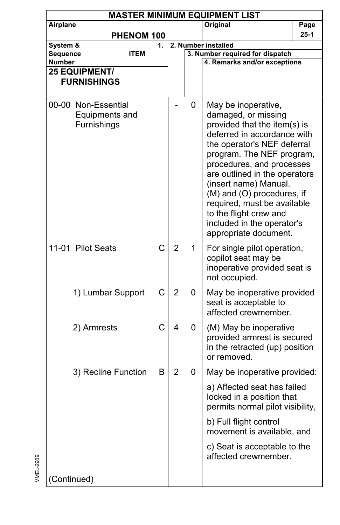| <b>MASTER MINIMUM EQUIPMENT LIST</b> |                                                      |   |                |                     |                                                                                                                                                                                                                                                                                                                                                                                                            |      |
|--------------------------------------|------------------------------------------------------|---|----------------|---------------------|------------------------------------------------------------------------------------------------------------------------------------------------------------------------------------------------------------------------------------------------------------------------------------------------------------------------------------------------------------------------------------------------------------|------|
| Airplane                             |                                                      |   |                |                     | Original                                                                                                                                                                                                                                                                                                                                                                                                   | Page |
| PHENOM 100                           |                                                      |   |                | $25-1$              |                                                                                                                                                                                                                                                                                                                                                                                                            |      |
| System &<br>1.<br>Sequence<br>ITEM   |                                                      |   |                | 2. Number installed |                                                                                                                                                                                                                                                                                                                                                                                                            |      |
|                                      | <b>Number</b>                                        |   |                |                     | 3. Number required for dispatch<br>4. Remarks and/or exceptions                                                                                                                                                                                                                                                                                                                                            |      |
| 25 EQUIPMENT/                        |                                                      |   |                |                     |                                                                                                                                                                                                                                                                                                                                                                                                            |      |
| <b>FURNISHINGS</b>                   |                                                      |   |                |                     |                                                                                                                                                                                                                                                                                                                                                                                                            |      |
|                                      | 00-00 Non-Essential<br>Equipments and<br>Furnishings |   |                | 0                   | May be inoperative,<br>damaged, or missing<br>provided that the item(s) is<br>deferred in accordance with<br>the operator's NEF deferral<br>program. The NEF program,<br>procedures, and processes<br>are outlined in the operators<br>(insert name) Manual.<br>(M) and (O) procedures, if<br>required, must be available<br>to the flight crew and<br>included in the operator's<br>appropriate document. |      |
|                                      | 11-01 Pilot Seats                                    | C | $\overline{2}$ | 1                   | For single pilot operation,<br>copilot seat may be<br>inoperative provided seat is<br>not occupied.                                                                                                                                                                                                                                                                                                        |      |
|                                      | 1) Lumbar Support                                    | C | $\overline{2}$ | 0                   | May be inoperative provided<br>seat is acceptable to<br>affected crewmember.                                                                                                                                                                                                                                                                                                                               |      |
|                                      | 2) Armrests                                          | C | 4              | 0                   | (M) May be inoperative<br>provided armrest is secured<br>in the retracted (up) position<br>or removed.                                                                                                                                                                                                                                                                                                     |      |
|                                      | 3) Recline Function                                  | B | $\overline{2}$ | 0                   | May be inoperative provided:                                                                                                                                                                                                                                                                                                                                                                               |      |
|                                      |                                                      |   |                |                     | a) Affected seat has failed<br>locked in a position that<br>permits normal pilot visibility,                                                                                                                                                                                                                                                                                                               |      |
|                                      |                                                      |   |                |                     | b) Full flight control<br>movement is available, and                                                                                                                                                                                                                                                                                                                                                       |      |
|                                      |                                                      |   |                |                     | c) Seat is acceptable to the<br>affected crewmember.                                                                                                                                                                                                                                                                                                                                                       |      |
| (Continued)                          |                                                      |   |                |                     |                                                                                                                                                                                                                                                                                                                                                                                                            |      |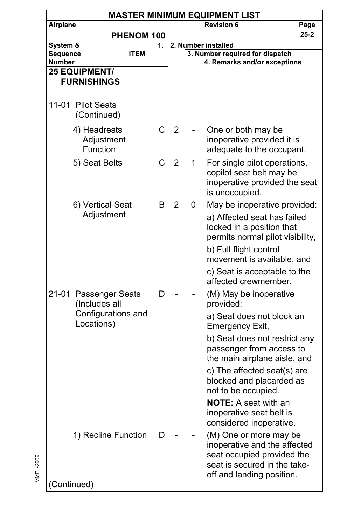|                    | <b>MASTER MINIMUM EQUIPMENT LIST</b>   |    |                |   |                                                                                                                                                   |          |  |  |  |  |
|--------------------|----------------------------------------|----|----------------|---|---------------------------------------------------------------------------------------------------------------------------------------------------|----------|--|--|--|--|
| Airplane           |                                        |    |                |   | <b>Revision 6</b>                                                                                                                                 | Page     |  |  |  |  |
|                    | PHENOM 100                             |    |                |   |                                                                                                                                                   | $25 - 2$ |  |  |  |  |
| System &           |                                        | 1. |                |   | 2. Number installed                                                                                                                               |          |  |  |  |  |
| Sequence<br>Number | <b>ITEM</b>                            |    |                |   | 3. Number required for dispatch<br>4. Remarks and/or exceptions                                                                                   |          |  |  |  |  |
|                    | <b>25 EQUIPMENT/</b>                   |    |                |   |                                                                                                                                                   |          |  |  |  |  |
|                    | <b>FURNISHINGS</b>                     |    |                |   |                                                                                                                                                   |          |  |  |  |  |
|                    |                                        |    |                |   |                                                                                                                                                   |          |  |  |  |  |
|                    | 11-01 Pilot Seats<br>(Continued)       |    |                |   |                                                                                                                                                   |          |  |  |  |  |
|                    | 4) Headrests<br>Adjustment<br>Function | C  | $\overline{2}$ |   | One or both may be<br>inoperative provided it is<br>adequate to the occupant.                                                                     |          |  |  |  |  |
|                    | 5) Seat Belts                          | C  | 2              | 1 | For single pilot operations,<br>copilot seat belt may be<br>inoperative provided the seat<br>is unoccupied.                                       |          |  |  |  |  |
|                    | 6) Vertical Seat<br>Adjustment         | B  | $\overline{2}$ | 0 | May be inoperative provided:<br>a) Affected seat has failed                                                                                       |          |  |  |  |  |
|                    |                                        |    |                |   | locked in a position that<br>permits normal pilot visibility,                                                                                     |          |  |  |  |  |
|                    |                                        |    |                |   | b) Full flight control<br>movement is available, and                                                                                              |          |  |  |  |  |
|                    |                                        |    |                |   | c) Seat is acceptable to the<br>affected crewmember.                                                                                              |          |  |  |  |  |
|                    | 21-01 Passenger Seats<br>(Includes all | D  |                |   | (M) May be inoperative<br>provided:                                                                                                               |          |  |  |  |  |
|                    | Configurations and<br>Locations)       |    |                |   | a) Seat does not block an<br>Emergency Exit,                                                                                                      |          |  |  |  |  |
|                    |                                        |    |                |   | b) Seat does not restrict any<br>passenger from access to<br>the main airplane aisle, and                                                         |          |  |  |  |  |
|                    |                                        |    |                |   | c) The affected seat(s) are<br>blocked and placarded as<br>not to be occupied.                                                                    |          |  |  |  |  |
|                    |                                        |    |                |   | <b>NOTE:</b> A seat with an<br>inoperative seat belt is<br>considered inoperative.                                                                |          |  |  |  |  |
|                    | 1) Recline Function                    | D  |                |   | (M) One or more may be<br>inoperative and the affected<br>seat occupied provided the<br>seat is secured in the take-<br>off and landing position. |          |  |  |  |  |
|                    | (Continued)                            |    |                |   |                                                                                                                                                   |          |  |  |  |  |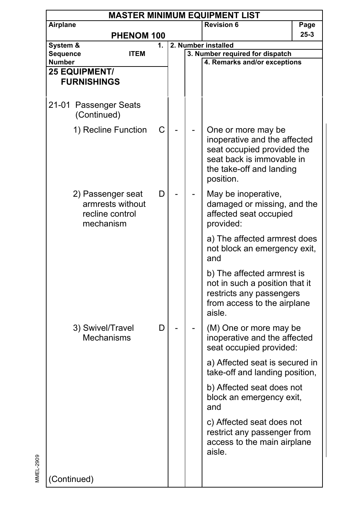| <b>MASTER MINIMUM EQUIPMENT LIST</b>                                       |                                      |    |  |                                                                                           |                                                                                                                                                        |      |  |  |  |
|----------------------------------------------------------------------------|--------------------------------------|----|--|-------------------------------------------------------------------------------------------|--------------------------------------------------------------------------------------------------------------------------------------------------------|------|--|--|--|
| Airplane                                                                   |                                      |    |  |                                                                                           | <b>Revision 6</b>                                                                                                                                      | Page |  |  |  |
|                                                                            | PHENOM 100                           |    |  |                                                                                           |                                                                                                                                                        | 25-3 |  |  |  |
| System &                                                                   |                                      | 1. |  |                                                                                           | 2. Number installed                                                                                                                                    |      |  |  |  |
| Sequence                                                                   | <b>ITEM</b>                          |    |  |                                                                                           | 3. Number required for dispatch                                                                                                                        |      |  |  |  |
| Number<br><b>25 EQUIPMENT/</b>                                             |                                      |    |  |                                                                                           | 4. Remarks and/or exceptions                                                                                                                           |      |  |  |  |
|                                                                            | <b>FURNISHINGS</b>                   |    |  |                                                                                           |                                                                                                                                                        |      |  |  |  |
|                                                                            |                                      |    |  |                                                                                           |                                                                                                                                                        |      |  |  |  |
|                                                                            | 21-01 Passenger Seats<br>(Continued) |    |  |                                                                                           |                                                                                                                                                        |      |  |  |  |
|                                                                            | 1) Recline Function                  | С  |  |                                                                                           | One or more may be<br>inoperative and the affected<br>seat occupied provided the<br>seat back is immovable in<br>the take-off and landing<br>position. |      |  |  |  |
| 2) Passenger seat<br>D<br>armrests without<br>recline control<br>mechanism |                                      |    |  | May be inoperative,<br>damaged or missing, and the<br>affected seat occupied<br>provided: |                                                                                                                                                        |      |  |  |  |
|                                                                            |                                      |    |  |                                                                                           | a) The affected armrest does<br>not block an emergency exit,<br>and                                                                                    |      |  |  |  |
|                                                                            |                                      |    |  |                                                                                           | b) The affected armrest is<br>not in such a position that it<br>restricts any passengers<br>from access to the airplane<br>aisle.                      |      |  |  |  |
|                                                                            | 3) Swivel/Travel<br>Mechanisms       | D  |  |                                                                                           | (M) One or more may be<br>inoperative and the affected<br>seat occupied provided:                                                                      |      |  |  |  |
|                                                                            |                                      |    |  |                                                                                           | a) Affected seat is secured in<br>take-off and landing position,                                                                                       |      |  |  |  |
|                                                                            |                                      |    |  |                                                                                           | b) Affected seat does not<br>block an emergency exit,<br>and                                                                                           |      |  |  |  |
|                                                                            |                                      |    |  |                                                                                           | c) Affected seat does not<br>restrict any passenger from<br>access to the main airplane<br>aisle.                                                      |      |  |  |  |
| (Continued)                                                                |                                      |    |  |                                                                                           |                                                                                                                                                        |      |  |  |  |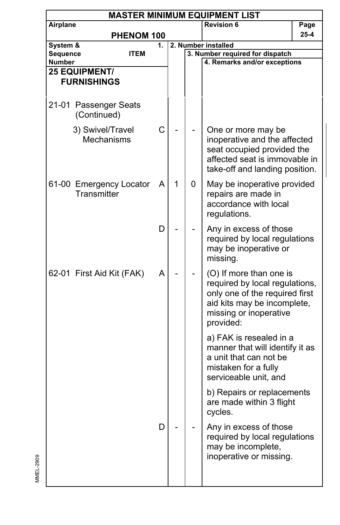|                    | <b>MASTER MINIMUM EQUIPMENT LIST</b>       |                                       |    |   |   |                                                                                                                                                                   |          |  |  |  |  |
|--------------------|--------------------------------------------|---------------------------------------|----|---|---|-------------------------------------------------------------------------------------------------------------------------------------------------------------------|----------|--|--|--|--|
| Airplane           |                                            |                                       |    |   |   | <b>Revision 6</b>                                                                                                                                                 | Page     |  |  |  |  |
|                    |                                            | PHENOM 100                            |    |   |   |                                                                                                                                                                   | $25 - 4$ |  |  |  |  |
| System &           |                                            |                                       | 1. |   |   | 2. Number installed<br>3. Number required for dispatch                                                                                                            |          |  |  |  |  |
| Sequence<br>Number |                                            | <b>ITEM</b>                           |    |   |   | 4. Remarks and/or exceptions                                                                                                                                      |          |  |  |  |  |
|                    | <b>25 EQUIPMENT/</b><br><b>FURNISHINGS</b> |                                       |    |   |   |                                                                                                                                                                   |          |  |  |  |  |
|                    | (Continued)                                | 21-01 Passenger Seats                 |    |   |   |                                                                                                                                                                   |          |  |  |  |  |
|                    |                                            | 3) Swivel/Travel<br><b>Mechanisms</b> | C  |   |   | One or more may be<br>inoperative and the affected<br>seat occupied provided the<br>affected seat is immovable in<br>take-off and landing position.               |          |  |  |  |  |
|                    | Transmitter                                | 61-00 Emergency Locator               | Α  | 1 | 0 | May be inoperative provided<br>repairs are made in<br>accordance with local<br>regulations.                                                                       |          |  |  |  |  |
|                    |                                            |                                       | D  |   |   | Any in excess of those<br>required by local regulations<br>may be inoperative or<br>missing.                                                                      |          |  |  |  |  |
|                    |                                            | 62-01 First Aid Kit (FAK)             | Α  |   |   | (O) If more than one is<br>required by local regulations,<br>only one of the required first<br>aid kits may be incomplete,<br>missing or inoperative<br>provided: |          |  |  |  |  |
|                    |                                            |                                       |    |   |   | a) FAK is resealed in a<br>manner that will identify it as<br>a unit that can not be<br>mistaken for a fully<br>serviceable unit, and                             |          |  |  |  |  |
|                    |                                            |                                       |    |   |   | b) Repairs or replacements<br>are made within 3 flight<br>cycles.                                                                                                 |          |  |  |  |  |
|                    |                                            |                                       | D  |   |   | Any in excess of those<br>required by local regulations<br>may be incomplete,<br>inoperative or missing.                                                          |          |  |  |  |  |
|                    |                                            |                                       |    |   |   |                                                                                                                                                                   |          |  |  |  |  |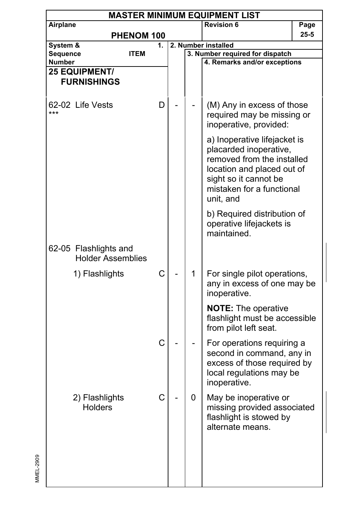|                      | <b>MASTER MINIMUM EQUIPMENT LIST</b>              |    |  |                                                        |                                                                                                                                                                                       |      |  |  |  |  |  |
|----------------------|---------------------------------------------------|----|--|--------------------------------------------------------|---------------------------------------------------------------------------------------------------------------------------------------------------------------------------------------|------|--|--|--|--|--|
| Airplane             |                                                   |    |  |                                                        | <b>Revision 6</b>                                                                                                                                                                     | Page |  |  |  |  |  |
|                      | PHENOM 100                                        |    |  | 25-5                                                   |                                                                                                                                                                                       |      |  |  |  |  |  |
| System &<br>Sequence | <b>ITEM</b>                                       | 1. |  | 2. Number installed<br>3. Number required for dispatch |                                                                                                                                                                                       |      |  |  |  |  |  |
| <b>Number</b>        |                                                   |    |  |                                                        | 4. Remarks and/or exceptions                                                                                                                                                          |      |  |  |  |  |  |
|                      | <b>25 EQUIPMENT/</b><br><b>FURNISHINGS</b>        |    |  |                                                        |                                                                                                                                                                                       |      |  |  |  |  |  |
| ***                  | 62-02 Life Vests                                  | D  |  |                                                        | (M) Any in excess of those<br>required may be missing or<br>inoperative, provided:                                                                                                    |      |  |  |  |  |  |
|                      |                                                   |    |  |                                                        | a) Inoperative lifejacket is<br>placarded inoperative,<br>removed from the installed<br>location and placed out of<br>sight so it cannot be<br>mistaken for a functional<br>unit, and |      |  |  |  |  |  |
|                      |                                                   |    |  |                                                        | b) Required distribution of<br>operative lifejackets is<br>maintained.                                                                                                                |      |  |  |  |  |  |
|                      | 62-05 Flashlights and<br><b>Holder Assemblies</b> |    |  |                                                        |                                                                                                                                                                                       |      |  |  |  |  |  |
|                      | 1) Flashlights                                    | C  |  | 1                                                      | For single pilot operations,<br>any in excess of one may be<br>inoperative.                                                                                                           |      |  |  |  |  |  |
|                      |                                                   |    |  |                                                        | <b>NOTE:</b> The operative<br>flashlight must be accessible<br>from pilot left seat.                                                                                                  |      |  |  |  |  |  |
|                      |                                                   | C  |  |                                                        | For operations requiring a<br>second in command, any in<br>excess of those required by<br>local regulations may be<br>inoperative.                                                    |      |  |  |  |  |  |
|                      | 2) Flashlights<br><b>Holders</b>                  |    |  | U                                                      | May be inoperative or<br>missing provided associated<br>flashlight is stowed by<br>alternate means.                                                                                   |      |  |  |  |  |  |
|                      |                                                   |    |  |                                                        |                                                                                                                                                                                       |      |  |  |  |  |  |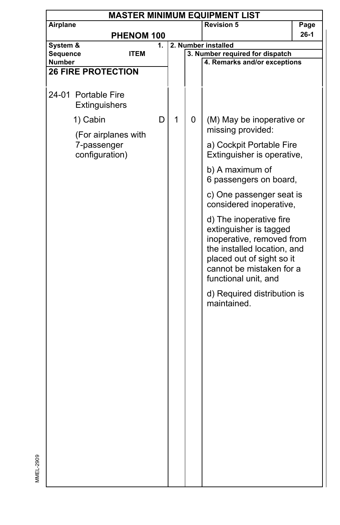| <b>MASTER MINIMUM EQUIPMENT LIST</b>                             |                           |    |   |   |                                                                                                                                                                                                |          |  |  |  |  |
|------------------------------------------------------------------|---------------------------|----|---|---|------------------------------------------------------------------------------------------------------------------------------------------------------------------------------------------------|----------|--|--|--|--|
| Airplane                                                         |                           |    |   |   | <b>Revision 5</b>                                                                                                                                                                              | Page     |  |  |  |  |
|                                                                  | PHENOM 100                |    |   |   |                                                                                                                                                                                                | $26 - 1$ |  |  |  |  |
| System &                                                         |                           | 1. |   |   | 2. Number installed                                                                                                                                                                            |          |  |  |  |  |
| Sequence                                                         | <b>ITEM</b>               |    |   |   | 3. Number required for dispatch                                                                                                                                                                |          |  |  |  |  |
| <b>Number</b>                                                    |                           |    |   |   | 4. Remarks and/or exceptions                                                                                                                                                                   |          |  |  |  |  |
|                                                                  | <b>26 FIRE PROTECTION</b> |    |   |   |                                                                                                                                                                                                |          |  |  |  |  |
|                                                                  | 24-01 Portable Fire       |    |   |   |                                                                                                                                                                                                |          |  |  |  |  |
|                                                                  | Extinguishers             |    |   |   |                                                                                                                                                                                                |          |  |  |  |  |
| 1) Cabin<br>(For airplanes with<br>7-passenger<br>configuration) |                           | D  | 1 | 0 | (M) May be inoperative or<br>missing provided:                                                                                                                                                 |          |  |  |  |  |
|                                                                  |                           |    |   |   | a) Cockpit Portable Fire<br>Extinguisher is operative,                                                                                                                                         |          |  |  |  |  |
|                                                                  |                           |    |   |   | b) A maximum of<br>6 passengers on board,                                                                                                                                                      |          |  |  |  |  |
|                                                                  |                           |    |   |   | c) One passenger seat is<br>considered inoperative,                                                                                                                                            |          |  |  |  |  |
|                                                                  |                           |    |   |   | d) The inoperative fire<br>extinguisher is tagged<br>inoperative, removed from<br>the installed location, and<br>placed out of sight so it<br>cannot be mistaken for a<br>functional unit, and |          |  |  |  |  |
|                                                                  |                           |    |   |   | d) Required distribution is<br>maintained.                                                                                                                                                     |          |  |  |  |  |
|                                                                  |                           |    |   |   |                                                                                                                                                                                                |          |  |  |  |  |
|                                                                  |                           |    |   |   |                                                                                                                                                                                                |          |  |  |  |  |
|                                                                  |                           |    |   |   |                                                                                                                                                                                                |          |  |  |  |  |
|                                                                  |                           |    |   |   |                                                                                                                                                                                                |          |  |  |  |  |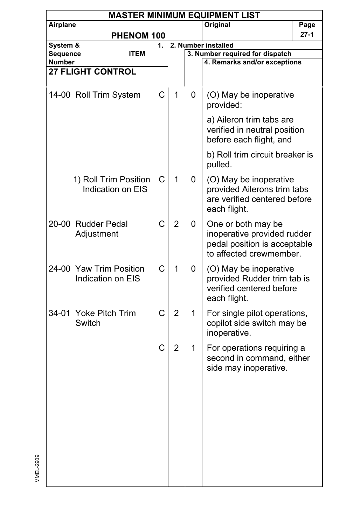|                    | <b>MASTER MINIMUM EQUIPMENT LIST</b> |                                              |    |                |   |                                                                                                              |        |  |  |  |  |
|--------------------|--------------------------------------|----------------------------------------------|----|----------------|---|--------------------------------------------------------------------------------------------------------------|--------|--|--|--|--|
| Airplane           |                                      |                                              |    |                |   | Original                                                                                                     | Page   |  |  |  |  |
|                    |                                      | PHENOM 100                                   |    |                |   |                                                                                                              | $27-1$ |  |  |  |  |
| System &           |                                      |                                              | 1. |                |   | 2. Number installed                                                                                          |        |  |  |  |  |
| Sequence<br>Number |                                      | <b>ITEM</b>                                  |    |                |   | 3. Number required for dispatch<br>4. Remarks and/or exceptions                                              |        |  |  |  |  |
|                    | <b>27 FLIGHT CONTROL</b>             |                                              |    |                |   |                                                                                                              |        |  |  |  |  |
|                    |                                      |                                              |    |                |   |                                                                                                              |        |  |  |  |  |
|                    |                                      | 14-00 Roll Trim System                       | С  | 1              | 0 | (O) May be inoperative<br>provided:                                                                          |        |  |  |  |  |
|                    |                                      |                                              |    |                |   | a) Aileron trim tabs are<br>verified in neutral position<br>before each flight, and                          |        |  |  |  |  |
|                    |                                      |                                              |    |                |   | b) Roll trim circuit breaker is<br>pulled.                                                                   |        |  |  |  |  |
|                    |                                      | 1) Roll Trim Position<br>Indication on EIS   | С  | 1              | 0 | (O) May be inoperative<br>provided Ailerons trim tabs<br>are verified centered before<br>each flight.        |        |  |  |  |  |
|                    | 20-00 Rudder Pedal<br>Adjustment     |                                              | C  | $\overline{2}$ | 0 | One or both may be<br>inoperative provided rudder<br>pedal position is acceptable<br>to affected crewmember. |        |  |  |  |  |
|                    |                                      | 24-00 Yaw Trim Position<br>Indication on EIS | C  | 1              | 0 | (O) May be inoperative<br>provided Rudder trim tab is<br>verified centered before<br>each flight.            |        |  |  |  |  |
|                    | 34-01 Yoke Pitch Trim<br>Switch      |                                              | C  | $\overline{2}$ | 1 | For single pilot operations,<br>copilot side switch may be<br>inoperative.                                   |        |  |  |  |  |
|                    |                                      |                                              | C  | $\overline{2}$ | 1 | For operations requiring a<br>second in command, either<br>side may inoperative.                             |        |  |  |  |  |
|                    |                                      |                                              |    |                |   |                                                                                                              |        |  |  |  |  |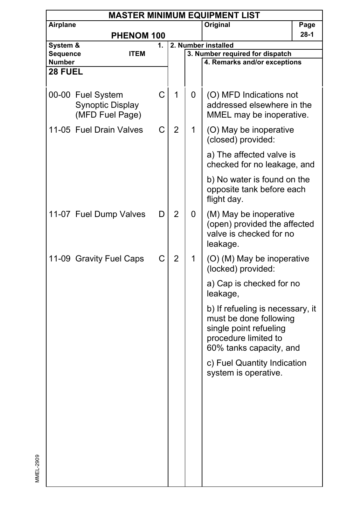|                      | <b>MASTER MINIMUM EQUIPMENT LIST</b>                            |    |                |                                                        |                                                                                                                                         |      |  |  |  |  |  |
|----------------------|-----------------------------------------------------------------|----|----------------|--------------------------------------------------------|-----------------------------------------------------------------------------------------------------------------------------------------|------|--|--|--|--|--|
| Airplane             |                                                                 |    |                |                                                        | Original                                                                                                                                | Page |  |  |  |  |  |
|                      | PHENOM 100                                                      |    |                |                                                        |                                                                                                                                         | 28-1 |  |  |  |  |  |
| System &<br>Sequence | <b>ITEM</b>                                                     | 1. |                | 2. Number installed<br>3. Number required for dispatch |                                                                                                                                         |      |  |  |  |  |  |
| Number               |                                                                 |    |                |                                                        | 4. Remarks and/or exceptions                                                                                                            |      |  |  |  |  |  |
| 28 FUEL              |                                                                 |    |                |                                                        |                                                                                                                                         |      |  |  |  |  |  |
|                      |                                                                 |    |                |                                                        |                                                                                                                                         |      |  |  |  |  |  |
|                      | 00-00 Fuel System<br><b>Synoptic Display</b><br>(MFD Fuel Page) | C  | 1              | 0                                                      | (O) MFD Indications not<br>addressed elsewhere in the<br>MMEL may be inoperative.                                                       |      |  |  |  |  |  |
|                      | 11-05 Fuel Drain Valves                                         | C  | 2              | 1                                                      | (O) May be inoperative<br>(closed) provided:                                                                                            |      |  |  |  |  |  |
|                      |                                                                 |    |                |                                                        | a) The affected valve is<br>checked for no leakage, and                                                                                 |      |  |  |  |  |  |
|                      |                                                                 |    |                |                                                        | b) No water is found on the<br>opposite tank before each<br>flight day.                                                                 |      |  |  |  |  |  |
|                      | 11-07 Fuel Dump Valves                                          | D  | $\overline{2}$ | 0                                                      | (M) May be inoperative<br>(open) provided the affected<br>valve is checked for no<br>leakage.                                           |      |  |  |  |  |  |
|                      | 11-09 Gravity Fuel Caps                                         | C  | $\overline{2}$ | 1                                                      | (O) (M) May be inoperative<br>(locked) provided:                                                                                        |      |  |  |  |  |  |
|                      |                                                                 |    |                |                                                        | a) Cap is checked for no<br>leakage,                                                                                                    |      |  |  |  |  |  |
|                      |                                                                 |    |                |                                                        | b) If refueling is necessary, it<br>must be done following<br>single point refueling<br>procedure limited to<br>60% tanks capacity, and |      |  |  |  |  |  |
|                      |                                                                 |    |                |                                                        | c) Fuel Quantity Indication<br>system is operative.                                                                                     |      |  |  |  |  |  |
|                      |                                                                 |    |                |                                                        |                                                                                                                                         |      |  |  |  |  |  |
|                      |                                                                 |    |                |                                                        |                                                                                                                                         |      |  |  |  |  |  |
|                      |                                                                 |    |                |                                                        |                                                                                                                                         |      |  |  |  |  |  |
|                      |                                                                 |    |                |                                                        |                                                                                                                                         |      |  |  |  |  |  |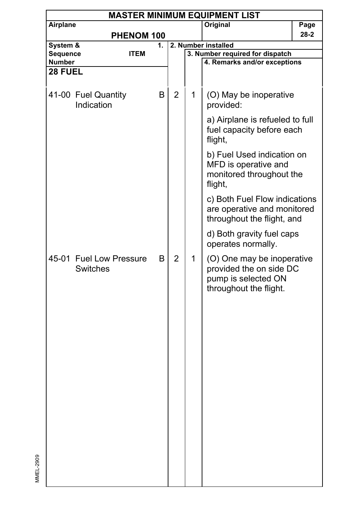| <b>MASTER MINIMUM EQUIPMENT LIST</b> |                                     |    |                |              |                                                                                                        |      |  |  |  |
|--------------------------------------|-------------------------------------|----|----------------|--------------|--------------------------------------------------------------------------------------------------------|------|--|--|--|
| Airplane                             |                                     |    |                |              | Original                                                                                               | Page |  |  |  |
|                                      | PHENOM 100                          |    |                |              |                                                                                                        | 28-2 |  |  |  |
| System &                             |                                     | 1. |                |              | 2. Number installed                                                                                    |      |  |  |  |
| Sequence                             | <b>ITEM</b>                         |    |                |              | 3. Number required for dispatch                                                                        |      |  |  |  |
| <b>Number</b>                        |                                     |    |                |              | 4. Remarks and/or exceptions                                                                           |      |  |  |  |
| 28 FUEL                              |                                     |    |                |              |                                                                                                        |      |  |  |  |
|                                      | 41-00 Fuel Quantity<br>Indication   | B  | $\overline{2}$ | 1            | (O) May be inoperative<br>provided:                                                                    |      |  |  |  |
|                                      |                                     |    |                |              | a) Airplane is refueled to full<br>fuel capacity before each<br>flight,                                |      |  |  |  |
|                                      |                                     |    |                |              | b) Fuel Used indication on<br>MFD is operative and<br>monitored throughout the<br>flight,              |      |  |  |  |
|                                      |                                     |    |                |              | c) Both Fuel Flow indications<br>are operative and monitored<br>throughout the flight, and             |      |  |  |  |
|                                      |                                     |    |                |              | d) Both gravity fuel caps<br>operates normally.                                                        |      |  |  |  |
|                                      | 45-01 Fuel Low Pressure<br>Switches | B  | $\overline{2}$ | $\mathbf{1}$ | (O) One may be inoperative<br>provided the on side DC<br>pump is selected ON<br>throughout the flight. |      |  |  |  |
|                                      |                                     |    |                |              |                                                                                                        |      |  |  |  |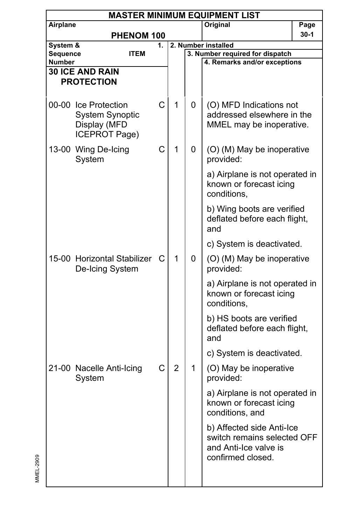|                    | <b>MASTER MINIMUM EQUIPMENT LIST</b> |                             |    |                |                     |                                                                 |          |  |  |  |  |  |
|--------------------|--------------------------------------|-----------------------------|----|----------------|---------------------|-----------------------------------------------------------------|----------|--|--|--|--|--|
| Airplane           |                                      |                             |    |                |                     | Original                                                        | Page     |  |  |  |  |  |
|                    |                                      | <b>PHENOM 100</b>           |    |                |                     |                                                                 | $30 - 1$ |  |  |  |  |  |
| System &           |                                      |                             | 1. |                | 2. Number installed |                                                                 |          |  |  |  |  |  |
| Sequence<br>Number |                                      | <b>ITEM</b>                 |    |                |                     | 3. Number required for dispatch<br>4. Remarks and/or exceptions |          |  |  |  |  |  |
|                    | <b>30 ICE AND RAIN</b>               |                             |    |                |                     |                                                                 |          |  |  |  |  |  |
|                    | <b>PROTECTION</b>                    |                             |    |                |                     |                                                                 |          |  |  |  |  |  |
|                    |                                      |                             |    |                |                     |                                                                 |          |  |  |  |  |  |
|                    | 00-00 Ice Protection                 |                             | C  | 1              | 0                   | (O) MFD Indications not                                         |          |  |  |  |  |  |
|                    |                                      | <b>System Synoptic</b>      |    |                |                     | addressed elsewhere in the                                      |          |  |  |  |  |  |
|                    | Display (MFD                         |                             |    |                |                     | MMEL may be inoperative.                                        |          |  |  |  |  |  |
|                    |                                      | ICEPROT Page)               |    |                |                     |                                                                 |          |  |  |  |  |  |
|                    | 13-00 Wing De-Icing                  |                             | C  | 1              | 0                   | (O) (M) May be inoperative                                      |          |  |  |  |  |  |
|                    | System                               |                             |    |                |                     | provided:                                                       |          |  |  |  |  |  |
|                    |                                      |                             |    |                |                     | a) Airplane is not operated in                                  |          |  |  |  |  |  |
|                    |                                      |                             |    |                |                     | known or forecast icing                                         |          |  |  |  |  |  |
|                    |                                      |                             |    |                |                     | conditions,                                                     |          |  |  |  |  |  |
|                    |                                      |                             |    |                |                     |                                                                 |          |  |  |  |  |  |
|                    |                                      |                             |    |                |                     | b) Wing boots are verified<br>deflated before each flight,      |          |  |  |  |  |  |
|                    |                                      |                             |    |                |                     | and                                                             |          |  |  |  |  |  |
|                    |                                      |                             |    |                |                     |                                                                 |          |  |  |  |  |  |
|                    |                                      |                             |    |                |                     | c) System is deactivated.                                       |          |  |  |  |  |  |
|                    |                                      | 15-00 Horizontal Stabilizer | С  | 1              | 0                   | (O) (M) May be inoperative                                      |          |  |  |  |  |  |
|                    |                                      | De-Icing System             |    |                |                     | provided:                                                       |          |  |  |  |  |  |
|                    |                                      |                             |    |                |                     | a) Airplane is not operated in                                  |          |  |  |  |  |  |
|                    |                                      |                             |    |                |                     | known or forecast icing                                         |          |  |  |  |  |  |
|                    |                                      |                             |    |                |                     | conditions,                                                     |          |  |  |  |  |  |
|                    |                                      |                             |    |                |                     | b) HS boots are verified                                        |          |  |  |  |  |  |
|                    |                                      |                             |    |                |                     | deflated before each flight,                                    |          |  |  |  |  |  |
|                    |                                      |                             |    |                |                     | and                                                             |          |  |  |  |  |  |
|                    |                                      |                             |    |                |                     | c) System is deactivated.                                       |          |  |  |  |  |  |
|                    |                                      | 21-00 Nacelle Anti-Icing    | C  | $\overline{2}$ | 1                   | (O) May be inoperative                                          |          |  |  |  |  |  |
|                    | System                               |                             |    |                |                     | provided:                                                       |          |  |  |  |  |  |
|                    |                                      |                             |    |                |                     | a) Airplane is not operated in                                  |          |  |  |  |  |  |
|                    |                                      |                             |    |                |                     | known or forecast icing                                         |          |  |  |  |  |  |
|                    |                                      |                             |    |                |                     | conditions, and                                                 |          |  |  |  |  |  |
|                    |                                      |                             |    |                |                     | b) Affected side Anti-Ice                                       |          |  |  |  |  |  |
|                    |                                      |                             |    |                |                     | switch remains selected OFF                                     |          |  |  |  |  |  |
|                    |                                      |                             |    |                |                     | and Anti-Ice valve is                                           |          |  |  |  |  |  |
|                    |                                      |                             |    |                |                     | confirmed closed.                                               |          |  |  |  |  |  |
|                    |                                      |                             |    |                |                     |                                                                 |          |  |  |  |  |  |
|                    |                                      |                             |    |                |                     |                                                                 |          |  |  |  |  |  |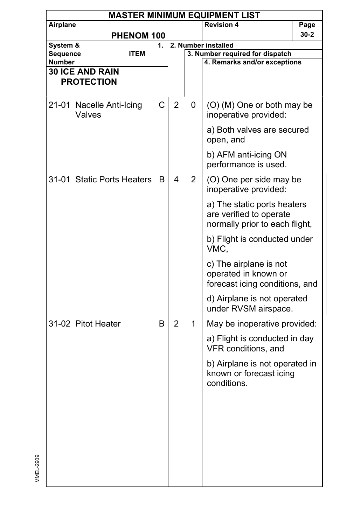|                      | <b>MASTER MINIMUM EQUIPMENT LIST</b>        |                            |    |                |                     |                                                                                          |          |  |  |  |  |
|----------------------|---------------------------------------------|----------------------------|----|----------------|---------------------|------------------------------------------------------------------------------------------|----------|--|--|--|--|
| Airplane             |                                             |                            |    |                |                     | <b>Revision 4</b>                                                                        | Page     |  |  |  |  |
|                      |                                             | PHENOM 100                 |    |                |                     |                                                                                          | $30 - 2$ |  |  |  |  |
| System &<br>Sequence |                                             | <b>ITEM</b>                | 1. |                | 2. Number installed |                                                                                          |          |  |  |  |  |
| <b>Number</b>        |                                             |                            |    |                |                     | 3. Number required for dispatch<br>4. Remarks and/or exceptions                          |          |  |  |  |  |
|                      | <b>30 ICE AND RAIN</b><br><b>PROTECTION</b> |                            |    |                |                     |                                                                                          |          |  |  |  |  |
|                      | Valves                                      | 21-01 Nacelle Anti-Icing   | С  | $\overline{2}$ | 0                   | (O) (M) One or both may be<br>inoperative provided:                                      |          |  |  |  |  |
|                      |                                             |                            |    |                |                     | a) Both valves are secured<br>open, and                                                  |          |  |  |  |  |
|                      |                                             |                            |    |                |                     | b) AFM anti-icing ON<br>performance is used.                                             |          |  |  |  |  |
|                      |                                             | 31-01 Static Ports Heaters | B  | 4              | 2                   | (O) One per side may be<br>inoperative provided:                                         |          |  |  |  |  |
|                      |                                             |                            |    |                |                     | a) The static ports heaters<br>are verified to operate<br>normally prior to each flight, |          |  |  |  |  |
|                      |                                             |                            |    |                |                     | b) Flight is conducted under<br>VMC,                                                     |          |  |  |  |  |
|                      |                                             |                            |    |                |                     | c) The airplane is not<br>operated in known or<br>forecast icing conditions, and         |          |  |  |  |  |
|                      |                                             |                            |    |                |                     | d) Airplane is not operated<br>under RVSM airspace.                                      |          |  |  |  |  |
|                      | 31-02 Pitot Heater                          |                            | B  | $\overline{2}$ | 1                   | May be inoperative provided:                                                             |          |  |  |  |  |
|                      |                                             |                            |    |                |                     | a) Flight is conducted in day<br>VFR conditions, and                                     |          |  |  |  |  |
|                      |                                             |                            |    |                |                     | b) Airplane is not operated in<br>known or forecast icing<br>conditions.                 |          |  |  |  |  |
|                      |                                             |                            |    |                |                     |                                                                                          |          |  |  |  |  |
|                      |                                             |                            |    |                |                     |                                                                                          |          |  |  |  |  |
|                      |                                             |                            |    |                |                     |                                                                                          |          |  |  |  |  |
|                      |                                             |                            |    |                |                     |                                                                                          |          |  |  |  |  |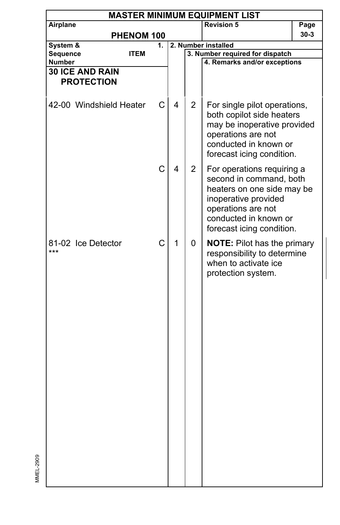| <b>MASTER MINIMUM EQUIPMENT LIST</b><br>Airplane |                                                            |                 |                |                                                                                                                                                                                         |                                                                                        |  |  |  |  |  |
|--------------------------------------------------|------------------------------------------------------------|-----------------|----------------|-----------------------------------------------------------------------------------------------------------------------------------------------------------------------------------------|----------------------------------------------------------------------------------------|--|--|--|--|--|
|                                                  |                                                            |                 |                | <b>Revision 5</b>                                                                                                                                                                       | Page                                                                                   |  |  |  |  |  |
|                                                  |                                                            |                 |                |                                                                                                                                                                                         | 30-3                                                                                   |  |  |  |  |  |
|                                                  | 1.                                                         |                 |                |                                                                                                                                                                                         |                                                                                        |  |  |  |  |  |
|                                                  |                                                            |                 |                |                                                                                                                                                                                         |                                                                                        |  |  |  |  |  |
|                                                  |                                                            |                 |                |                                                                                                                                                                                         |                                                                                        |  |  |  |  |  |
|                                                  |                                                            |                 |                |                                                                                                                                                                                         |                                                                                        |  |  |  |  |  |
|                                                  |                                                            |                 |                |                                                                                                                                                                                         |                                                                                        |  |  |  |  |  |
| 42-00 Windshield Heater                          | С                                                          | 4               | $\overline{2}$ | For single pilot operations,<br>both copilot side heaters<br>may be inoperative provided<br>operations are not<br>conducted in known or<br>forecast icing condition.                    |                                                                                        |  |  |  |  |  |
|                                                  |                                                            | 4               | $\overline{2}$ | For operations requiring a<br>second in command, both<br>heaters on one side may be<br>inoperative provided<br>operations are not<br>conducted in known or<br>forecast icing condition. |                                                                                        |  |  |  |  |  |
| 81-02 Ice Detector                               | C                                                          | 1               | 0              | <b>NOTE:</b> Pilot has the primary<br>responsibility to determine<br>when to activate ice<br>protection system.                                                                         |                                                                                        |  |  |  |  |  |
|                                                  | <b>ITEM</b><br><b>30 ICE AND RAIN</b><br><b>PROTECTION</b> | PHENOM 100<br>C |                |                                                                                                                                                                                         | 2. Number installed<br>3. Number required for dispatch<br>4. Remarks and/or exceptions |  |  |  |  |  |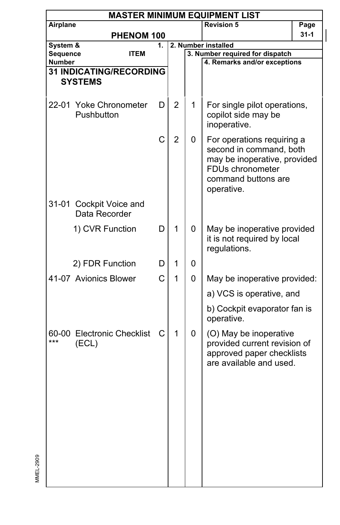|                           | <b>MASTER MINIMUM EQUIPMENT LIST</b>     |    |                |   |                                                                                                                                                            |          |  |  |  |  |
|---------------------------|------------------------------------------|----|----------------|---|------------------------------------------------------------------------------------------------------------------------------------------------------------|----------|--|--|--|--|
| Airplane                  |                                          |    |                |   | <b>Revision 5</b>                                                                                                                                          | Page     |  |  |  |  |
|                           | PHENOM 100                               |    |                |   |                                                                                                                                                            | $31 - 1$ |  |  |  |  |
| System &                  |                                          | 1. |                |   | 2. Number installed                                                                                                                                        |          |  |  |  |  |
| Sequence<br><b>Number</b> | ITEM                                     |    |                |   | 3. Number required for dispatch<br>4. Remarks and/or exceptions                                                                                            |          |  |  |  |  |
|                           | <b>31 INDICATING/RECORDING</b>           |    |                |   |                                                                                                                                                            |          |  |  |  |  |
|                           | <b>SYSTEMS</b>                           |    |                |   |                                                                                                                                                            |          |  |  |  |  |
|                           |                                          |    |                |   |                                                                                                                                                            |          |  |  |  |  |
|                           | 22-01 Yoke Chronometer<br>Pushbutton     | D  | 2              | 1 | For single pilot operations,<br>copilot side may be<br>inoperative.                                                                                        |          |  |  |  |  |
|                           |                                          | C  | $\overline{2}$ | 0 | For operations requiring a<br>second in command, both<br>may be inoperative, provided<br>FDU <sub>s</sub> chronometer<br>command buttons are<br>operative. |          |  |  |  |  |
|                           | 31-01 Cockpit Voice and<br>Data Recorder |    |                |   |                                                                                                                                                            |          |  |  |  |  |
|                           | 1) CVR Function                          | D  | 1              | 0 | May be inoperative provided<br>it is not required by local<br>regulations.                                                                                 |          |  |  |  |  |
|                           | 2) FDR Function                          | D  | 1              | 0 |                                                                                                                                                            |          |  |  |  |  |
|                           | 41-07 Avionics Blower                    | C  | 1              | 0 | May be inoperative provided:                                                                                                                               |          |  |  |  |  |
|                           |                                          |    |                |   | a) VCS is operative, and                                                                                                                                   |          |  |  |  |  |
|                           |                                          |    |                |   | b) Cockpit evaporator fan is<br>operative.                                                                                                                 |          |  |  |  |  |
| ***                       | 60-00 Electronic Checklist<br>(ECL)      | С  | 1              | 0 | (O) May be inoperative<br>provided current revision of<br>approved paper checklists<br>are available and used.                                             |          |  |  |  |  |
|                           |                                          |    |                |   |                                                                                                                                                            |          |  |  |  |  |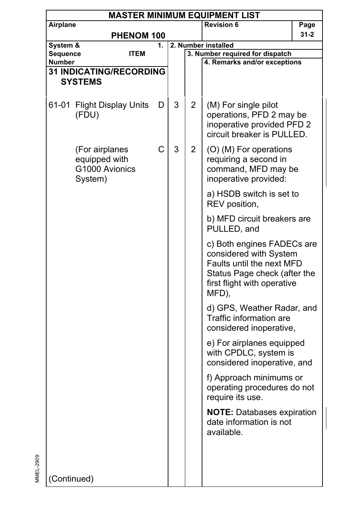| <b>MASTER MINIMUM EQUIPMENT LIST</b> |                                                              |    |   |                |                                                                                                                                                           |      |  |  |
|--------------------------------------|--------------------------------------------------------------|----|---|----------------|-----------------------------------------------------------------------------------------------------------------------------------------------------------|------|--|--|
| Airplane                             |                                                              |    |   |                | <b>Revision 6</b>                                                                                                                                         | Page |  |  |
|                                      | PHENOM 100                                                   |    |   |                |                                                                                                                                                           | 31-2 |  |  |
| System &                             |                                                              | 1. |   |                | 2. Number installed                                                                                                                                       |      |  |  |
| Sequence                             | <b>ITEM</b>                                                  |    |   |                | 3. Number required for dispatch                                                                                                                           |      |  |  |
| <b>Number</b>                        |                                                              |    |   |                | 4. Remarks and/or exceptions                                                                                                                              |      |  |  |
|                                      | <b>31 INDICATING/RECORDING</b>                               |    |   |                |                                                                                                                                                           |      |  |  |
| <b>SYSTEMS</b>                       |                                                              |    |   |                |                                                                                                                                                           |      |  |  |
|                                      | 61-01 Flight Display Units<br>(FDU)                          | D  | 3 | 2              | (M) For single pilot<br>operations, PFD 2 may be<br>inoperative provided PFD 2<br>circuit breaker is PULLED.                                              |      |  |  |
|                                      | (For airplanes<br>equipped with<br>G1000 Avionics<br>System) | C  | 3 | $\overline{2}$ | (O) (M) For operations<br>requiring a second in<br>command, MFD may be<br>inoperative provided:                                                           |      |  |  |
|                                      |                                                              |    |   |                | a) HSDB switch is set to<br>REV position,                                                                                                                 |      |  |  |
|                                      |                                                              |    |   |                | b) MFD circuit breakers are<br>PULLED, and                                                                                                                |      |  |  |
|                                      |                                                              |    |   |                | c) Both engines FADECs are<br>considered with System<br>Faults until the next MFD<br>Status Page check (after the<br>first flight with operative<br>MFD), |      |  |  |
|                                      |                                                              |    |   |                | d) GPS, Weather Radar, and<br>Traffic information are<br>considered inoperative,                                                                          |      |  |  |
|                                      |                                                              |    |   |                | e) For airplanes equipped<br>with CPDLC, system is<br>considered inoperative, and                                                                         |      |  |  |
|                                      |                                                              |    |   |                | f) Approach minimums or<br>operating procedures do not<br>require its use.                                                                                |      |  |  |
|                                      |                                                              |    |   |                | <b>NOTE: Databases expiration</b><br>date information is not<br>available.                                                                                |      |  |  |
| (Continued)                          |                                                              |    |   |                |                                                                                                                                                           |      |  |  |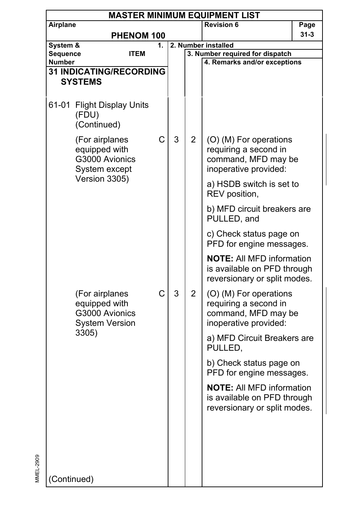| <b>MASTER MINIMUM EQUIPMENT LIST</b> |                                                                            |    |   |                                                        |                                                                                                 |          |  |  |
|--------------------------------------|----------------------------------------------------------------------------|----|---|--------------------------------------------------------|-------------------------------------------------------------------------------------------------|----------|--|--|
| Airplane                             |                                                                            |    |   |                                                        | <b>Revision 6</b>                                                                               | Page     |  |  |
|                                      | PHENOM 100                                                                 |    |   |                                                        |                                                                                                 | $31 - 3$ |  |  |
| System &                             |                                                                            | 1. |   | 2. Number installed<br>3. Number required for dispatch |                                                                                                 |          |  |  |
| Sequence<br>Number                   | <b>ITEM</b>                                                                |    |   |                                                        | 4. Remarks and/or exceptions                                                                    |          |  |  |
|                                      | <b>31 INDICATING/RECORDING</b>                                             |    |   |                                                        |                                                                                                 |          |  |  |
|                                      | <b>SYSTEMS</b>                                                             |    |   |                                                        |                                                                                                 |          |  |  |
|                                      |                                                                            |    |   |                                                        |                                                                                                 |          |  |  |
| 61-01                                | <b>Flight Display Units</b><br>(FDU)<br>(Continued)                        |    |   |                                                        |                                                                                                 |          |  |  |
|                                      | (For airplanes<br>equipped with<br>G3000 Avionics<br>System except         |    | 3 | $\overline{2}$                                         | (O) (M) For operations<br>requiring a second in<br>command, MFD may be<br>inoperative provided: |          |  |  |
|                                      | Version 3305)                                                              |    |   |                                                        | a) HSDB switch is set to<br>REV position,                                                       |          |  |  |
|                                      |                                                                            |    |   |                                                        | b) MFD circuit breakers are<br>PULLED, and                                                      |          |  |  |
|                                      |                                                                            |    |   |                                                        | c) Check status page on<br>PFD for engine messages.                                             |          |  |  |
|                                      |                                                                            |    |   |                                                        | <b>NOTE:</b> All MFD information<br>is available on PFD through<br>reversionary or split modes. |          |  |  |
|                                      | (For airplanes<br>equipped with<br>G3000 Avionics<br><b>System Version</b> | C  | 3 | $\overline{2}$                                         | (O) (M) For operations<br>requiring a second in<br>command, MFD may be<br>inoperative provided: |          |  |  |
|                                      | 3305)                                                                      |    |   |                                                        | a) MFD Circuit Breakers are<br>PULLED,                                                          |          |  |  |
|                                      |                                                                            |    |   |                                                        | b) Check status page on<br>PFD for engine messages.                                             |          |  |  |
|                                      |                                                                            |    |   |                                                        | <b>NOTE: All MFD information</b><br>is available on PFD through<br>reversionary or split modes. |          |  |  |
|                                      |                                                                            |    |   |                                                        |                                                                                                 |          |  |  |
| (Continued)                          |                                                                            |    |   |                                                        |                                                                                                 |          |  |  |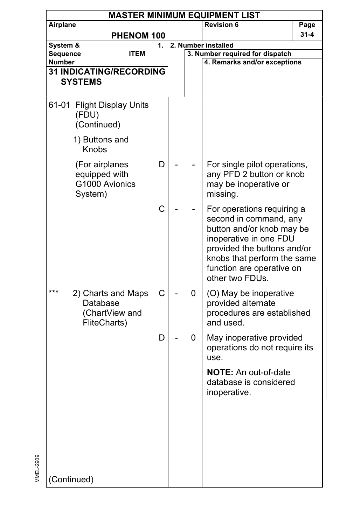| <b>MASTER MINIMUM EQUIPMENT LIST</b> |                                                                  |    |  |   |                                                                                                                                                                                                                           |          |  |  |
|--------------------------------------|------------------------------------------------------------------|----|--|---|---------------------------------------------------------------------------------------------------------------------------------------------------------------------------------------------------------------------------|----------|--|--|
| Airplane                             |                                                                  |    |  |   | <b>Revision 6</b>                                                                                                                                                                                                         | Page     |  |  |
|                                      | PHENOM 100                                                       |    |  |   |                                                                                                                                                                                                                           | $31 - 4$ |  |  |
| System &                             |                                                                  | 1. |  |   | 2. Number installed                                                                                                                                                                                                       |          |  |  |
| Sequence<br>Number                   | <b>ITEM</b>                                                      |    |  |   | 3. Number required for dispatch<br>4. Remarks and/or exceptions                                                                                                                                                           |          |  |  |
|                                      | <b>31 INDICATING/RECORDING</b>                                   |    |  |   |                                                                                                                                                                                                                           |          |  |  |
|                                      | <b>SYSTEMS</b>                                                   |    |  |   |                                                                                                                                                                                                                           |          |  |  |
|                                      |                                                                  |    |  |   |                                                                                                                                                                                                                           |          |  |  |
| 61-01                                | <b>Flight Display Units</b><br>(FDU)<br>(Continued)              |    |  |   |                                                                                                                                                                                                                           |          |  |  |
|                                      | 1) Buttons and<br>Knobs                                          |    |  |   |                                                                                                                                                                                                                           |          |  |  |
|                                      | (For airplanes<br>equipped with<br>G1000 Avionics<br>System)     | D  |  |   | For single pilot operations,<br>any PFD 2 button or knob<br>may be inoperative or<br>missing.                                                                                                                             |          |  |  |
|                                      |                                                                  | C  |  |   | For operations requiring a<br>second in command, any<br>button and/or knob may be<br>inoperative in one FDU<br>provided the buttons and/or<br>knobs that perform the same<br>function are operative on<br>other two FDUs. |          |  |  |
| ***                                  | 2) Charts and Maps<br>Database<br>(ChartView and<br>FliteCharts) | С  |  | 0 | (O) May be inoperative<br>provided alternate<br>procedures are established<br>and used.                                                                                                                                   |          |  |  |
|                                      |                                                                  | D  |  | 0 | May inoperative provided<br>operations do not require its<br>use.                                                                                                                                                         |          |  |  |
|                                      |                                                                  |    |  |   | <b>NOTE:</b> An out-of-date<br>database is considered<br>inoperative.                                                                                                                                                     |          |  |  |
| (Continued)                          |                                                                  |    |  |   |                                                                                                                                                                                                                           |          |  |  |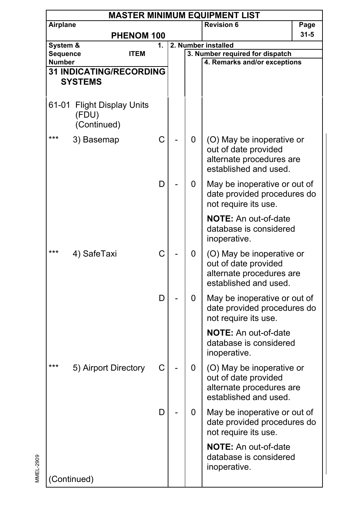| <b>MASTER MINIMUM EQUIPMENT LIST</b> |                                                     |    |  |   |                                                                                                        |          |  |  |  |
|--------------------------------------|-----------------------------------------------------|----|--|---|--------------------------------------------------------------------------------------------------------|----------|--|--|--|
| Airplane                             |                                                     |    |  |   | <b>Revision 6</b>                                                                                      | Page     |  |  |  |
|                                      | <b>PHENOM 100</b>                                   |    |  |   |                                                                                                        | $31 - 5$ |  |  |  |
| System &                             |                                                     | 1. |  |   | 2. Number installed                                                                                    |          |  |  |  |
| Sequence<br><b>Number</b>            | <b>ITEM</b>                                         |    |  |   | 3. Number required for dispatch<br>4. Remarks and/or exceptions                                        |          |  |  |  |
|                                      | <b>31 INDICATING/RECORDING</b>                      |    |  |   |                                                                                                        |          |  |  |  |
|                                      | <b>SYSTEMS</b>                                      |    |  |   |                                                                                                        |          |  |  |  |
|                                      |                                                     |    |  |   |                                                                                                        |          |  |  |  |
| 61-01                                | <b>Flight Display Units</b><br>(FDU)<br>(Continued) |    |  |   |                                                                                                        |          |  |  |  |
| ***                                  | 3) Basemap                                          | C  |  | 0 | (O) May be inoperative or<br>out of date provided<br>alternate procedures are<br>established and used. |          |  |  |  |
|                                      |                                                     | D  |  | 0 | May be inoperative or out of<br>date provided procedures do<br>not require its use.                    |          |  |  |  |
|                                      |                                                     |    |  |   | <b>NOTE:</b> An out-of-date<br>database is considered<br>inoperative.                                  |          |  |  |  |
| ***                                  | 4) SafeTaxi                                         | C  |  | 0 | (O) May be inoperative or<br>out of date provided<br>alternate procedures are<br>established and used. |          |  |  |  |
|                                      |                                                     | D  |  | 0 | May be inoperative or out of<br>date provided procedures do<br>not require its use.                    |          |  |  |  |
|                                      |                                                     |    |  |   | <b>NOTE:</b> An out-of-date<br>database is considered<br>inoperative.                                  |          |  |  |  |
| ***                                  | 5) Airport Directory                                | С  |  | 0 | (O) May be inoperative or<br>out of date provided<br>alternate procedures are<br>established and used. |          |  |  |  |
|                                      |                                                     | D  |  | 0 | May be inoperative or out of<br>date provided procedures do<br>not require its use.                    |          |  |  |  |
|                                      |                                                     |    |  |   | NOTE: An out-of-date<br>database is considered<br>inoperative.                                         |          |  |  |  |
| (Continued)                          |                                                     |    |  |   |                                                                                                        |          |  |  |  |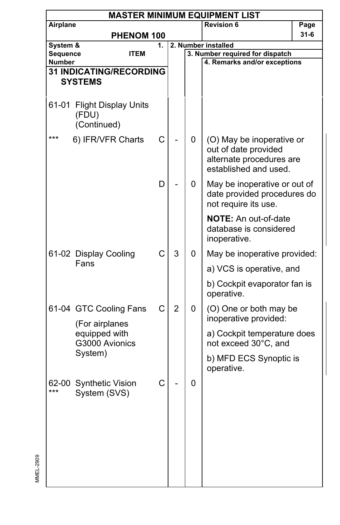| <b>MASTER MINIMUM EQUIPMENT LIST</b> |                                                     |    |                |   |                                                                                                        |          |  |  |
|--------------------------------------|-----------------------------------------------------|----|----------------|---|--------------------------------------------------------------------------------------------------------|----------|--|--|
| Airplane                             |                                                     |    |                |   | <b>Revision 6</b>                                                                                      | Page     |  |  |
|                                      | PHENOM 100                                          |    |                |   |                                                                                                        | $31 - 6$ |  |  |
| System &                             |                                                     | 1. |                |   | 2. Number installed                                                                                    |          |  |  |
| Sequence                             | <b>ITEM</b>                                         |    |                |   | 3. Number required for dispatch                                                                        |          |  |  |
| <b>Number</b>                        | <b>31 INDICATING/RECORDING</b>                      |    |                |   | 4. Remarks and/or exceptions                                                                           |          |  |  |
|                                      | <b>SYSTEMS</b>                                      |    |                |   |                                                                                                        |          |  |  |
|                                      |                                                     |    |                |   |                                                                                                        |          |  |  |
| 61-01                                | <b>Flight Display Units</b><br>(FDU)<br>(Continued) |    |                |   |                                                                                                        |          |  |  |
| ***                                  | 6) IFR/VFR Charts                                   | C  |                | 0 | (O) May be inoperative or<br>out of date provided<br>alternate procedures are<br>established and used. |          |  |  |
|                                      |                                                     | D  |                | 0 | May be inoperative or out of<br>date provided procedures do<br>not require its use.                    |          |  |  |
|                                      |                                                     |    |                |   | <b>NOTE:</b> An out-of-date<br>database is considered<br>inoperative.                                  |          |  |  |
|                                      | 61-02 Display Cooling<br>Fans                       | C  | 3              | 0 | May be inoperative provided:                                                                           |          |  |  |
|                                      |                                                     |    |                |   | a) VCS is operative, and                                                                               |          |  |  |
|                                      |                                                     |    |                |   | b) Cockpit evaporator fan is<br>operative.                                                             |          |  |  |
|                                      | 61-04 GTC Cooling Fans<br>(For airplanes            | C  | $\overline{2}$ | 0 | (O) One or both may be<br>inoperative provided:                                                        |          |  |  |
|                                      | equipped with<br>G3000 Avionics                     |    |                |   | a) Cockpit temperature does<br>not exceed 30°C, and                                                    |          |  |  |
|                                      | System)                                             |    |                |   | b) MFD ECS Synoptic is<br>operative.                                                                   |          |  |  |
| 62-00<br>***                         | <b>Synthetic Vision</b><br>System (SVS)             | С  |                | 0 |                                                                                                        |          |  |  |
|                                      |                                                     |    |                |   |                                                                                                        |          |  |  |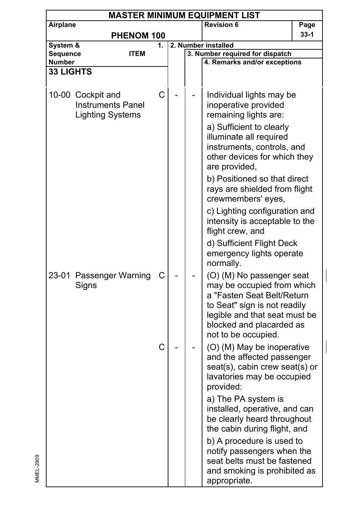| <b>MASTER MINIMUM EQUIPMENT LIST</b> |                                                                          |    |  |  |                                                                                                                                                                                                           |        |  |  |
|--------------------------------------|--------------------------------------------------------------------------|----|--|--|-----------------------------------------------------------------------------------------------------------------------------------------------------------------------------------------------------------|--------|--|--|
| Airplane                             |                                                                          |    |  |  | <b>Revision 6</b>                                                                                                                                                                                         | Page   |  |  |
|                                      | PHENOM 100                                                               |    |  |  |                                                                                                                                                                                                           | $33-1$ |  |  |
| System &                             |                                                                          | 1. |  |  | 2. Number installed                                                                                                                                                                                       |        |  |  |
| Sequence                             | <b>ITEM</b>                                                              |    |  |  | 3. Number required for dispatch                                                                                                                                                                           |        |  |  |
| Number                               |                                                                          |    |  |  | 4. Remarks and/or exceptions                                                                                                                                                                              |        |  |  |
| <b>33 LIGHTS</b>                     |                                                                          |    |  |  |                                                                                                                                                                                                           |        |  |  |
|                                      | 10-00 Cockpit and<br><b>Instruments Panel</b><br><b>Lighting Systems</b> | C  |  |  | Individual lights may be<br>inoperative provided<br>remaining lights are:<br>a) Sufficient to clearly<br>illuminate all required<br>instruments, controls, and<br>other devices for which they            |        |  |  |
|                                      |                                                                          |    |  |  | are provided,                                                                                                                                                                                             |        |  |  |
|                                      |                                                                          |    |  |  | b) Positioned so that direct<br>rays are shielded from flight<br>crewmembers' eyes,                                                                                                                       |        |  |  |
|                                      |                                                                          |    |  |  | c) Lighting configuration and<br>intensity is acceptable to the<br>flight crew, and                                                                                                                       |        |  |  |
|                                      |                                                                          |    |  |  | d) Sufficient Flight Deck<br>emergency lights operate<br>normally.                                                                                                                                        |        |  |  |
|                                      | 23-01 Passenger Warning<br>Signs                                         | С  |  |  | (O) (M) No passenger seat<br>may be occupied from which<br>a "Fasten Seat Belt/Return<br>to Seat" sign is not readily<br>legible and that seat must be<br>blocked and placarded as<br>not to be occupied. |        |  |  |
|                                      |                                                                          | C  |  |  | (O) (M) May be inoperative<br>and the affected passenger<br>seat(s), cabin crew seat(s) or<br>lavatories may be occupied<br>provided:                                                                     |        |  |  |
|                                      |                                                                          |    |  |  | a) The PA system is<br>installed, operative, and can<br>be clearly heard throughout<br>the cabin during flight, and                                                                                       |        |  |  |
|                                      |                                                                          |    |  |  | b) A procedure is used to<br>notify passengers when the<br>seat belts must be fastened<br>and smoking is prohibited as<br>appropriate.                                                                    |        |  |  |

I

I

MMEL-2909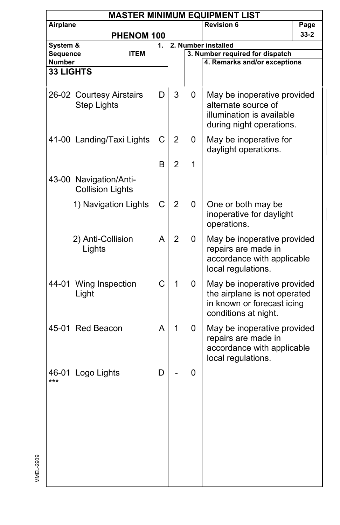|                           | <b>MASTER MINIMUM EQUIPMENT LIST</b>              |    |                |   |                                                                                                                   |        |  |  |  |
|---------------------------|---------------------------------------------------|----|----------------|---|-------------------------------------------------------------------------------------------------------------------|--------|--|--|--|
| Airplane                  |                                                   |    |                |   | <b>Revision 6</b>                                                                                                 | Page   |  |  |  |
|                           | PHENOM 100                                        |    |                |   |                                                                                                                   | $33-2$ |  |  |  |
| System &                  |                                                   | 1. |                |   | 2. Number installed                                                                                               |        |  |  |  |
| Sequence<br><b>Number</b> | ITEM                                              |    |                |   | 3. Number required for dispatch<br>4. Remarks and/or exceptions                                                   |        |  |  |  |
| <b>33 LIGHTS</b>          |                                                   |    |                |   |                                                                                                                   |        |  |  |  |
|                           |                                                   |    |                |   |                                                                                                                   |        |  |  |  |
|                           | 26-02 Courtesy Airstairs<br><b>Step Lights</b>    | D  | 3              | 0 | May be inoperative provided<br>alternate source of<br>illumination is available<br>during night operations.       |        |  |  |  |
|                           | 41-00 Landing/Taxi Lights                         | С  | $\overline{2}$ | 0 | May be inoperative for<br>daylight operations.                                                                    |        |  |  |  |
|                           |                                                   | в  | 2              | 1 |                                                                                                                   |        |  |  |  |
|                           | 43-00 Navigation/Anti-<br><b>Collision Lights</b> |    |                |   |                                                                                                                   |        |  |  |  |
|                           | 1) Navigation Lights                              | C  | 2              | 0 | One or both may be<br>inoperative for daylight<br>operations.                                                     |        |  |  |  |
|                           | 2) Anti-Collision<br>Lights                       | A  | $\overline{2}$ | 0 | May be inoperative provided<br>repairs are made in<br>accordance with applicable<br>local regulations.            |        |  |  |  |
|                           | 44-01 Wing Inspection<br>Light                    | C  | 1              | 0 | May be inoperative provided<br>the airplane is not operated<br>in known or forecast icing<br>conditions at night. |        |  |  |  |
|                           | 45-01 Red Beacon                                  | A  | 1              | 0 | May be inoperative provided<br>repairs are made in<br>accordance with applicable<br>local regulations.            |        |  |  |  |
| ***                       | 46-01 Logo Lights                                 | D  |                | 0 |                                                                                                                   |        |  |  |  |
|                           |                                                   |    |                |   |                                                                                                                   |        |  |  |  |

 $\overline{\phantom{a}}$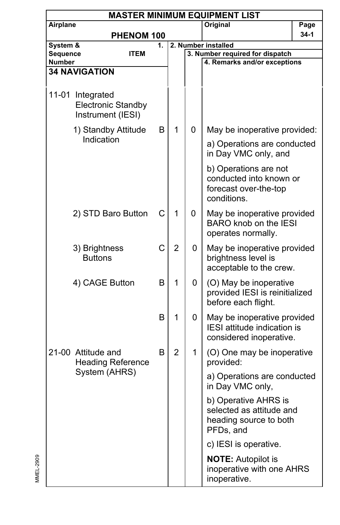| <b>MASTER MINIMUM EQUIPMENT LIST</b> |                                                                    |    |                |                     |                                                                                          |        |  |  |  |
|--------------------------------------|--------------------------------------------------------------------|----|----------------|---------------------|------------------------------------------------------------------------------------------|--------|--|--|--|
| Airplane                             |                                                                    |    |                |                     | Original                                                                                 | Page   |  |  |  |
|                                      | PHENOM 100                                                         |    |                |                     |                                                                                          | $34-1$ |  |  |  |
| System &                             |                                                                    | 1. |                | 2. Number installed |                                                                                          |        |  |  |  |
| Sequence<br>Number                   | <b>ITEM</b>                                                        |    |                |                     | 3. Number required for dispatch<br>4. Remarks and/or exceptions                          |        |  |  |  |
|                                      | <b>34 NAVIGATION</b>                                               |    |                |                     |                                                                                          |        |  |  |  |
|                                      |                                                                    |    |                |                     |                                                                                          |        |  |  |  |
|                                      | 11-01 Integrated<br><b>Electronic Standby</b><br>Instrument (IESI) |    |                |                     |                                                                                          |        |  |  |  |
|                                      | 1) Standby Attitude                                                | B  | 1              | 0                   | May be inoperative provided:                                                             |        |  |  |  |
|                                      | Indication                                                         |    |                |                     | a) Operations are conducted<br>in Day VMC only, and                                      |        |  |  |  |
|                                      |                                                                    |    |                |                     | b) Operations are not<br>conducted into known or<br>forecast over-the-top<br>conditions. |        |  |  |  |
|                                      | 2) STD Baro Button                                                 | C  | $\mathbf{1}$   | 0                   | May be inoperative provided<br>BARO knob on the IESI<br>operates normally.               |        |  |  |  |
|                                      | 3) Brightness<br><b>Buttons</b>                                    | C  | $\overline{2}$ | 0                   | May be inoperative provided<br>brightness level is<br>acceptable to the crew.            |        |  |  |  |
|                                      | 4) CAGE Button                                                     | B  | 1              | 0                   | (O) May be inoperative<br>provided IESI is reinitialized<br>before each flight.          |        |  |  |  |
|                                      |                                                                    | B  | 1              | 0                   | May be inoperative provided<br>IESI attitude indication is<br>considered inoperative.    |        |  |  |  |
|                                      | 21-00 Attitude and<br><b>Heading Reference</b>                     | B  | $\overline{2}$ | 1                   | (O) One may be inoperative<br>provided:                                                  |        |  |  |  |
|                                      | System (AHRS)                                                      |    |                |                     | a) Operations are conducted<br>in Day VMC only,                                          |        |  |  |  |
|                                      |                                                                    |    |                |                     | b) Operative AHRS is<br>selected as attitude and<br>heading source to both<br>PFDs, and  |        |  |  |  |
|                                      |                                                                    |    |                |                     | c) IESI is operative.                                                                    |        |  |  |  |
|                                      |                                                                    |    |                |                     | <b>NOTE:</b> Autopilot is<br>inoperative with one AHRS<br>inoperative.                   |        |  |  |  |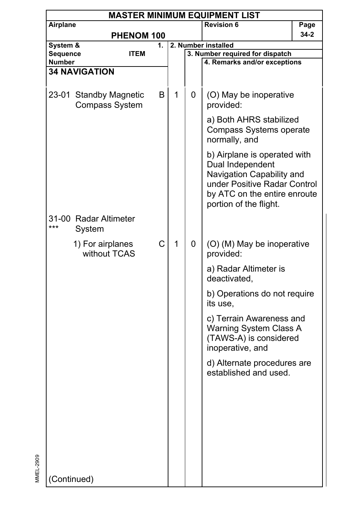|                      | <b>MASTER MINIMUM EQUIPMENT LIST</b>     |                   |              |   |                                                                                                                                                                         |          |  |  |  |
|----------------------|------------------------------------------|-------------------|--------------|---|-------------------------------------------------------------------------------------------------------------------------------------------------------------------------|----------|--|--|--|
| Airplane             |                                          |                   |              |   | <b>Revision 6</b>                                                                                                                                                       | Page     |  |  |  |
|                      |                                          | PHENOM 100        |              |   |                                                                                                                                                                         | $34 - 2$ |  |  |  |
| System &<br>Sequence |                                          | 1.<br><b>ITEM</b> |              |   | 2. Number installed<br>3. Number required for dispatch                                                                                                                  |          |  |  |  |
| <b>Number</b>        |                                          |                   |              |   | 4. Remarks and/or exceptions                                                                                                                                            |          |  |  |  |
|                      | <b>34 NAVIGATION</b>                     |                   |              |   |                                                                                                                                                                         |          |  |  |  |
|                      | 23-01 Standby Magnetic<br>Compass System | B                 | 1            | 0 | (O) May be inoperative<br>provided:                                                                                                                                     |          |  |  |  |
|                      |                                          |                   |              |   | a) Both AHRS stabilized<br>Compass Systems operate<br>normally, and                                                                                                     |          |  |  |  |
|                      |                                          |                   |              |   | b) Airplane is operated with<br>Dual Independent<br>Navigation Capability and<br>under Positive Radar Control<br>by ATC on the entire enroute<br>portion of the flight. |          |  |  |  |
| ***                  | 31-00 Radar Altimeter<br>System          |                   |              |   |                                                                                                                                                                         |          |  |  |  |
|                      | 1) For airplanes<br>without TCAS         | C                 | $\mathbf{1}$ | 0 | (O) (M) May be inoperative<br>provided:                                                                                                                                 |          |  |  |  |
|                      |                                          |                   |              |   | a) Radar Altimeter is<br>deactivated,                                                                                                                                   |          |  |  |  |
|                      |                                          |                   |              |   | b) Operations do not require<br>its use,                                                                                                                                |          |  |  |  |
|                      |                                          |                   |              |   | c) Terrain Awareness and<br>Warning System Class A<br>(TAWS-A) is considered<br>inoperative, and                                                                        |          |  |  |  |
|                      |                                          |                   |              |   | d) Alternate procedures are<br>established and used.                                                                                                                    |          |  |  |  |
|                      |                                          |                   |              |   |                                                                                                                                                                         |          |  |  |  |
|                      |                                          |                   |              |   |                                                                                                                                                                         |          |  |  |  |
|                      |                                          |                   |              |   |                                                                                                                                                                         |          |  |  |  |
|                      |                                          |                   |              |   |                                                                                                                                                                         |          |  |  |  |
| (Continued)          |                                          |                   |              |   |                                                                                                                                                                         |          |  |  |  |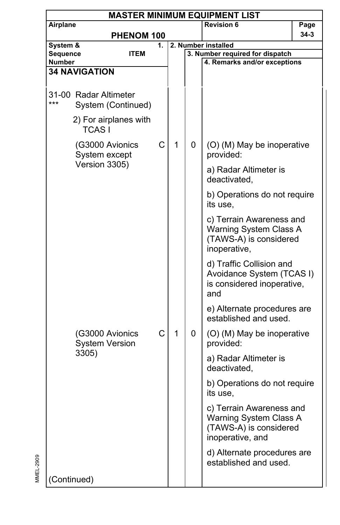| <b>MASTER MINIMUM EQUIPMENT LIST</b> |                                             |    |   |                                                                                                  |                                                                                            |          |  |  |
|--------------------------------------|---------------------------------------------|----|---|--------------------------------------------------------------------------------------------------|--------------------------------------------------------------------------------------------|----------|--|--|
| Airplane                             |                                             |    |   |                                                                                                  | <b>Revision 6</b>                                                                          | Page     |  |  |
|                                      | PHENOM 100                                  |    |   |                                                                                                  |                                                                                            | $34 - 3$ |  |  |
| System &                             |                                             | 1. |   |                                                                                                  | 2. Number installed                                                                        |          |  |  |
| Sequence<br>Number                   | <b>ITEM</b>                                 |    |   |                                                                                                  | 3. Number required for dispatch<br>4. Remarks and/or exceptions                            |          |  |  |
|                                      | <b>34 NAVIGATION</b>                        |    |   |                                                                                                  |                                                                                            |          |  |  |
|                                      |                                             |    |   |                                                                                                  |                                                                                            |          |  |  |
| ***                                  | 31-00 Radar Altimeter<br>System (Continued) |    |   |                                                                                                  |                                                                                            |          |  |  |
|                                      | 2) For airplanes with<br><b>TCASI</b>       |    |   |                                                                                                  |                                                                                            |          |  |  |
| (G3000 Avionics<br>System except     |                                             | С  | 1 | 0                                                                                                | (O) (M) May be inoperative<br>provided:                                                    |          |  |  |
|                                      | Version 3305)                               |    |   |                                                                                                  | a) Radar Altimeter is<br>deactivated,                                                      |          |  |  |
|                                      |                                             |    |   |                                                                                                  | b) Operations do not require<br>its use.                                                   |          |  |  |
|                                      |                                             |    |   | c) Terrain Awareness and<br>Warning System Class A<br>(TAWS-A) is considered<br>inoperative,     |                                                                                            |          |  |  |
|                                      |                                             |    |   |                                                                                                  | d) Traffic Collision and<br>Avoidance System (TCAS I)<br>is considered inoperative,<br>and |          |  |  |
|                                      |                                             |    |   |                                                                                                  | e) Alternate procedures are<br>established and used.                                       |          |  |  |
|                                      | (G3000 Avionics<br><b>System Version</b>    | C  | 1 | 0                                                                                                | (O) (M) May be inoperative<br>provided:                                                    |          |  |  |
|                                      | 3305)                                       |    |   |                                                                                                  | a) Radar Altimeter is<br>deactivated,                                                      |          |  |  |
|                                      |                                             |    |   |                                                                                                  | b) Operations do not require<br>its use.                                                   |          |  |  |
|                                      |                                             |    |   | c) Terrain Awareness and<br>Warning System Class A<br>(TAWS-A) is considered<br>inoperative, and |                                                                                            |          |  |  |
|                                      |                                             |    |   |                                                                                                  | d) Alternate procedures are<br>established and used.                                       |          |  |  |
| (Continued)                          |                                             |    |   |                                                                                                  |                                                                                            |          |  |  |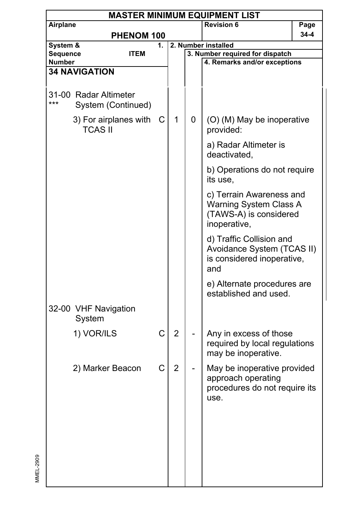| <b>MASTER MINIMUM EQUIPMENT LIST</b> |                                             |             |                |   |                                                                                              |      |  |  |
|--------------------------------------|---------------------------------------------|-------------|----------------|---|----------------------------------------------------------------------------------------------|------|--|--|
| Airplane                             |                                             |             |                |   | <b>Revision 6</b>                                                                            | Page |  |  |
|                                      |                                             | PHENOM 100  |                |   |                                                                                              | 34-4 |  |  |
| System &                             |                                             | 1.          |                |   | 2. Number installed                                                                          |      |  |  |
| Sequence                             |                                             | <b>ITEM</b> |                |   | 3. Number required for dispatch                                                              |      |  |  |
| Number                               |                                             |             |                |   | 4. Remarks and/or exceptions                                                                 |      |  |  |
|                                      | <b>34 NAVIGATION</b>                        |             |                |   |                                                                                              |      |  |  |
|                                      |                                             |             |                |   |                                                                                              |      |  |  |
| ***                                  | 31-00 Radar Altimeter<br>System (Continued) |             |                |   |                                                                                              |      |  |  |
|                                      | 3) For airplanes with<br><b>TCAS II</b>     | C           | 1              | 0 | (O) (M) May be inoperative<br>provided:                                                      |      |  |  |
|                                      |                                             |             |                |   | a) Radar Altimeter is<br>deactivated,                                                        |      |  |  |
|                                      |                                             |             |                |   | b) Operations do not require<br>its use,                                                     |      |  |  |
|                                      |                                             |             |                |   | c) Terrain Awareness and<br>Warning System Class A<br>(TAWS-A) is considered<br>inoperative, |      |  |  |
|                                      |                                             |             |                |   | d) Traffic Collision and<br>Avoidance System (TCAS II)<br>is considered inoperative,<br>and  |      |  |  |
|                                      |                                             |             |                |   | e) Alternate procedures are<br>established and used.                                         |      |  |  |
|                                      | 32-00 VHF Navigation<br>System              |             |                |   |                                                                                              |      |  |  |
|                                      | 1) VOR/ILS                                  | C           | $\overline{2}$ |   | Any in excess of those<br>required by local regulations<br>may be inoperative.               |      |  |  |
|                                      | 2) Marker Beacon                            | С           | 2              |   | May be inoperative provided<br>approach operating<br>procedures do not require its<br>use.   |      |  |  |
|                                      |                                             |             |                |   |                                                                                              |      |  |  |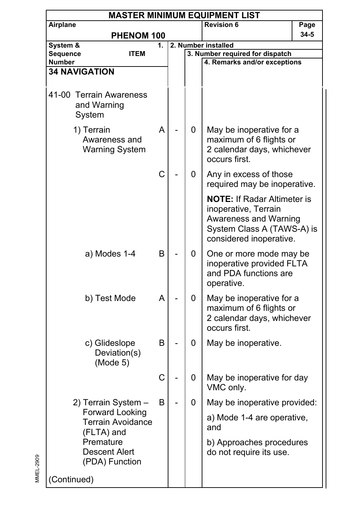| <b>MASTER MINIMUM EQUIPMENT LIST</b>             |                                                                               |    |  |   |                                                                                                                                              |      |  |  |
|--------------------------------------------------|-------------------------------------------------------------------------------|----|--|---|----------------------------------------------------------------------------------------------------------------------------------------------|------|--|--|
| Airplane                                         |                                                                               |    |  |   | <b>Revision 6</b>                                                                                                                            | Page |  |  |
|                                                  | PHENOM 100                                                                    |    |  |   |                                                                                                                                              | 34-5 |  |  |
| System &                                         |                                                                               | 1. |  |   | 2. Number installed                                                                                                                          |      |  |  |
| Sequence                                         | <b>ITEM</b>                                                                   |    |  |   | 3. Number required for dispatch                                                                                                              |      |  |  |
| Number<br><b>34 NAVIGATION</b>                   |                                                                               |    |  |   | 4. Remarks and/or exceptions                                                                                                                 |      |  |  |
|                                                  |                                                                               |    |  |   |                                                                                                                                              |      |  |  |
| 41-00 Terrain Awareness<br>and Warning<br>System |                                                                               |    |  |   |                                                                                                                                              |      |  |  |
| 1) Terrain                                       | Awareness and<br><b>Warning System</b>                                        | A  |  | 0 | May be inoperative for a<br>maximum of 6 flights or<br>2 calendar days, whichever<br>occurs first.                                           |      |  |  |
|                                                  |                                                                               | C  |  | 0 | Any in excess of those<br>required may be inoperative.                                                                                       |      |  |  |
|                                                  |                                                                               |    |  |   | <b>NOTE: If Radar Altimeter is</b><br>inoperative, Terrain<br>Awareness and Warning<br>System Class A (TAWS-A) is<br>considered inoperative. |      |  |  |
|                                                  | a) Modes 1-4                                                                  | B  |  | 0 | One or more mode may be<br>inoperative provided FLTA<br>and PDA functions are<br>operative.                                                  |      |  |  |
|                                                  | b) Test Mode                                                                  | A  |  | 0 | May be inoperative for a<br>maximum of 6 flights or<br>2 calendar days, whichever<br>occurs first.                                           |      |  |  |
|                                                  | c) Glideslope<br>Deviation(s)<br>(Mode 5)                                     | В  |  | 0 | May be inoperative.                                                                                                                          |      |  |  |
|                                                  |                                                                               | C  |  | 0 | May be inoperative for day<br>VMC only.                                                                                                      |      |  |  |
|                                                  | 2) Terrain System -                                                           | B  |  | 0 | May be inoperative provided:                                                                                                                 |      |  |  |
|                                                  | <b>Forward Looking</b><br><b>Terrain Avoidance</b><br>(FLTA) and<br>Premature |    |  |   | a) Mode 1-4 are operative,<br>and<br>b) Approaches procedures                                                                                |      |  |  |
|                                                  | <b>Descent Alert</b><br>(PDA) Function                                        |    |  |   | do not require its use.                                                                                                                      |      |  |  |
| (Continued)                                      |                                                                               |    |  |   |                                                                                                                                              |      |  |  |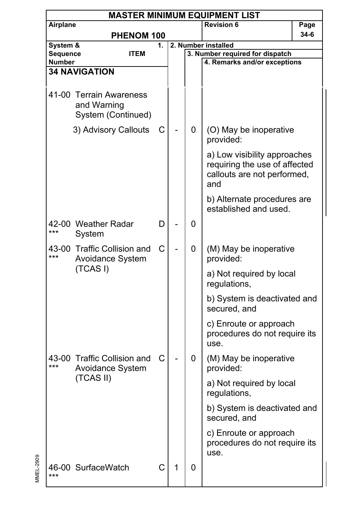|                           |                                                              |    |   |   | <b>MASTER MINIMUM EQUIPMENT LIST</b>                                                                |      |
|---------------------------|--------------------------------------------------------------|----|---|---|-----------------------------------------------------------------------------------------------------|------|
| Airplane                  |                                                              |    |   |   | <b>Revision 6</b>                                                                                   | Page |
|                           | PHENOM 100                                                   |    |   |   |                                                                                                     | 34-6 |
| System &                  |                                                              | 1. |   |   | 2. Number installed                                                                                 |      |
| Sequence<br><b>Number</b> | <b>ITEM</b>                                                  |    |   |   | 3. Number required for dispatch<br>4. Remarks and/or exceptions                                     |      |
|                           | <b>34 NAVIGATION</b>                                         |    |   |   |                                                                                                     |      |
|                           |                                                              |    |   |   |                                                                                                     |      |
|                           | 41-00 Terrain Awareness<br>and Warning<br>System (Continued) |    |   |   |                                                                                                     |      |
|                           | 3) Advisory Callouts                                         | С  |   | 0 | (O) May be inoperative<br>provided:                                                                 |      |
|                           |                                                              |    |   |   | a) Low visibility approaches<br>requiring the use of affected<br>callouts are not performed,<br>and |      |
|                           |                                                              |    |   |   | b) Alternate procedures are<br>established and used.                                                |      |
| ***                       | 42-00 Weather Radar<br>System                                | D  |   | 0 |                                                                                                     |      |
| ***                       | 43-00 Traffic Collision and<br>Avoidance System              | С  |   | 0 | (M) May be inoperative<br>provided:                                                                 |      |
|                           | (TCASI)                                                      |    |   |   | a) Not required by local<br>regulations,                                                            |      |
|                           |                                                              |    |   |   | b) System is deactivated and<br>secured, and                                                        |      |
|                           |                                                              |    |   |   | c) Enroute or approach<br>procedures do not require its<br>use.                                     |      |
| ***                       | 43-00 Traffic Collision and<br>Avoidance System              | C  |   | 0 | (M) May be inoperative<br>provided:                                                                 |      |
|                           | (TCAS II)                                                    |    |   |   | a) Not required by local<br>regulations,                                                            |      |
|                           |                                                              |    |   |   | b) System is deactivated and<br>secured, and                                                        |      |
|                           |                                                              |    |   |   | c) Enroute or approach<br>procedures do not require its<br>use.                                     |      |
| ***                       | 46-00 SurfaceWatch                                           | С  | 1 | 0 |                                                                                                     |      |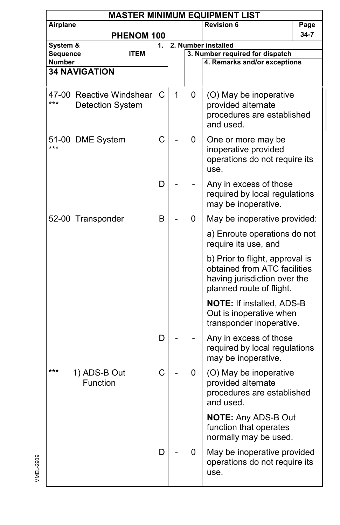|          | <b>MASTER MINIMUM EQUIPMENT LIST</b>                |    |   |   |                                                                                                                             |      |  |  |  |  |
|----------|-----------------------------------------------------|----|---|---|-----------------------------------------------------------------------------------------------------------------------------|------|--|--|--|--|
| Airplane |                                                     |    |   |   | <b>Revision 6</b>                                                                                                           | Page |  |  |  |  |
|          | PHENOM 100                                          |    |   |   |                                                                                                                             | 34-7 |  |  |  |  |
| System & |                                                     | 1. |   |   | 2. Number installed                                                                                                         |      |  |  |  |  |
| Sequence | <b>ITEM</b>                                         |    |   |   | 3. Number required for dispatch                                                                                             |      |  |  |  |  |
| Number   | <b>34 NAVIGATION</b>                                |    |   |   | 4. Remarks and/or exceptions                                                                                                |      |  |  |  |  |
|          |                                                     |    |   |   |                                                                                                                             |      |  |  |  |  |
| ***      | 47-00 Reactive Windshear<br><b>Detection System</b> | С  | 1 | 0 | (O) May be inoperative<br>provided alternate<br>procedures are established<br>and used.                                     |      |  |  |  |  |
| ***      | 51-00 DME System                                    | C  |   | 0 | One or more may be<br>inoperative provided<br>operations do not require its<br>use.                                         |      |  |  |  |  |
|          |                                                     | D  |   |   | Any in excess of those<br>required by local regulations<br>may be inoperative.                                              |      |  |  |  |  |
|          | 52-00 Transponder                                   | B  |   | 0 | May be inoperative provided:                                                                                                |      |  |  |  |  |
|          |                                                     |    |   |   | a) Enroute operations do not<br>require its use, and                                                                        |      |  |  |  |  |
|          |                                                     |    |   |   | b) Prior to flight, approval is<br>obtained from ATC facilities<br>having jurisdiction over the<br>planned route of flight. |      |  |  |  |  |
|          |                                                     |    |   |   | <b>NOTE: If installed, ADS-B</b><br>Out is inoperative when<br>transponder inoperative.                                     |      |  |  |  |  |
|          |                                                     | D  |   |   | Any in excess of those<br>required by local regulations<br>may be inoperative.                                              |      |  |  |  |  |
| ***      | 1) ADS-B Out<br>Function                            | C  |   | 0 | (O) May be inoperative<br>provided alternate<br>procedures are established<br>and used.                                     |      |  |  |  |  |
|          |                                                     |    |   |   | <b>NOTE: Any ADS-B Out</b><br>function that operates<br>normally may be used.                                               |      |  |  |  |  |
|          |                                                     | D  |   | 0 | May be inoperative provided<br>operations do not require its<br>use.                                                        |      |  |  |  |  |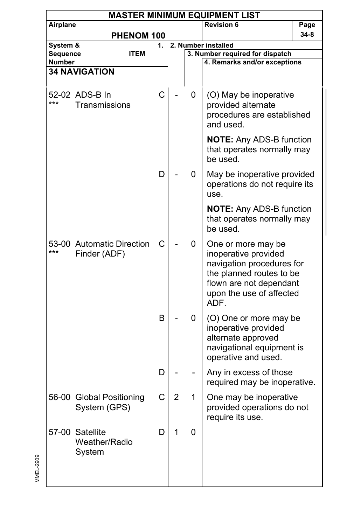|                    | <b>MASTER MINIMUM EQUIPMENT LIST</b>       |    |   |   |                                                                                                                                                                    |      |  |  |  |  |
|--------------------|--------------------------------------------|----|---|---|--------------------------------------------------------------------------------------------------------------------------------------------------------------------|------|--|--|--|--|
| Airplane           |                                            |    |   |   | <b>Revision 6</b>                                                                                                                                                  | Page |  |  |  |  |
|                    | PHENOM 100                                 |    |   |   |                                                                                                                                                                    | 34-8 |  |  |  |  |
| System &           |                                            | 1. |   |   | 2. Number installed                                                                                                                                                |      |  |  |  |  |
| Sequence<br>Number | <b>ITEM</b>                                |    |   |   | 3. Number required for dispatch<br>4. Remarks and/or exceptions                                                                                                    |      |  |  |  |  |
|                    | <b>34 NAVIGATION</b>                       |    |   |   |                                                                                                                                                                    |      |  |  |  |  |
|                    |                                            |    |   |   |                                                                                                                                                                    |      |  |  |  |  |
| ***                | 52-02 ADS-B In<br>Transmissions            | C  |   | 0 | (O) May be inoperative<br>provided alternate<br>procedures are established<br>and used.                                                                            |      |  |  |  |  |
|                    |                                            |    |   |   | <b>NOTE:</b> Any ADS-B function<br>that operates normally may<br>be used.                                                                                          |      |  |  |  |  |
|                    |                                            | D  |   | 0 | May be inoperative provided<br>operations do not require its<br>use.                                                                                               |      |  |  |  |  |
|                    |                                            |    |   |   | <b>NOTE:</b> Any ADS-B function<br>that operates normally may<br>be used.                                                                                          |      |  |  |  |  |
| ***                | 53-00 Automatic Direction<br>Finder (ADF)  | С  |   | 0 | One or more may be<br>inoperative provided<br>navigation procedures for<br>the planned routes to be<br>flown are not dependant<br>upon the use of affected<br>ADF. |      |  |  |  |  |
|                    |                                            | B  |   | 0 | (O) One or more may be<br>inoperative provided<br>alternate approved<br>navigational equipment is<br>operative and used.                                           |      |  |  |  |  |
|                    |                                            | D  |   |   | Any in excess of those<br>required may be inoperative.                                                                                                             |      |  |  |  |  |
|                    | 56-00 Global Positioning<br>System (GPS)   | С  | ۷ |   | One may be inoperative<br>provided operations do not<br>require its use.                                                                                           |      |  |  |  |  |
|                    | 57-00 Satellite<br>Weather/Radio<br>System | D  | 1 | 0 |                                                                                                                                                                    |      |  |  |  |  |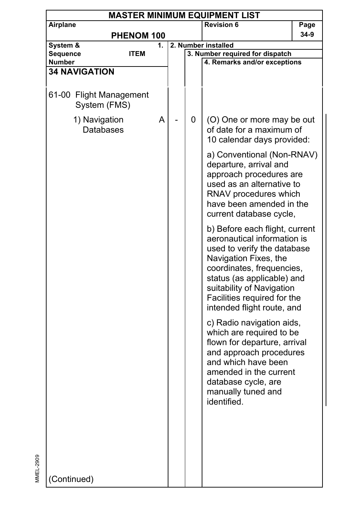|                      | <b>MASTER MINIMUM EQUIPMENT LIST</b>    |    |  |   |                                                                                                                                                                                                                                                                            |      |  |  |  |
|----------------------|-----------------------------------------|----|--|---|----------------------------------------------------------------------------------------------------------------------------------------------------------------------------------------------------------------------------------------------------------------------------|------|--|--|--|
| Airplane             |                                         |    |  |   | <b>Revision 6</b>                                                                                                                                                                                                                                                          | Page |  |  |  |
|                      | PHENOM 100                              |    |  |   |                                                                                                                                                                                                                                                                            | 34-9 |  |  |  |
| System &             |                                         | 1. |  |   | 2. Number installed                                                                                                                                                                                                                                                        |      |  |  |  |
| Sequence             | ITEM                                    |    |  |   | 3. Number required for dispatch                                                                                                                                                                                                                                            |      |  |  |  |
| <b>Number</b>        |                                         |    |  |   | 4. Remarks and/or exceptions                                                                                                                                                                                                                                               |      |  |  |  |
| <b>34 NAVIGATION</b> |                                         |    |  |   |                                                                                                                                                                                                                                                                            |      |  |  |  |
|                      |                                         |    |  |   |                                                                                                                                                                                                                                                                            |      |  |  |  |
|                      | 61-00 Flight Management<br>System (FMS) |    |  |   |                                                                                                                                                                                                                                                                            |      |  |  |  |
|                      | 1) Navigation<br><b>Databases</b>       | Α  |  | 0 | (O) One or more may be out<br>of date for a maximum of<br>10 calendar days provided:                                                                                                                                                                                       |      |  |  |  |
|                      |                                         |    |  |   | a) Conventional (Non-RNAV)<br>departure, arrival and<br>approach procedures are<br>used as an alternative to<br>RNAV procedures which<br>have been amended in the<br>current database cycle,                                                                               |      |  |  |  |
|                      |                                         |    |  |   | b) Before each flight, current<br>aeronautical information is<br>used to verify the database<br>Navigation Fixes, the<br>coordinates, frequencies,<br>status (as applicable) and<br>suitability of Navigation<br>Facilities required for the<br>intended flight route, and |      |  |  |  |
|                      |                                         |    |  |   | c) Radio navigation aids,<br>which are required to be<br>flown for departure, arrival<br>and approach procedures<br>and which have been<br>amended in the current<br>database cycle, are<br>manually tuned and<br>identified.                                              |      |  |  |  |
| (Continued)          |                                         |    |  |   |                                                                                                                                                                                                                                                                            |      |  |  |  |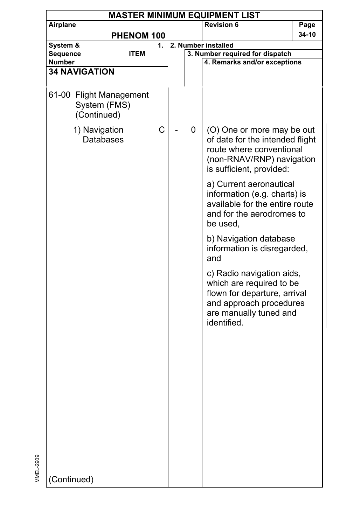| <b>MASTER MINIMUM EQUIPMENT LIST</b>                   |    |  |                     |                                                                                                                                                           |       |  |  |  |
|--------------------------------------------------------|----|--|---------------------|-----------------------------------------------------------------------------------------------------------------------------------------------------------|-------|--|--|--|
| Airplane                                               |    |  |                     | <b>Revision 6</b>                                                                                                                                         | Page  |  |  |  |
| PHENOM 100                                             |    |  |                     |                                                                                                                                                           | 34-10 |  |  |  |
| System &                                               | 1. |  | 2. Number installed |                                                                                                                                                           |       |  |  |  |
| Sequence<br><b>ITEM</b>                                |    |  |                     | 3. Number required for dispatch<br>4. Remarks and/or exceptions                                                                                           |       |  |  |  |
| Number<br><b>34 NAVIGATION</b>                         |    |  |                     |                                                                                                                                                           |       |  |  |  |
|                                                        |    |  |                     |                                                                                                                                                           |       |  |  |  |
| 61-00 Flight Management<br>System (FMS)<br>(Continued) |    |  |                     |                                                                                                                                                           |       |  |  |  |
| 1) Navigation<br><b>Databases</b>                      | C  |  | 0                   | (O) One or more may be out<br>of date for the intended flight<br>route where conventional<br>(non-RNAV/RNP) navigation<br>is sufficient, provided:        |       |  |  |  |
|                                                        |    |  |                     | a) Current aeronautical<br>information (e.g. charts) is<br>available for the entire route<br>and for the aerodromes to<br>be used,                        |       |  |  |  |
|                                                        |    |  |                     | b) Navigation database<br>information is disregarded,<br>and                                                                                              |       |  |  |  |
|                                                        |    |  |                     | c) Radio navigation aids,<br>which are required to be<br>flown for departure, arrival<br>and approach procedures<br>are manually tuned and<br>identified. |       |  |  |  |
|                                                        |    |  |                     |                                                                                                                                                           |       |  |  |  |
|                                                        |    |  |                     |                                                                                                                                                           |       |  |  |  |
|                                                        |    |  |                     |                                                                                                                                                           |       |  |  |  |
| (Continued)                                            |    |  |                     |                                                                                                                                                           |       |  |  |  |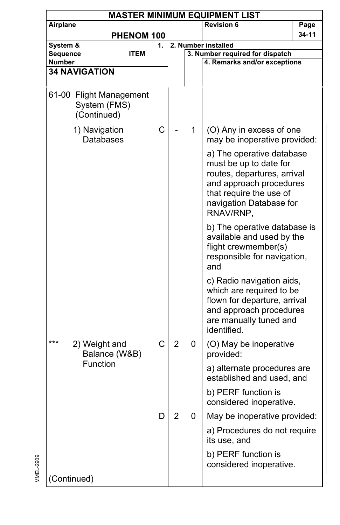|                           | <b>MASTER MINIMUM EQUIPMENT LIST</b>                   |    |                |   |                                                                                                                                                                                  |       |  |  |  |  |
|---------------------------|--------------------------------------------------------|----|----------------|---|----------------------------------------------------------------------------------------------------------------------------------------------------------------------------------|-------|--|--|--|--|
| Airplane                  |                                                        |    |                |   | <b>Revision 6</b>                                                                                                                                                                | Page  |  |  |  |  |
|                           | PHENOM 100                                             |    |                |   |                                                                                                                                                                                  | 34-11 |  |  |  |  |
| System &                  |                                                        | 1. |                |   | 2. Number installed                                                                                                                                                              |       |  |  |  |  |
| Sequence<br><b>Number</b> | ITEM                                                   |    |                |   | 3. Number required for dispatch<br>4. Remarks and/or exceptions                                                                                                                  |       |  |  |  |  |
|                           | <b>34 NAVIGATION</b>                                   |    |                |   |                                                                                                                                                                                  |       |  |  |  |  |
|                           |                                                        |    |                |   |                                                                                                                                                                                  |       |  |  |  |  |
|                           | 61-00 Flight Management<br>System (FMS)<br>(Continued) |    |                |   |                                                                                                                                                                                  |       |  |  |  |  |
|                           | 1) Navigation<br><b>Databases</b>                      | C  |                | 1 | (O) Any in excess of one<br>may be inoperative provided:                                                                                                                         |       |  |  |  |  |
|                           |                                                        |    |                |   | a) The operative database<br>must be up to date for<br>routes, departures, arrival<br>and approach procedures<br>that require the use of<br>navigation Database for<br>RNAV/RNP, |       |  |  |  |  |
|                           |                                                        |    |                |   | b) The operative database is<br>available and used by the<br>flight crewmember(s)<br>responsible for navigation,<br>and                                                          |       |  |  |  |  |
|                           |                                                        |    |                |   | c) Radio navigation aids,<br>which are required to be<br>flown for departure, arrival<br>and approach procedures<br>are manually tuned and<br>identified.                        |       |  |  |  |  |
| ***                       | 2) Weight and<br>Balance (W&B)                         | C  | $\overline{2}$ | 0 | (O) May be inoperative<br>provided:                                                                                                                                              |       |  |  |  |  |
|                           | Function                                               |    |                |   | a) alternate procedures are<br>established and used, and                                                                                                                         |       |  |  |  |  |
|                           |                                                        |    |                |   | b) PERF function is<br>considered inoperative.                                                                                                                                   |       |  |  |  |  |
|                           |                                                        | D  | 2              | 0 | May be inoperative provided:                                                                                                                                                     |       |  |  |  |  |
|                           |                                                        |    |                |   | a) Procedures do not require<br>its use, and                                                                                                                                     |       |  |  |  |  |
|                           |                                                        |    |                |   | b) PERF function is<br>considered inoperative.                                                                                                                                   |       |  |  |  |  |
| (Continued)               |                                                        |    |                |   |                                                                                                                                                                                  |       |  |  |  |  |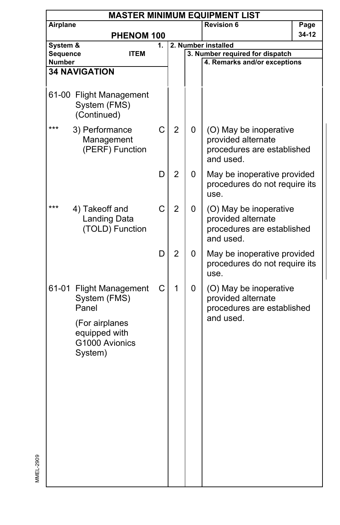|          | <b>MASTER MINIMUM EQUIPMENT LIST</b>                                                                             |    |                |   |                                                                                         |       |  |  |
|----------|------------------------------------------------------------------------------------------------------------------|----|----------------|---|-----------------------------------------------------------------------------------------|-------|--|--|
| Airplane |                                                                                                                  |    |                |   | <b>Revision 6</b>                                                                       | Page  |  |  |
|          | PHENOM 100                                                                                                       |    |                |   |                                                                                         | 34-12 |  |  |
| System & |                                                                                                                  | 1. |                |   | 2. Number installed                                                                     |       |  |  |
| Sequence | <b>ITEM</b>                                                                                                      |    |                |   | 3. Number required for dispatch                                                         |       |  |  |
| Number   |                                                                                                                  |    |                |   | 4. Remarks and/or exceptions                                                            |       |  |  |
|          | <b>34 NAVIGATION</b>                                                                                             |    |                |   |                                                                                         |       |  |  |
|          |                                                                                                                  |    |                |   |                                                                                         |       |  |  |
|          | 61-00 Flight Management<br>System (FMS)<br>(Continued)                                                           |    |                |   |                                                                                         |       |  |  |
| ***      | 3) Performance<br>Management<br>(PERF) Function                                                                  | C  | $\overline{2}$ | 0 | (O) May be inoperative<br>provided alternate<br>procedures are established<br>and used. |       |  |  |
|          |                                                                                                                  | D  | $\overline{2}$ | 0 | May be inoperative provided<br>procedures do not require its<br>use.                    |       |  |  |
| ***      | 4) Takeoff and<br>Landing Data<br>(TOLD) Function                                                                | C  | $\overline{2}$ | 0 | (O) May be inoperative<br>provided alternate<br>procedures are established<br>and used. |       |  |  |
|          |                                                                                                                  | D  | $\overline{2}$ | 0 | May be inoperative provided<br>procedures do not require its<br>use.                    |       |  |  |
|          | 61-01 Flight Management<br>System (FMS)<br>Panel<br>(For airplanes<br>equipped with<br>G1000 Avionics<br>System) | C  | 1              | 0 | (O) May be inoperative<br>provided alternate<br>procedures are established<br>and used. |       |  |  |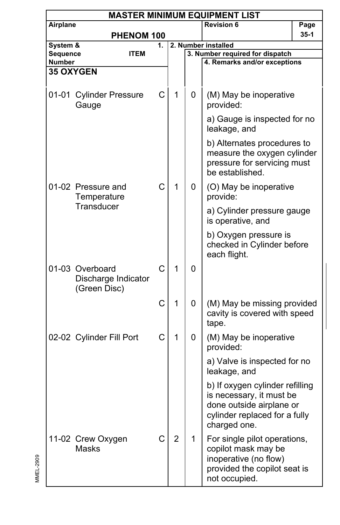|                    | <b>MASTER MINIMUM EQUIPMENT LIST</b>                   |             |                |   |                                                                                                                                          |        |  |  |  |  |
|--------------------|--------------------------------------------------------|-------------|----------------|---|------------------------------------------------------------------------------------------------------------------------------------------|--------|--|--|--|--|
| Airplane           |                                                        |             |                |   | <b>Revision 6</b>                                                                                                                        | Page   |  |  |  |  |
|                    |                                                        | PHENOM 100  |                |   |                                                                                                                                          | $35-1$ |  |  |  |  |
| System &           |                                                        | 1.          |                |   | 2. Number installed                                                                                                                      |        |  |  |  |  |
| Sequence<br>Number |                                                        | <b>ITEM</b> |                |   | 3. Number required for dispatch<br>4. Remarks and/or exceptions                                                                          |        |  |  |  |  |
|                    | <b>35 OXYGEN</b>                                       |             |                |   |                                                                                                                                          |        |  |  |  |  |
|                    |                                                        |             |                |   |                                                                                                                                          |        |  |  |  |  |
|                    | 01-01 Cylinder Pressure<br>Gauge                       | C           | 1              | 0 | (M) May be inoperative<br>provided:                                                                                                      |        |  |  |  |  |
|                    |                                                        |             |                |   | a) Gauge is inspected for no<br>leakage, and                                                                                             |        |  |  |  |  |
|                    |                                                        |             |                |   | b) Alternates procedures to<br>measure the oxygen cylinder<br>pressure for servicing must<br>be established.                             |        |  |  |  |  |
|                    | 01-02 Pressure and<br>Temperature                      | C           | 1              | 0 | (O) May be inoperative<br>provide:                                                                                                       |        |  |  |  |  |
|                    | Transducer                                             |             |                |   | a) Cylinder pressure gauge<br>is operative, and                                                                                          |        |  |  |  |  |
|                    |                                                        |             |                |   | b) Oxygen pressure is<br>checked in Cylinder before<br>each flight.                                                                      |        |  |  |  |  |
|                    | 01-03 Overboard<br>Discharge Indicator<br>(Green Disc) | C           | 1              | 0 |                                                                                                                                          |        |  |  |  |  |
|                    |                                                        | C           | 1              | 0 | (M) May be missing provided<br>cavity is covered with speed<br>tape.                                                                     |        |  |  |  |  |
|                    | 02-02 Cylinder Fill Port                               | C           | 1              | 0 | (M) May be inoperative<br>provided:                                                                                                      |        |  |  |  |  |
|                    |                                                        |             |                |   | a) Valve is inspected for no<br>leakage, and                                                                                             |        |  |  |  |  |
|                    |                                                        |             |                |   | b) If oxygen cylinder refilling<br>is necessary, it must be<br>done outside airplane or<br>cylinder replaced for a fully<br>charged one. |        |  |  |  |  |
|                    | 11-02 Crew Oxygen<br>Masks                             | С           | $\overline{2}$ | 1 | For single pilot operations,<br>copilot mask may be<br>inoperative (no flow)<br>provided the copilot seat is<br>not occupied.            |        |  |  |  |  |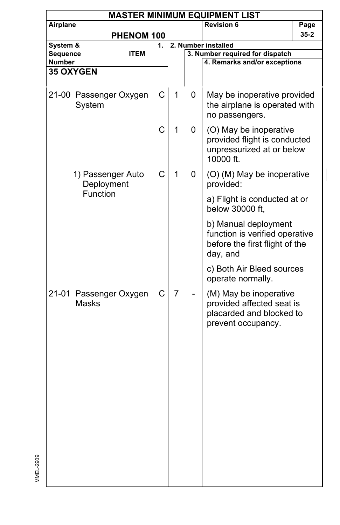|                    | <b>MASTER MINIMUM EQUIPMENT LIST</b>        |                        |    |              |                                                 |                                                                                                       |          |  |  |  |
|--------------------|---------------------------------------------|------------------------|----|--------------|-------------------------------------------------|-------------------------------------------------------------------------------------------------------|----------|--|--|--|
| Airplane           |                                             |                        |    |              |                                                 | <b>Revision 6</b>                                                                                     | Page     |  |  |  |
|                    |                                             | PHENOM 100             |    |              |                                                 |                                                                                                       | $35 - 2$ |  |  |  |
| System &           |                                             |                        | 1. |              |                                                 | 2. Number installed                                                                                   |          |  |  |  |
| Sequence<br>Number |                                             | <b>ITEM</b>            |    |              |                                                 | 3. Number required for dispatch<br>4. Remarks and/or exceptions                                       |          |  |  |  |
|                    | <b>35 OXYGEN</b>                            |                        |    |              |                                                 |                                                                                                       |          |  |  |  |
|                    |                                             |                        |    |              |                                                 |                                                                                                       |          |  |  |  |
|                    | System                                      | 21-00 Passenger Oxygen | С  | $\mathbf{1}$ | 0                                               | May be inoperative provided<br>the airplane is operated with<br>no passengers.                        |          |  |  |  |
|                    |                                             |                        | C  | 1            | 0                                               | (O) May be inoperative<br>provided flight is conducted<br>unpressurized at or below<br>10000 ft.      |          |  |  |  |
|                    | 1) Passenger Auto<br>Deployment<br>Function |                        | C  | 1            | 0                                               | (O) (M) May be inoperative<br>provided:                                                               |          |  |  |  |
|                    |                                             |                        |    |              | a) Flight is conducted at or<br>below 30000 ft, |                                                                                                       |          |  |  |  |
|                    |                                             |                        |    |              |                                                 | b) Manual deployment<br>function is verified operative<br>before the first flight of the<br>day, and  |          |  |  |  |
|                    |                                             |                        |    |              |                                                 | c) Both Air Bleed sources<br>operate normally.                                                        |          |  |  |  |
|                    | <b>Masks</b>                                | 21-01 Passenger Oxygen | С  | 7            |                                                 | (M) May be inoperative<br>provided affected seat is<br>placarded and blocked to<br>prevent occupancy. |          |  |  |  |
|                    |                                             |                        |    |              |                                                 |                                                                                                       |          |  |  |  |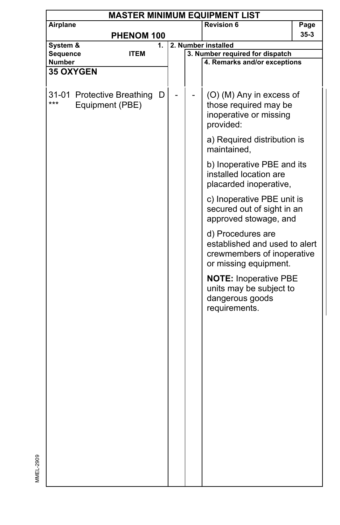| <b>MASTER MINIMUM EQUIPMENT LIST</b> |                                               |    |  |  |                                                                                                           |          |  |  |  |
|--------------------------------------|-----------------------------------------------|----|--|--|-----------------------------------------------------------------------------------------------------------|----------|--|--|--|
| Airplane                             |                                               |    |  |  | <b>Revision 6</b>                                                                                         | Page     |  |  |  |
|                                      | PHENOM 100                                    |    |  |  |                                                                                                           | $35 - 3$ |  |  |  |
| System &                             |                                               | 1. |  |  | 2. Number installed                                                                                       |          |  |  |  |
| Sequence                             | <b>ITEM</b>                                   |    |  |  | 3. Number required for dispatch                                                                           |          |  |  |  |
| <b>Number</b>                        |                                               |    |  |  | 4. Remarks and/or exceptions                                                                              |          |  |  |  |
|                                      | <b>35 OXYGEN</b>                              |    |  |  |                                                                                                           |          |  |  |  |
| ***                                  | 31-01 Protective Breathing<br>Equipment (PBE) | D  |  |  | (O) (M) Any in excess of<br>those required may be<br>inoperative or missing<br>provided:                  |          |  |  |  |
|                                      |                                               |    |  |  | a) Required distribution is<br>maintained,                                                                |          |  |  |  |
|                                      |                                               |    |  |  | b) Inoperative PBE and its<br>installed location are<br>placarded inoperative,                            |          |  |  |  |
|                                      |                                               |    |  |  | c) Inoperative PBE unit is<br>secured out of sight in an<br>approved stowage, and                         |          |  |  |  |
|                                      |                                               |    |  |  | d) Procedures are<br>established and used to alert<br>crewmembers of inoperative<br>or missing equipment. |          |  |  |  |
|                                      |                                               |    |  |  | <b>NOTE: Inoperative PBE</b><br>units may be subject to<br>dangerous goods<br>requirements.               |          |  |  |  |
|                                      |                                               |    |  |  |                                                                                                           |          |  |  |  |
|                                      |                                               |    |  |  |                                                                                                           |          |  |  |  |
|                                      |                                               |    |  |  |                                                                                                           |          |  |  |  |
|                                      |                                               |    |  |  |                                                                                                           |          |  |  |  |
|                                      |                                               |    |  |  |                                                                                                           |          |  |  |  |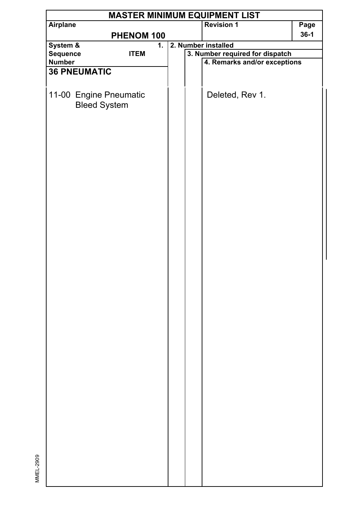|          |                     |                        |    |  | <b>MASTER MINIMUM EQUIPMENT LIST</b> |        |
|----------|---------------------|------------------------|----|--|--------------------------------------|--------|
| Airplane |                     |                        |    |  | <b>Revision 1</b>                    | Page   |
|          |                     | PHENOM 100             |    |  |                                      | $36-1$ |
| System & |                     |                        | 1. |  | 2. Number installed                  |        |
| Sequence |                     | <b>ITEM</b>            |    |  | 3. Number required for dispatch      |        |
| Number   |                     |                        |    |  | 4. Remarks and/or exceptions         |        |
|          | <b>36 PNEUMATIC</b> |                        |    |  |                                      |        |
|          |                     |                        |    |  |                                      |        |
|          |                     |                        |    |  |                                      |        |
|          |                     | 11-00 Engine Pneumatic |    |  | Deleted, Rev 1.                      |        |
|          | <b>Bleed System</b> |                        |    |  |                                      |        |
|          |                     |                        |    |  |                                      |        |
|          |                     |                        |    |  |                                      |        |
|          |                     |                        |    |  |                                      |        |
|          |                     |                        |    |  |                                      |        |
|          |                     |                        |    |  |                                      |        |
|          |                     |                        |    |  |                                      |        |
|          |                     |                        |    |  |                                      |        |
|          |                     |                        |    |  |                                      |        |
|          |                     |                        |    |  |                                      |        |
|          |                     |                        |    |  |                                      |        |
|          |                     |                        |    |  |                                      |        |
|          |                     |                        |    |  |                                      |        |
|          |                     |                        |    |  |                                      |        |
|          |                     |                        |    |  |                                      |        |
|          |                     |                        |    |  |                                      |        |
|          |                     |                        |    |  |                                      |        |
|          |                     |                        |    |  |                                      |        |
|          |                     |                        |    |  |                                      |        |
|          |                     |                        |    |  |                                      |        |
|          |                     |                        |    |  |                                      |        |
|          |                     |                        |    |  |                                      |        |
|          |                     |                        |    |  |                                      |        |
|          |                     |                        |    |  |                                      |        |
|          |                     |                        |    |  |                                      |        |
|          |                     |                        |    |  |                                      |        |
|          |                     |                        |    |  |                                      |        |
|          |                     |                        |    |  |                                      |        |
|          |                     |                        |    |  |                                      |        |
|          |                     |                        |    |  |                                      |        |
|          |                     |                        |    |  |                                      |        |
|          |                     |                        |    |  |                                      |        |
|          |                     |                        |    |  |                                      |        |
|          |                     |                        |    |  |                                      |        |
|          |                     |                        |    |  |                                      |        |
|          |                     |                        |    |  |                                      |        |
|          |                     |                        |    |  |                                      |        |
|          |                     |                        |    |  |                                      |        |
|          |                     |                        |    |  |                                      |        |
|          |                     |                        |    |  |                                      |        |
|          |                     |                        |    |  |                                      |        |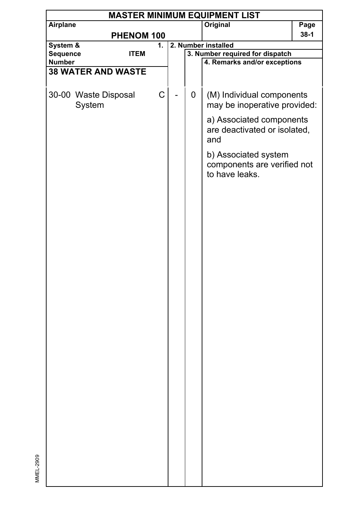|                           |             |    |   | <b>MASTER MINIMUM EQUIPMENT LIST</b>                            |        |
|---------------------------|-------------|----|---|-----------------------------------------------------------------|--------|
| Airplane                  |             |    |   | Original                                                        | Page   |
|                           | PHENOM 100  |    |   |                                                                 | $38-1$ |
| System &                  |             | 1. |   | 2. Number installed                                             |        |
| Sequence<br>Number        | <b>ITEM</b> |    |   | 3. Number required for dispatch<br>4. Remarks and/or exceptions |        |
| <b>38 WATER AND WASTE</b> |             |    |   |                                                                 |        |
|                           |             |    |   |                                                                 |        |
|                           |             |    |   |                                                                 |        |
| 30-00 Waste Disposal      |             | C  | 0 | (M) Individual components                                       |        |
| System                    |             |    |   | may be inoperative provided:                                    |        |
|                           |             |    |   | a) Associated components                                        |        |
|                           |             |    |   | are deactivated or isolated,                                    |        |
|                           |             |    |   | and                                                             |        |
|                           |             |    |   |                                                                 |        |
|                           |             |    |   | b) Associated system                                            |        |
|                           |             |    |   | components are verified not                                     |        |
|                           |             |    |   | to have leaks.                                                  |        |
|                           |             |    |   |                                                                 |        |
|                           |             |    |   |                                                                 |        |
|                           |             |    |   |                                                                 |        |
|                           |             |    |   |                                                                 |        |
|                           |             |    |   |                                                                 |        |
|                           |             |    |   |                                                                 |        |
|                           |             |    |   |                                                                 |        |
|                           |             |    |   |                                                                 |        |
|                           |             |    |   |                                                                 |        |
|                           |             |    |   |                                                                 |        |
|                           |             |    |   |                                                                 |        |
|                           |             |    |   |                                                                 |        |
|                           |             |    |   |                                                                 |        |
|                           |             |    |   |                                                                 |        |
|                           |             |    |   |                                                                 |        |
|                           |             |    |   |                                                                 |        |
|                           |             |    |   |                                                                 |        |
|                           |             |    |   |                                                                 |        |
|                           |             |    |   |                                                                 |        |
|                           |             |    |   |                                                                 |        |
|                           |             |    |   |                                                                 |        |
|                           |             |    |   |                                                                 |        |
|                           |             |    |   |                                                                 |        |
|                           |             |    |   |                                                                 |        |
|                           |             |    |   |                                                                 |        |
|                           |             |    |   |                                                                 |        |
|                           |             |    |   |                                                                 |        |
|                           |             |    |   |                                                                 |        |
|                           |             |    |   |                                                                 |        |
|                           |             |    |   |                                                                 |        |
|                           |             |    |   |                                                                 |        |
|                           |             |    |   |                                                                 |        |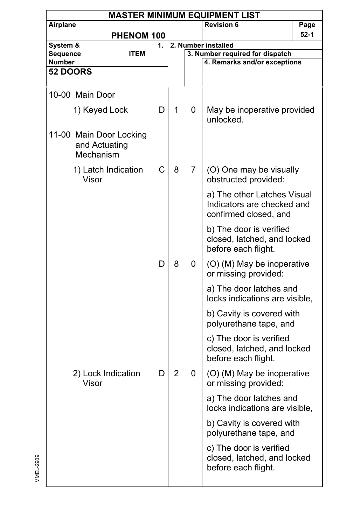|                            |                                                       |   |                |   | <b>MASTER MINIMUM EQUIPMENT LIST</b>                                               |          |
|----------------------------|-------------------------------------------------------|---|----------------|---|------------------------------------------------------------------------------------|----------|
| Airplane                   |                                                       |   |                |   | <b>Revision 6</b>                                                                  | Page     |
| PHENOM 100                 |                                                       |   |                |   |                                                                                    | $52 - 1$ |
| System &<br>1.<br>Sequence |                                                       |   |                |   | 2. Number installed                                                                |          |
| <b>Number</b>              | <b>ITEM</b>                                           |   |                |   | 3. Number required for dispatch<br>4. Remarks and/or exceptions                    |          |
| <b>52 DOORS</b>            |                                                       |   |                |   |                                                                                    |          |
|                            |                                                       |   |                |   |                                                                                    |          |
|                            | 10-00 Main Door                                       |   |                |   |                                                                                    |          |
|                            | 1) Keyed Lock                                         | D | 1              | 0 | May be inoperative provided<br>unlocked.                                           |          |
|                            | 11-00 Main Door Locking<br>and Actuating<br>Mechanism |   |                |   |                                                                                    |          |
|                            | 1) Latch Indication<br>Visor                          | С | 8              | 7 | (O) One may be visually<br>obstructed provided:                                    |          |
|                            |                                                       |   |                |   | a) The other Latches Visual<br>Indicators are checked and<br>confirmed closed, and |          |
|                            |                                                       |   |                |   | b) The door is verified<br>closed, latched, and locked<br>before each flight.      |          |
|                            |                                                       | D | 8              | 0 | (O) (M) May be inoperative<br>or missing provided:                                 |          |
|                            |                                                       |   |                |   | a) The door latches and<br>locks indications are visible,                          |          |
|                            |                                                       |   |                |   | b) Cavity is covered with<br>polyurethane tape, and                                |          |
|                            |                                                       |   |                |   | c) The door is verified<br>closed, latched, and locked<br>before each flight.      |          |
|                            | 2) Lock Indication<br>Visor                           | D | $\overline{2}$ | 0 | (O) (M) May be inoperative<br>or missing provided:                                 |          |
|                            |                                                       |   |                |   | a) The door latches and<br>locks indications are visible,                          |          |
|                            |                                                       |   |                |   | b) Cavity is covered with<br>polyurethane tape, and                                |          |
|                            |                                                       |   |                |   | c) The door is verified<br>closed, latched, and locked<br>before each flight.      |          |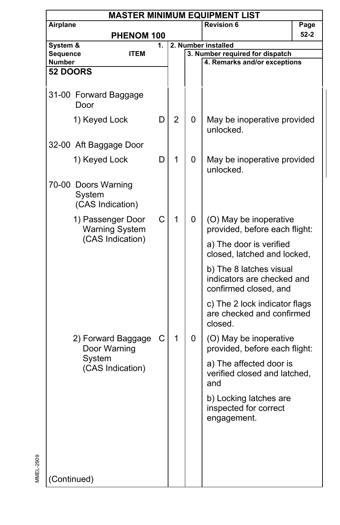|                                           |                                                   |   |                |   | <b>MASTER MINIMUM EQUIPMENT LIST</b>                                           |          |
|-------------------------------------------|---------------------------------------------------|---|----------------|---|--------------------------------------------------------------------------------|----------|
|                                           | Airplane                                          |   |                |   | <b>Revision 6</b>                                                              | Page     |
| PHENOM 100                                |                                                   |   |                |   |                                                                                | $52 - 2$ |
| System &<br>1.<br>Sequence<br><b>ITEM</b> |                                                   |   |                |   | 2. Number installed                                                            |          |
| Number                                    |                                                   |   |                |   | 3. Number required for dispatch<br>4. Remarks and/or exceptions                |          |
| 52 DOORS                                  |                                                   |   |                |   |                                                                                |          |
|                                           |                                                   |   |                |   |                                                                                |          |
|                                           | 31-00 Forward Baggage<br>Door                     |   |                |   |                                                                                |          |
|                                           | 1) Keyed Lock                                     | D | $\overline{2}$ | 0 | May be inoperative provided<br>unlocked.                                       |          |
|                                           | 32-00 Aft Baggage Door                            |   |                |   |                                                                                |          |
|                                           | 1) Keyed Lock                                     | D | 1              | 0 | May be inoperative provided<br>unlocked.                                       |          |
|                                           | 70-00 Doors Warning<br>System<br>(CAS Indication) |   |                |   |                                                                                |          |
|                                           | 1) Passenger Door<br><b>Warning System</b>        | C | 1              | 0 | (O) May be inoperative<br>provided, before each flight:                        |          |
|                                           | (CAS Indication)                                  |   |                |   | a) The door is verified<br>closed, latched and locked,                         |          |
|                                           |                                                   |   |                |   | b) The 8 latches visual<br>indicators are checked and<br>confirmed closed, and |          |
|                                           |                                                   |   |                |   | c) The 2 lock indicator flags<br>are checked and confirmed<br>closed.          |          |
|                                           | 2) Forward Baggage<br>Door Warning                | С | 1              | 0 | (O) May be inoperative<br>provided, before each flight:                        |          |
|                                           | System<br>(CAS Indication)                        |   |                |   | a) The affected door is<br>verified closed and latched,<br>and                 |          |
|                                           |                                                   |   |                |   | b) Locking latches are<br>inspected for correct<br>engagement.                 |          |
|                                           |                                                   |   |                |   |                                                                                |          |
|                                           |                                                   |   |                |   |                                                                                |          |
| (Continued)                               |                                                   |   |                |   |                                                                                |          |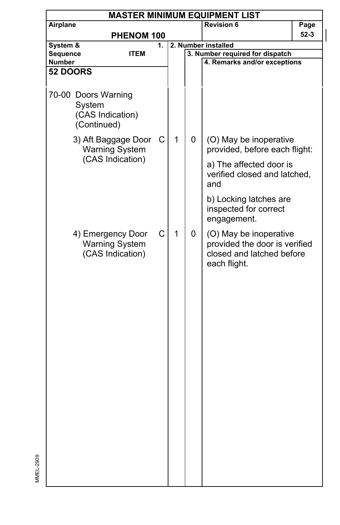| <b>MASTER MINIMUM EQUIPMENT LIST</b><br>Airplane                 |                  |            |   |                                                                                                      |                                                                                        |  |  |  |  |
|------------------------------------------------------------------|------------------|------------|---|------------------------------------------------------------------------------------------------------|----------------------------------------------------------------------------------------|--|--|--|--|
|                                                                  |                  |            |   | Revision 6                                                                                           | Page                                                                                   |  |  |  |  |
|                                                                  |                  |            |   |                                                                                                      | 52-3                                                                                   |  |  |  |  |
|                                                                  | 1.               |            |   |                                                                                                      |                                                                                        |  |  |  |  |
| <b>ITEM</b>                                                      |                  |            |   |                                                                                                      |                                                                                        |  |  |  |  |
|                                                                  |                  |            |   |                                                                                                      |                                                                                        |  |  |  |  |
|                                                                  |                  |            |   |                                                                                                      |                                                                                        |  |  |  |  |
| 70-00 Doors Warning<br>System<br>(CAS Indication)<br>(Continued) |                  |            |   |                                                                                                      |                                                                                        |  |  |  |  |
| 3) Aft Baggage Door<br><b>Warning System</b>                     | C                | 1          | 0 | (O) May be inoperative<br>provided, before each flight:                                              |                                                                                        |  |  |  |  |
|                                                                  |                  |            |   | a) The affected door is<br>verified closed and latched,<br>and                                       |                                                                                        |  |  |  |  |
|                                                                  |                  |            |   | b) Locking latches are<br>inspected for correct<br>engagement.                                       |                                                                                        |  |  |  |  |
| 4) Emergency Door<br><b>Warning System</b><br>(CAS Indication)   | C                | 1          | 0 | (O) May be inoperative<br>provided the door is verified<br>closed and latched before<br>each flight. |                                                                                        |  |  |  |  |
|                                                                  | (CAS Indication) | PHENOM 100 |   |                                                                                                      | 2. Number installed<br>3. Number required for dispatch<br>4. Remarks and/or exceptions |  |  |  |  |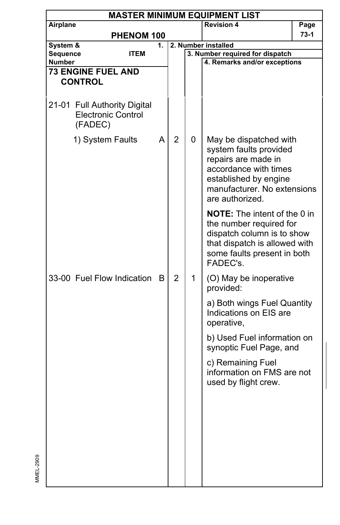|          | <b>MASTER MINIMUM EQUIPMENT LIST</b>                      |    |                |   |                                                                                                                                                                             |        |  |
|----------|-----------------------------------------------------------|----|----------------|---|-----------------------------------------------------------------------------------------------------------------------------------------------------------------------------|--------|--|
| Airplane |                                                           |    |                |   | <b>Revision 4</b>                                                                                                                                                           | Page   |  |
|          | PHENOM 100                                                |    |                |   |                                                                                                                                                                             | $73-1$ |  |
| System & |                                                           | 1. |                |   | 2. Number installed                                                                                                                                                         |        |  |
| Sequence | <b>ITEM</b>                                               |    |                |   | 3. Number required for dispatch                                                                                                                                             |        |  |
| Number   |                                                           |    |                |   | 4. Remarks and/or exceptions                                                                                                                                                |        |  |
|          | <b>73 ENGINE FUEL AND</b>                                 |    |                |   |                                                                                                                                                                             |        |  |
|          | <b>CONTROL</b>                                            |    |                |   |                                                                                                                                                                             |        |  |
|          | 21-01 Full Authority Digital<br><b>Electronic Control</b> |    |                |   |                                                                                                                                                                             |        |  |
|          | (FADEC)                                                   |    |                |   |                                                                                                                                                                             |        |  |
|          | 1) System Faults                                          | A  | $\overline{2}$ | 0 | May be dispatched with<br>system faults provided<br>repairs are made in<br>accordance with times<br>established by engine<br>manufacturer. No extensions<br>are authorized. |        |  |
|          |                                                           |    |                |   | <b>NOTE:</b> The intent of the 0 in<br>the number required for<br>dispatch column is to show<br>that dispatch is allowed with<br>some faults present in both<br>FADEC's.    |        |  |
|          | 33-00 Fuel Flow Indication B                              |    | $\overline{2}$ | 1 | (O) May be inoperative<br>provided:                                                                                                                                         |        |  |
|          |                                                           |    |                |   | a) Both wings Fuel Quantity<br>Indications on EIS are<br>operative,                                                                                                         |        |  |
|          |                                                           |    |                |   | b) Used Fuel information on<br>synoptic Fuel Page, and                                                                                                                      |        |  |
|          |                                                           |    |                |   | c) Remaining Fuel<br>information on FMS are not<br>used by flight crew.                                                                                                     |        |  |
|          |                                                           |    |                |   |                                                                                                                                                                             |        |  |
|          |                                                           |    |                |   |                                                                                                                                                                             |        |  |

MMEL-2909

MMEL-2909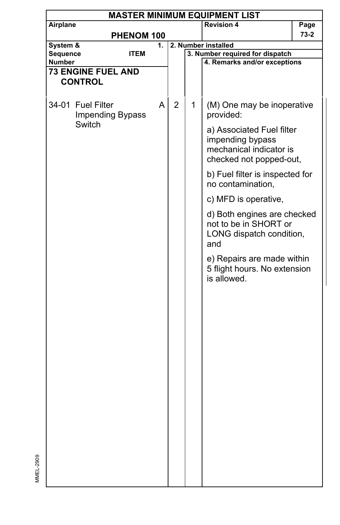| Airplane<br><b>Revision 4</b><br>Page<br>73-2<br>PHENOM 100<br>System &<br>2. Number installed<br>1.<br>Sequence<br>3. Number required for dispatch<br><b>ITEM</b><br><b>Number</b><br>4. Remarks and/or exceptions<br><b>73 ENGINE FUEL AND</b><br><b>CONTROL</b><br>34-01 Fuel Filter<br>A<br>$\overline{2}$<br>1<br>(M) One may be inoperative<br>Impending Bypass<br>provided:<br>Switch<br>a) Associated Fuel filter<br>impending bypass<br>mechanical indicator is<br>checked not popped-out,<br>b) Fuel filter is inspected for<br>no contamination,<br>c) MFD is operative,<br>d) Both engines are checked<br>not to be in SHORT or<br>LONG dispatch condition,<br>and<br>e) Repairs are made within<br>5 flight hours. No extension<br>is allowed. |  | <b>MASTER MINIMUM EQUIPMENT LIST</b> |  |  |  |  |  |  |  |  |
|-------------------------------------------------------------------------------------------------------------------------------------------------------------------------------------------------------------------------------------------------------------------------------------------------------------------------------------------------------------------------------------------------------------------------------------------------------------------------------------------------------------------------------------------------------------------------------------------------------------------------------------------------------------------------------------------------------------------------------------------------------------|--|--------------------------------------|--|--|--|--|--|--|--|--|
|                                                                                                                                                                                                                                                                                                                                                                                                                                                                                                                                                                                                                                                                                                                                                             |  |                                      |  |  |  |  |  |  |  |  |
|                                                                                                                                                                                                                                                                                                                                                                                                                                                                                                                                                                                                                                                                                                                                                             |  |                                      |  |  |  |  |  |  |  |  |
|                                                                                                                                                                                                                                                                                                                                                                                                                                                                                                                                                                                                                                                                                                                                                             |  |                                      |  |  |  |  |  |  |  |  |
|                                                                                                                                                                                                                                                                                                                                                                                                                                                                                                                                                                                                                                                                                                                                                             |  |                                      |  |  |  |  |  |  |  |  |
|                                                                                                                                                                                                                                                                                                                                                                                                                                                                                                                                                                                                                                                                                                                                                             |  |                                      |  |  |  |  |  |  |  |  |
|                                                                                                                                                                                                                                                                                                                                                                                                                                                                                                                                                                                                                                                                                                                                                             |  |                                      |  |  |  |  |  |  |  |  |
|                                                                                                                                                                                                                                                                                                                                                                                                                                                                                                                                                                                                                                                                                                                                                             |  |                                      |  |  |  |  |  |  |  |  |
|                                                                                                                                                                                                                                                                                                                                                                                                                                                                                                                                                                                                                                                                                                                                                             |  |                                      |  |  |  |  |  |  |  |  |
|                                                                                                                                                                                                                                                                                                                                                                                                                                                                                                                                                                                                                                                                                                                                                             |  |                                      |  |  |  |  |  |  |  |  |
|                                                                                                                                                                                                                                                                                                                                                                                                                                                                                                                                                                                                                                                                                                                                                             |  |                                      |  |  |  |  |  |  |  |  |
|                                                                                                                                                                                                                                                                                                                                                                                                                                                                                                                                                                                                                                                                                                                                                             |  |                                      |  |  |  |  |  |  |  |  |
|                                                                                                                                                                                                                                                                                                                                                                                                                                                                                                                                                                                                                                                                                                                                                             |  |                                      |  |  |  |  |  |  |  |  |
|                                                                                                                                                                                                                                                                                                                                                                                                                                                                                                                                                                                                                                                                                                                                                             |  |                                      |  |  |  |  |  |  |  |  |
|                                                                                                                                                                                                                                                                                                                                                                                                                                                                                                                                                                                                                                                                                                                                                             |  |                                      |  |  |  |  |  |  |  |  |
|                                                                                                                                                                                                                                                                                                                                                                                                                                                                                                                                                                                                                                                                                                                                                             |  |                                      |  |  |  |  |  |  |  |  |
|                                                                                                                                                                                                                                                                                                                                                                                                                                                                                                                                                                                                                                                                                                                                                             |  |                                      |  |  |  |  |  |  |  |  |
|                                                                                                                                                                                                                                                                                                                                                                                                                                                                                                                                                                                                                                                                                                                                                             |  |                                      |  |  |  |  |  |  |  |  |
|                                                                                                                                                                                                                                                                                                                                                                                                                                                                                                                                                                                                                                                                                                                                                             |  |                                      |  |  |  |  |  |  |  |  |
|                                                                                                                                                                                                                                                                                                                                                                                                                                                                                                                                                                                                                                                                                                                                                             |  |                                      |  |  |  |  |  |  |  |  |
|                                                                                                                                                                                                                                                                                                                                                                                                                                                                                                                                                                                                                                                                                                                                                             |  |                                      |  |  |  |  |  |  |  |  |
|                                                                                                                                                                                                                                                                                                                                                                                                                                                                                                                                                                                                                                                                                                                                                             |  |                                      |  |  |  |  |  |  |  |  |
|                                                                                                                                                                                                                                                                                                                                                                                                                                                                                                                                                                                                                                                                                                                                                             |  |                                      |  |  |  |  |  |  |  |  |
|                                                                                                                                                                                                                                                                                                                                                                                                                                                                                                                                                                                                                                                                                                                                                             |  |                                      |  |  |  |  |  |  |  |  |
|                                                                                                                                                                                                                                                                                                                                                                                                                                                                                                                                                                                                                                                                                                                                                             |  |                                      |  |  |  |  |  |  |  |  |
|                                                                                                                                                                                                                                                                                                                                                                                                                                                                                                                                                                                                                                                                                                                                                             |  |                                      |  |  |  |  |  |  |  |  |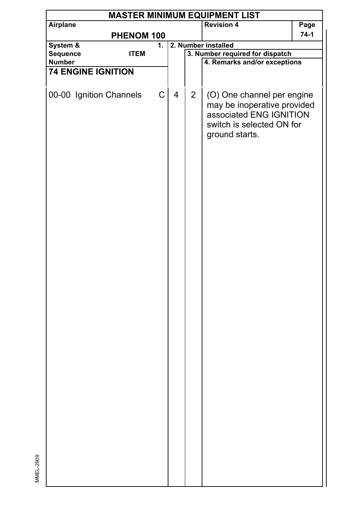| Airplane<br><b>Revision 4</b><br>Page<br>$74-1$<br>PHENOM 100<br>2. Number installed<br>System &<br>1.<br>3. Number required for dispatch<br>Sequence<br><b>ITEM</b><br>4. Remarks and/or exceptions<br>Number<br><b>74 ENGINE IGNITION</b><br>C<br>00-00 Ignition Channels<br>4<br>$\overline{2}$<br>(O) One channel per engine<br>may be inoperative provided<br>associated ENG IGNITION<br>switch is selected ON for<br>ground starts. | <b>MASTER MINIMUM EQUIPMENT LIST</b> |  |  |  |  |  |  |  |  |  |
|-------------------------------------------------------------------------------------------------------------------------------------------------------------------------------------------------------------------------------------------------------------------------------------------------------------------------------------------------------------------------------------------------------------------------------------------|--------------------------------------|--|--|--|--|--|--|--|--|--|
|                                                                                                                                                                                                                                                                                                                                                                                                                                           |                                      |  |  |  |  |  |  |  |  |  |
|                                                                                                                                                                                                                                                                                                                                                                                                                                           |                                      |  |  |  |  |  |  |  |  |  |
|                                                                                                                                                                                                                                                                                                                                                                                                                                           |                                      |  |  |  |  |  |  |  |  |  |
|                                                                                                                                                                                                                                                                                                                                                                                                                                           |                                      |  |  |  |  |  |  |  |  |  |
|                                                                                                                                                                                                                                                                                                                                                                                                                                           |                                      |  |  |  |  |  |  |  |  |  |
|                                                                                                                                                                                                                                                                                                                                                                                                                                           |                                      |  |  |  |  |  |  |  |  |  |
|                                                                                                                                                                                                                                                                                                                                                                                                                                           |                                      |  |  |  |  |  |  |  |  |  |
|                                                                                                                                                                                                                                                                                                                                                                                                                                           |                                      |  |  |  |  |  |  |  |  |  |

MMEL-2909

MMEL-2909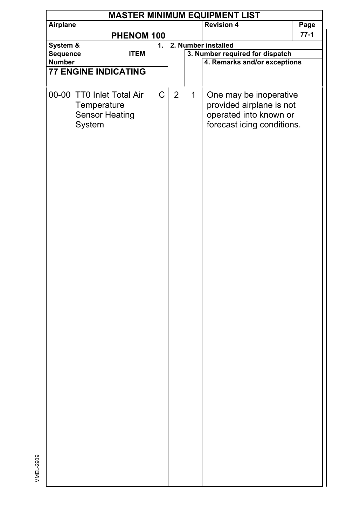| <b>Revision 4</b><br>Airplane<br>Page<br>77-1<br>PHENOM 100<br>System &<br>2. Number installed<br>1.<br>3. Number required for dispatch<br>Sequence<br><b>ITEM</b><br>4. Remarks and/or exceptions<br>Number<br><b>77 ENGINE INDICATING</b><br>$\mathsf C$<br>00-00 TT0 Inlet Total Air<br>$\overline{2}$<br>1<br>One may be inoperative<br>provided airplane is not<br>Temperature<br><b>Sensor Heating</b><br>operated into known or<br>forecast icing conditions.<br>System | <b>MASTER MINIMUM EQUIPMENT LIST</b> |  |  |  |  |  |  |  |  |  |
|--------------------------------------------------------------------------------------------------------------------------------------------------------------------------------------------------------------------------------------------------------------------------------------------------------------------------------------------------------------------------------------------------------------------------------------------------------------------------------|--------------------------------------|--|--|--|--|--|--|--|--|--|
|                                                                                                                                                                                                                                                                                                                                                                                                                                                                                |                                      |  |  |  |  |  |  |  |  |  |
|                                                                                                                                                                                                                                                                                                                                                                                                                                                                                |                                      |  |  |  |  |  |  |  |  |  |
|                                                                                                                                                                                                                                                                                                                                                                                                                                                                                |                                      |  |  |  |  |  |  |  |  |  |
|                                                                                                                                                                                                                                                                                                                                                                                                                                                                                |                                      |  |  |  |  |  |  |  |  |  |
|                                                                                                                                                                                                                                                                                                                                                                                                                                                                                |                                      |  |  |  |  |  |  |  |  |  |
|                                                                                                                                                                                                                                                                                                                                                                                                                                                                                |                                      |  |  |  |  |  |  |  |  |  |
|                                                                                                                                                                                                                                                                                                                                                                                                                                                                                |                                      |  |  |  |  |  |  |  |  |  |
|                                                                                                                                                                                                                                                                                                                                                                                                                                                                                |                                      |  |  |  |  |  |  |  |  |  |
|                                                                                                                                                                                                                                                                                                                                                                                                                                                                                |                                      |  |  |  |  |  |  |  |  |  |
|                                                                                                                                                                                                                                                                                                                                                                                                                                                                                |                                      |  |  |  |  |  |  |  |  |  |
|                                                                                                                                                                                                                                                                                                                                                                                                                                                                                |                                      |  |  |  |  |  |  |  |  |  |
|                                                                                                                                                                                                                                                                                                                                                                                                                                                                                |                                      |  |  |  |  |  |  |  |  |  |
|                                                                                                                                                                                                                                                                                                                                                                                                                                                                                |                                      |  |  |  |  |  |  |  |  |  |
|                                                                                                                                                                                                                                                                                                                                                                                                                                                                                |                                      |  |  |  |  |  |  |  |  |  |
|                                                                                                                                                                                                                                                                                                                                                                                                                                                                                |                                      |  |  |  |  |  |  |  |  |  |
|                                                                                                                                                                                                                                                                                                                                                                                                                                                                                |                                      |  |  |  |  |  |  |  |  |  |
|                                                                                                                                                                                                                                                                                                                                                                                                                                                                                |                                      |  |  |  |  |  |  |  |  |  |
|                                                                                                                                                                                                                                                                                                                                                                                                                                                                                |                                      |  |  |  |  |  |  |  |  |  |
|                                                                                                                                                                                                                                                                                                                                                                                                                                                                                |                                      |  |  |  |  |  |  |  |  |  |
|                                                                                                                                                                                                                                                                                                                                                                                                                                                                                |                                      |  |  |  |  |  |  |  |  |  |
|                                                                                                                                                                                                                                                                                                                                                                                                                                                                                |                                      |  |  |  |  |  |  |  |  |  |
|                                                                                                                                                                                                                                                                                                                                                                                                                                                                                |                                      |  |  |  |  |  |  |  |  |  |
|                                                                                                                                                                                                                                                                                                                                                                                                                                                                                |                                      |  |  |  |  |  |  |  |  |  |
|                                                                                                                                                                                                                                                                                                                                                                                                                                                                                |                                      |  |  |  |  |  |  |  |  |  |
|                                                                                                                                                                                                                                                                                                                                                                                                                                                                                |                                      |  |  |  |  |  |  |  |  |  |
|                                                                                                                                                                                                                                                                                                                                                                                                                                                                                |                                      |  |  |  |  |  |  |  |  |  |
|                                                                                                                                                                                                                                                                                                                                                                                                                                                                                |                                      |  |  |  |  |  |  |  |  |  |
|                                                                                                                                                                                                                                                                                                                                                                                                                                                                                |                                      |  |  |  |  |  |  |  |  |  |
|                                                                                                                                                                                                                                                                                                                                                                                                                                                                                |                                      |  |  |  |  |  |  |  |  |  |
|                                                                                                                                                                                                                                                                                                                                                                                                                                                                                |                                      |  |  |  |  |  |  |  |  |  |
|                                                                                                                                                                                                                                                                                                                                                                                                                                                                                |                                      |  |  |  |  |  |  |  |  |  |
|                                                                                                                                                                                                                                                                                                                                                                                                                                                                                |                                      |  |  |  |  |  |  |  |  |  |
|                                                                                                                                                                                                                                                                                                                                                                                                                                                                                |                                      |  |  |  |  |  |  |  |  |  |
|                                                                                                                                                                                                                                                                                                                                                                                                                                                                                |                                      |  |  |  |  |  |  |  |  |  |
|                                                                                                                                                                                                                                                                                                                                                                                                                                                                                |                                      |  |  |  |  |  |  |  |  |  |
|                                                                                                                                                                                                                                                                                                                                                                                                                                                                                |                                      |  |  |  |  |  |  |  |  |  |
|                                                                                                                                                                                                                                                                                                                                                                                                                                                                                |                                      |  |  |  |  |  |  |  |  |  |
|                                                                                                                                                                                                                                                                                                                                                                                                                                                                                |                                      |  |  |  |  |  |  |  |  |  |
|                                                                                                                                                                                                                                                                                                                                                                                                                                                                                |                                      |  |  |  |  |  |  |  |  |  |
|                                                                                                                                                                                                                                                                                                                                                                                                                                                                                |                                      |  |  |  |  |  |  |  |  |  |
|                                                                                                                                                                                                                                                                                                                                                                                                                                                                                |                                      |  |  |  |  |  |  |  |  |  |
|                                                                                                                                                                                                                                                                                                                                                                                                                                                                                |                                      |  |  |  |  |  |  |  |  |  |
|                                                                                                                                                                                                                                                                                                                                                                                                                                                                                |                                      |  |  |  |  |  |  |  |  |  |
|                                                                                                                                                                                                                                                                                                                                                                                                                                                                                |                                      |  |  |  |  |  |  |  |  |  |
|                                                                                                                                                                                                                                                                                                                                                                                                                                                                                |                                      |  |  |  |  |  |  |  |  |  |
|                                                                                                                                                                                                                                                                                                                                                                                                                                                                                |                                      |  |  |  |  |  |  |  |  |  |
|                                                                                                                                                                                                                                                                                                                                                                                                                                                                                |                                      |  |  |  |  |  |  |  |  |  |
|                                                                                                                                                                                                                                                                                                                                                                                                                                                                                |                                      |  |  |  |  |  |  |  |  |  |
|                                                                                                                                                                                                                                                                                                                                                                                                                                                                                |                                      |  |  |  |  |  |  |  |  |  |
|                                                                                                                                                                                                                                                                                                                                                                                                                                                                                |                                      |  |  |  |  |  |  |  |  |  |